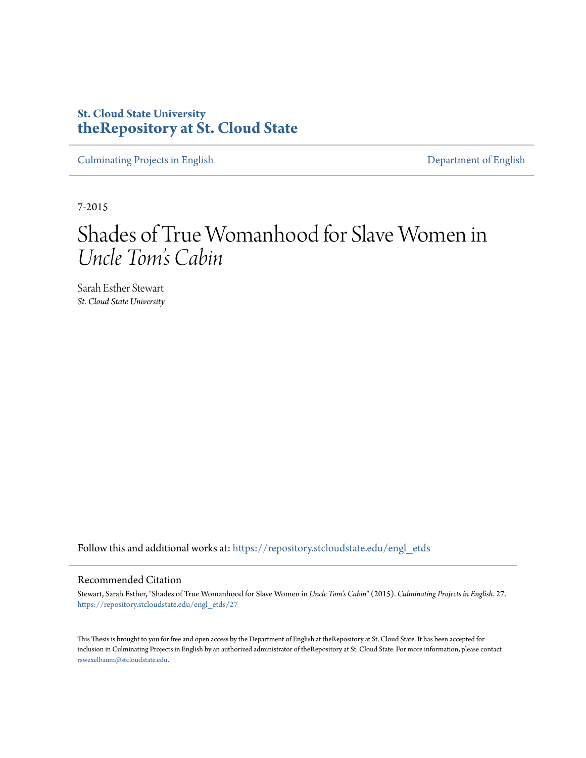## **St. Cloud State University [theRepository at St. Cloud State](https://repository.stcloudstate.edu?utm_source=repository.stcloudstate.edu%2Fengl_etds%2F27&utm_medium=PDF&utm_campaign=PDFCoverPages)**

[Culminating Projects in English](https://repository.stcloudstate.edu/engl_etds?utm_source=repository.stcloudstate.edu%2Fengl_etds%2F27&utm_medium=PDF&utm_campaign=PDFCoverPages) [Department of English](https://repository.stcloudstate.edu/engl?utm_source=repository.stcloudstate.edu%2Fengl_etds%2F27&utm_medium=PDF&utm_campaign=PDFCoverPages)

7-2015

# Shades of True Womanhood for Slave Women in *Uncle Tom 's Cabin*

Sarah Esther Stewart *St. Cloud State University*

Follow this and additional works at: [https://repository.stcloudstate.edu/engl\\_etds](https://repository.stcloudstate.edu/engl_etds?utm_source=repository.stcloudstate.edu%2Fengl_etds%2F27&utm_medium=PDF&utm_campaign=PDFCoverPages)

#### Recommended Citation

Stewart, Sarah Esther, "Shades of True Womanhood for Slave Women in *Uncle Tom's Cabin*" (2015). *Culminating Projects in English*. 27. [https://repository.stcloudstate.edu/engl\\_etds/27](https://repository.stcloudstate.edu/engl_etds/27?utm_source=repository.stcloudstate.edu%2Fengl_etds%2F27&utm_medium=PDF&utm_campaign=PDFCoverPages)

This Thesis is brought to you for free and open access by the Department of English at theRepository at St. Cloud State. It has been accepted for inclusion in Culminating Projects in English by an authorized administrator of theRepository at St. Cloud State. For more information, please contact [rswexelbaum@stcloudstate.edu](mailto:rswexelbaum@stcloudstate.edu).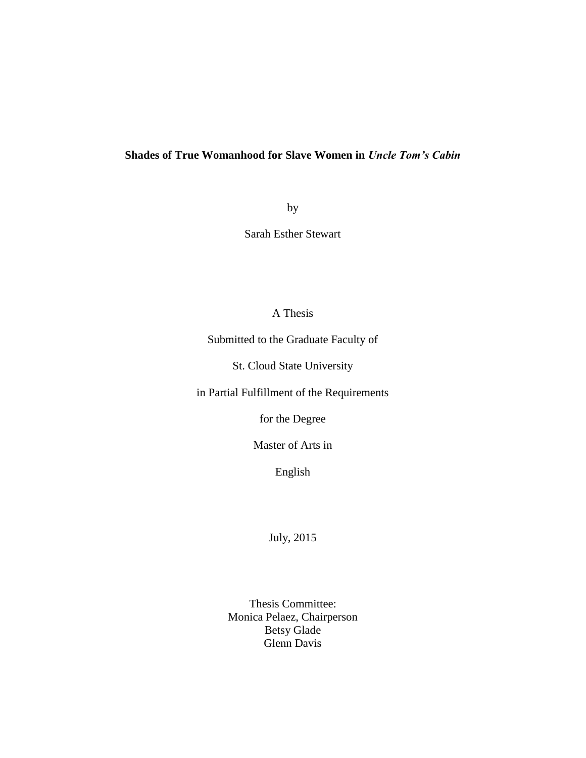### **Shades of True Womanhood for Slave Women in** *Uncle Tom's Cabin*

by

Sarah Esther Stewart

A Thesis

Submitted to the Graduate Faculty of

St. Cloud State University

in Partial Fulfillment of the Requirements

for the Degree

Master of Arts in

English

July, 2015

Thesis Committee: Monica Pelaez, Chairperson Betsy Glade Glenn Davis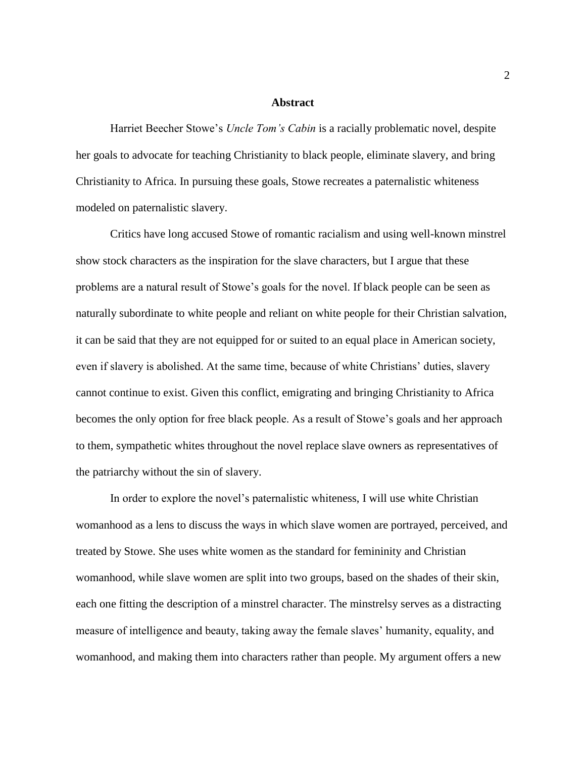#### **Abstract**

Harriet Beecher Stowe's *Uncle Tom's Cabin* is a racially problematic novel, despite her goals to advocate for teaching Christianity to black people, eliminate slavery, and bring Christianity to Africa. In pursuing these goals, Stowe recreates a paternalistic whiteness modeled on paternalistic slavery.

Critics have long accused Stowe of romantic racialism and using well-known minstrel show stock characters as the inspiration for the slave characters, but I argue that these problems are a natural result of Stowe's goals for the novel. If black people can be seen as naturally subordinate to white people and reliant on white people for their Christian salvation, it can be said that they are not equipped for or suited to an equal place in American society, even if slavery is abolished. At the same time, because of white Christians' duties, slavery cannot continue to exist. Given this conflict, emigrating and bringing Christianity to Africa becomes the only option for free black people. As a result of Stowe's goals and her approach to them, sympathetic whites throughout the novel replace slave owners as representatives of the patriarchy without the sin of slavery.

In order to explore the novel's paternalistic whiteness, I will use white Christian womanhood as a lens to discuss the ways in which slave women are portrayed, perceived, and treated by Stowe. She uses white women as the standard for femininity and Christian womanhood, while slave women are split into two groups, based on the shades of their skin, each one fitting the description of a minstrel character. The minstrelsy serves as a distracting measure of intelligence and beauty, taking away the female slaves' humanity, equality, and womanhood, and making them into characters rather than people. My argument offers a new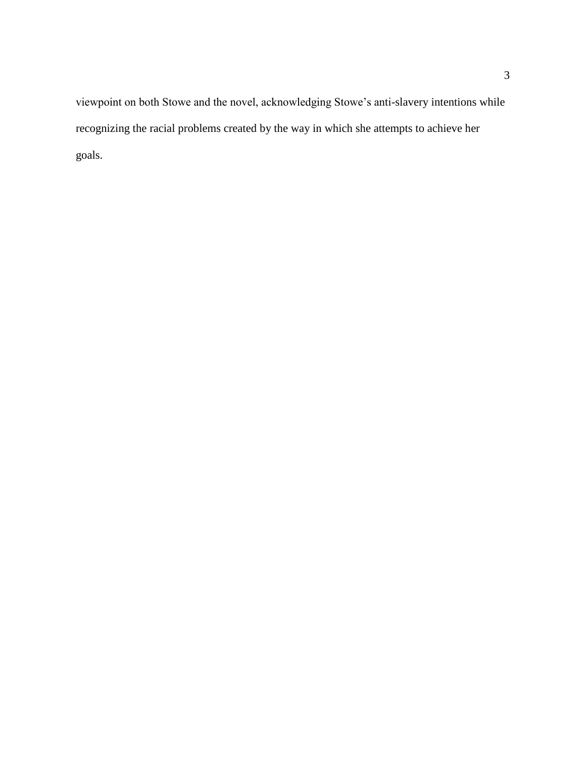viewpoint on both Stowe and the novel, acknowledging Stowe's anti-slavery intentions while recognizing the racial problems created by the way in which she attempts to achieve her goals.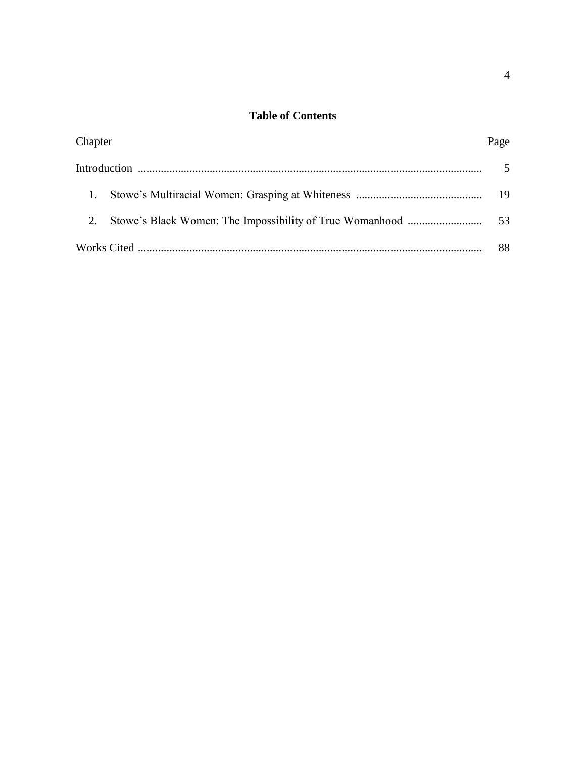## **Table of Contents**

| Chapter |  | Page |
|---------|--|------|
|         |  |      |
|         |  | 19   |
| 2.      |  | 53   |
|         |  | 88   |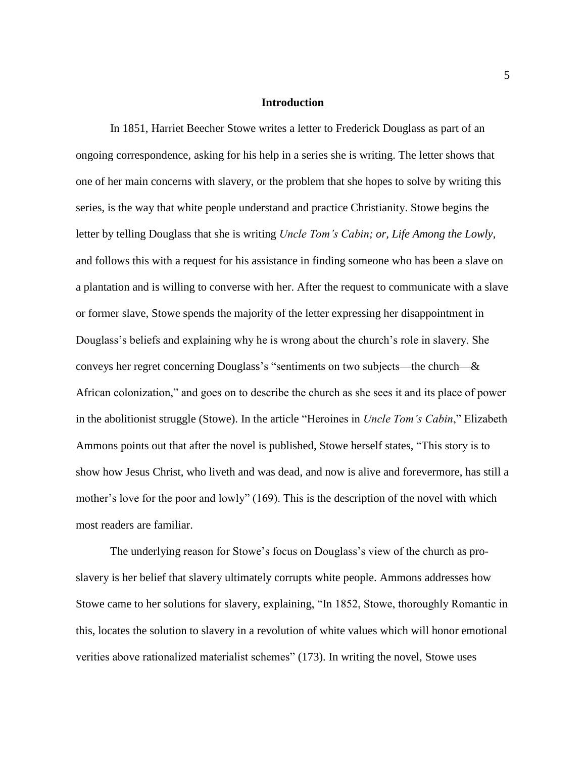#### **Introduction**

In 1851, Harriet Beecher Stowe writes a letter to Frederick Douglass as part of an ongoing correspondence, asking for his help in a series she is writing. The letter shows that one of her main concerns with slavery, or the problem that she hopes to solve by writing this series, is the way that white people understand and practice Christianity. Stowe begins the letter by telling Douglass that she is writing *Uncle Tom's Cabin; or, Life Among the Lowly*, and follows this with a request for his assistance in finding someone who has been a slave on a plantation and is willing to converse with her. After the request to communicate with a slave or former slave, Stowe spends the majority of the letter expressing her disappointment in Douglass's beliefs and explaining why he is wrong about the church's role in slavery. She conveys her regret concerning Douglass's "sentiments on two subjects—the church—& African colonization," and goes on to describe the church as she sees it and its place of power in the abolitionist struggle (Stowe). In the article "Heroines in *Uncle Tom's Cabin*," Elizabeth Ammons points out that after the novel is published, Stowe herself states, "This story is to show how Jesus Christ, who liveth and was dead, and now is alive and forevermore, has still a mother's love for the poor and lowly" (169). This is the description of the novel with which most readers are familiar.

The underlying reason for Stowe's focus on Douglass's view of the church as proslavery is her belief that slavery ultimately corrupts white people. Ammons addresses how Stowe came to her solutions for slavery, explaining, "In 1852, Stowe, thoroughly Romantic in this, locates the solution to slavery in a revolution of white values which will honor emotional verities above rationalized materialist schemes" (173). In writing the novel, Stowe uses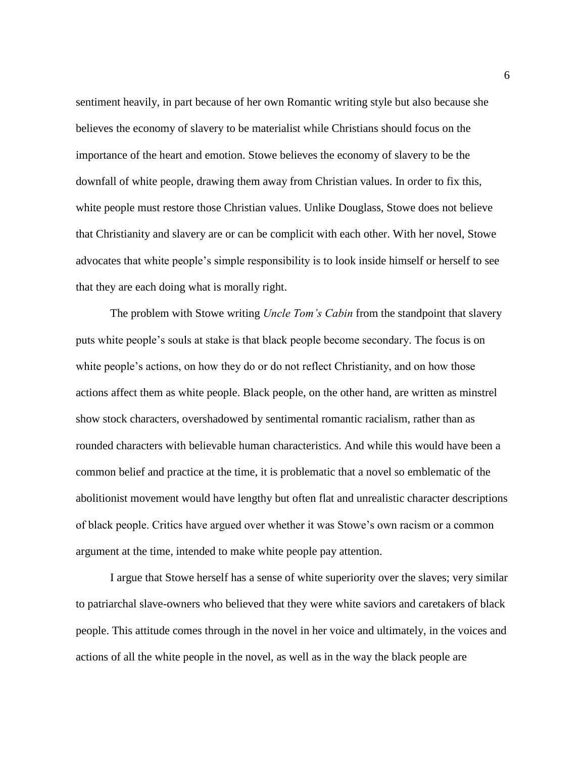sentiment heavily, in part because of her own Romantic writing style but also because she believes the economy of slavery to be materialist while Christians should focus on the importance of the heart and emotion. Stowe believes the economy of slavery to be the downfall of white people, drawing them away from Christian values. In order to fix this, white people must restore those Christian values. Unlike Douglass, Stowe does not believe that Christianity and slavery are or can be complicit with each other. With her novel, Stowe advocates that white people's simple responsibility is to look inside himself or herself to see that they are each doing what is morally right.

The problem with Stowe writing *Uncle Tom's Cabin* from the standpoint that slavery puts white people's souls at stake is that black people become secondary. The focus is on white people's actions, on how they do or do not reflect Christianity, and on how those actions affect them as white people. Black people, on the other hand, are written as minstrel show stock characters, overshadowed by sentimental romantic racialism, rather than as rounded characters with believable human characteristics. And while this would have been a common belief and practice at the time, it is problematic that a novel so emblematic of the abolitionist movement would have lengthy but often flat and unrealistic character descriptions of black people. Critics have argued over whether it was Stowe's own racism or a common argument at the time, intended to make white people pay attention.

I argue that Stowe herself has a sense of white superiority over the slaves; very similar to patriarchal slave-owners who believed that they were white saviors and caretakers of black people. This attitude comes through in the novel in her voice and ultimately, in the voices and actions of all the white people in the novel, as well as in the way the black people are

6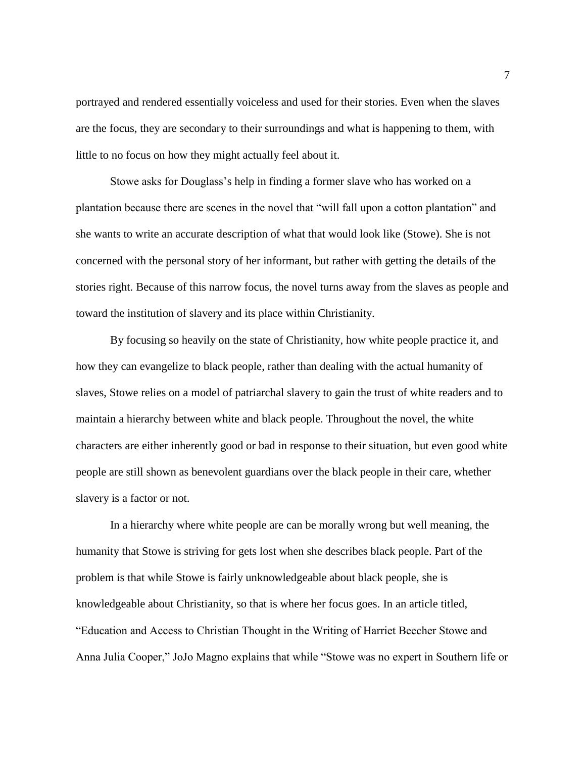portrayed and rendered essentially voiceless and used for their stories. Even when the slaves are the focus, they are secondary to their surroundings and what is happening to them, with little to no focus on how they might actually feel about it.

Stowe asks for Douglass's help in finding a former slave who has worked on a plantation because there are scenes in the novel that "will fall upon a cotton plantation" and she wants to write an accurate description of what that would look like (Stowe). She is not concerned with the personal story of her informant, but rather with getting the details of the stories right. Because of this narrow focus, the novel turns away from the slaves as people and toward the institution of slavery and its place within Christianity.

By focusing so heavily on the state of Christianity, how white people practice it, and how they can evangelize to black people, rather than dealing with the actual humanity of slaves, Stowe relies on a model of patriarchal slavery to gain the trust of white readers and to maintain a hierarchy between white and black people. Throughout the novel, the white characters are either inherently good or bad in response to their situation, but even good white people are still shown as benevolent guardians over the black people in their care, whether slavery is a factor or not.

In a hierarchy where white people are can be morally wrong but well meaning, the humanity that Stowe is striving for gets lost when she describes black people. Part of the problem is that while Stowe is fairly unknowledgeable about black people, she is knowledgeable about Christianity, so that is where her focus goes. In an article titled, "Education and Access to Christian Thought in the Writing of Harriet Beecher Stowe and Anna Julia Cooper," JoJo Magno explains that while "Stowe was no expert in Southern life or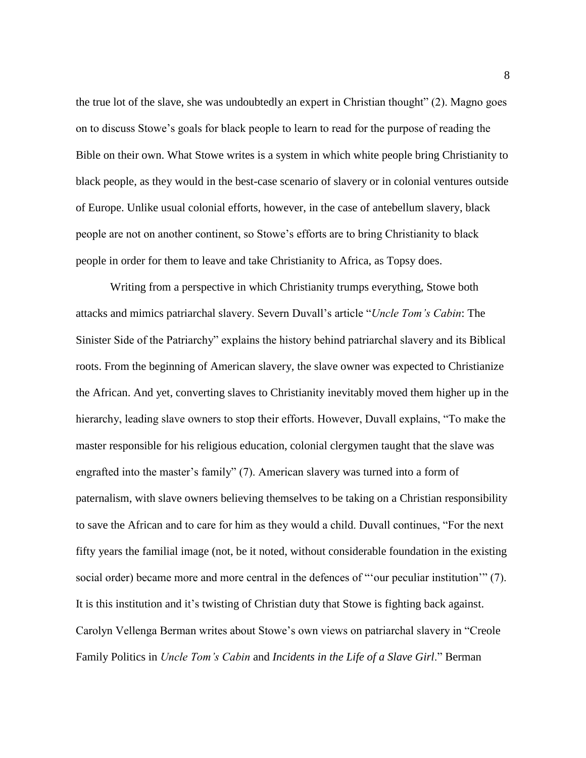the true lot of the slave, she was undoubtedly an expert in Christian thought" (2). Magno goes on to discuss Stowe's goals for black people to learn to read for the purpose of reading the Bible on their own. What Stowe writes is a system in which white people bring Christianity to black people, as they would in the best-case scenario of slavery or in colonial ventures outside of Europe. Unlike usual colonial efforts, however, in the case of antebellum slavery, black people are not on another continent, so Stowe's efforts are to bring Christianity to black people in order for them to leave and take Christianity to Africa, as Topsy does.

Writing from a perspective in which Christianity trumps everything, Stowe both attacks and mimics patriarchal slavery. Severn Duvall's article "*Uncle Tom's Cabin*: The Sinister Side of the Patriarchy" explains the history behind patriarchal slavery and its Biblical roots. From the beginning of American slavery, the slave owner was expected to Christianize the African. And yet, converting slaves to Christianity inevitably moved them higher up in the hierarchy, leading slave owners to stop their efforts. However, Duvall explains, "To make the master responsible for his religious education, colonial clergymen taught that the slave was engrafted into the master's family" (7). American slavery was turned into a form of paternalism, with slave owners believing themselves to be taking on a Christian responsibility to save the African and to care for him as they would a child. Duvall continues, "For the next fifty years the familial image (not, be it noted, without considerable foundation in the existing social order) became more and more central in the defences of "'our peculiar institution'" (7). It is this institution and it's twisting of Christian duty that Stowe is fighting back against. Carolyn Vellenga Berman writes about Stowe's own views on patriarchal slavery in "Creole Family Politics in *Uncle Tom's Cabin* and *Incidents in the Life of a Slave Girl*." Berman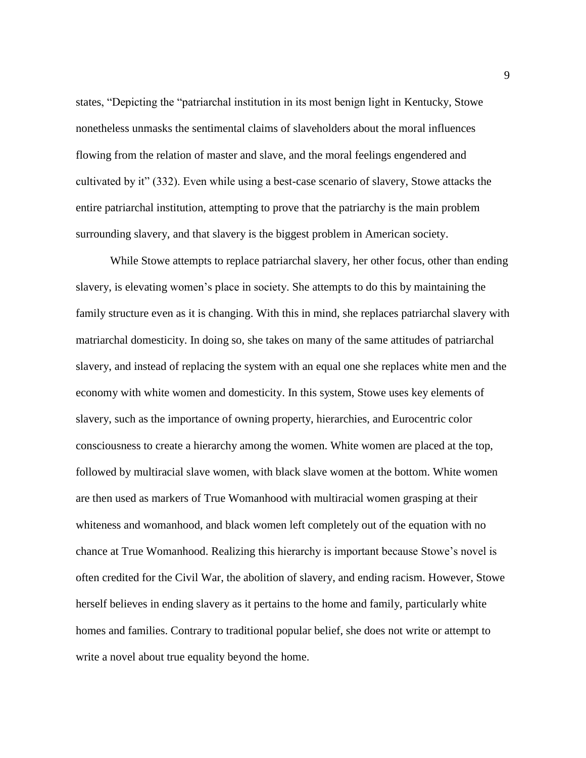states, "Depicting the "patriarchal institution in its most benign light in Kentucky, Stowe nonetheless unmasks the sentimental claims of slaveholders about the moral influences flowing from the relation of master and slave, and the moral feelings engendered and cultivated by it" (332). Even while using a best-case scenario of slavery, Stowe attacks the entire patriarchal institution, attempting to prove that the patriarchy is the main problem surrounding slavery, and that slavery is the biggest problem in American society.

While Stowe attempts to replace patriarchal slavery, her other focus, other than ending slavery, is elevating women's place in society. She attempts to do this by maintaining the family structure even as it is changing. With this in mind, she replaces patriarchal slavery with matriarchal domesticity. In doing so, she takes on many of the same attitudes of patriarchal slavery, and instead of replacing the system with an equal one she replaces white men and the economy with white women and domesticity. In this system, Stowe uses key elements of slavery, such as the importance of owning property, hierarchies, and Eurocentric color consciousness to create a hierarchy among the women. White women are placed at the top, followed by multiracial slave women, with black slave women at the bottom. White women are then used as markers of True Womanhood with multiracial women grasping at their whiteness and womanhood, and black women left completely out of the equation with no chance at True Womanhood. Realizing this hierarchy is important because Stowe's novel is often credited for the Civil War, the abolition of slavery, and ending racism. However, Stowe herself believes in ending slavery as it pertains to the home and family, particularly white homes and families. Contrary to traditional popular belief, she does not write or attempt to write a novel about true equality beyond the home.

9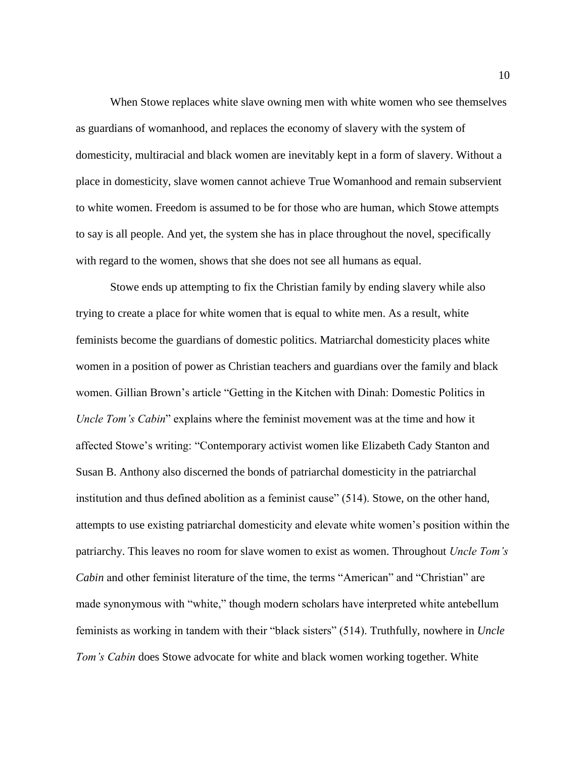When Stowe replaces white slave owning men with white women who see themselves as guardians of womanhood, and replaces the economy of slavery with the system of domesticity, multiracial and black women are inevitably kept in a form of slavery. Without a place in domesticity, slave women cannot achieve True Womanhood and remain subservient to white women. Freedom is assumed to be for those who are human, which Stowe attempts to say is all people. And yet, the system she has in place throughout the novel, specifically with regard to the women, shows that she does not see all humans as equal.

Stowe ends up attempting to fix the Christian family by ending slavery while also trying to create a place for white women that is equal to white men. As a result, white feminists become the guardians of domestic politics. Matriarchal domesticity places white women in a position of power as Christian teachers and guardians over the family and black women. Gillian Brown's article "Getting in the Kitchen with Dinah: Domestic Politics in *Uncle Tom's Cabin*" explains where the feminist movement was at the time and how it affected Stowe's writing: "Contemporary activist women like Elizabeth Cady Stanton and Susan B. Anthony also discerned the bonds of patriarchal domesticity in the patriarchal institution and thus defined abolition as a feminist cause" (514). Stowe, on the other hand, attempts to use existing patriarchal domesticity and elevate white women's position within the patriarchy. This leaves no room for slave women to exist as women. Throughout *Uncle Tom's Cabin* and other feminist literature of the time, the terms "American" and "Christian" are made synonymous with "white," though modern scholars have interpreted white antebellum feminists as working in tandem with their "black sisters" (514). Truthfully, nowhere in *Uncle Tom's Cabin* does Stowe advocate for white and black women working together. White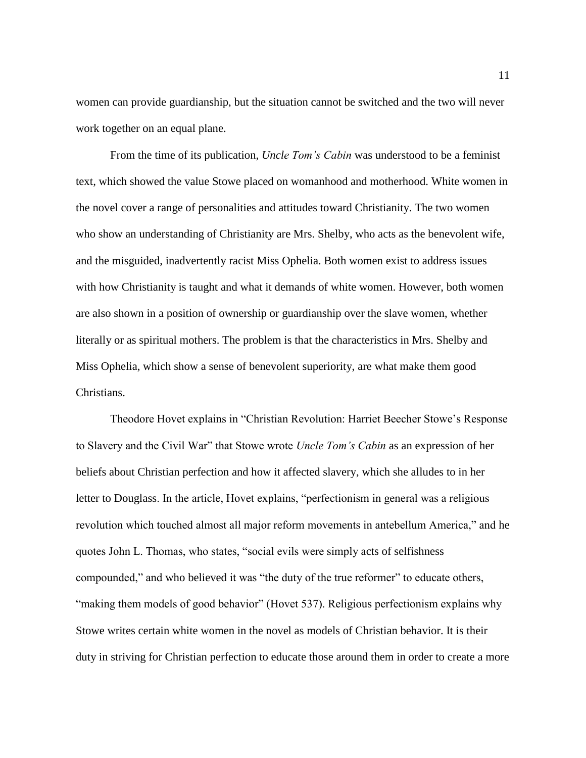women can provide guardianship, but the situation cannot be switched and the two will never work together on an equal plane.

From the time of its publication, *Uncle Tom's Cabin* was understood to be a feminist text, which showed the value Stowe placed on womanhood and motherhood. White women in the novel cover a range of personalities and attitudes toward Christianity. The two women who show an understanding of Christianity are Mrs. Shelby, who acts as the benevolent wife, and the misguided, inadvertently racist Miss Ophelia. Both women exist to address issues with how Christianity is taught and what it demands of white women. However, both women are also shown in a position of ownership or guardianship over the slave women, whether literally or as spiritual mothers. The problem is that the characteristics in Mrs. Shelby and Miss Ophelia, which show a sense of benevolent superiority, are what make them good Christians.

Theodore Hovet explains in "Christian Revolution: Harriet Beecher Stowe's Response to Slavery and the Civil War" that Stowe wrote *Uncle Tom's Cabin* as an expression of her beliefs about Christian perfection and how it affected slavery, which she alludes to in her letter to Douglass. In the article, Hovet explains, "perfectionism in general was a religious revolution which touched almost all major reform movements in antebellum America," and he quotes John L. Thomas, who states, "social evils were simply acts of selfishness compounded," and who believed it was "the duty of the true reformer" to educate others, "making them models of good behavior" (Hovet 537). Religious perfectionism explains why Stowe writes certain white women in the novel as models of Christian behavior. It is their duty in striving for Christian perfection to educate those around them in order to create a more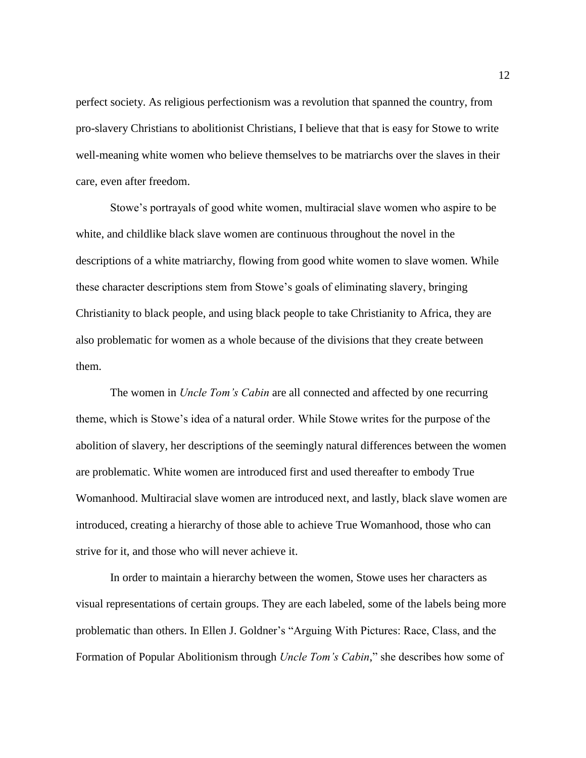perfect society. As religious perfectionism was a revolution that spanned the country, from pro-slavery Christians to abolitionist Christians, I believe that that is easy for Stowe to write well-meaning white women who believe themselves to be matriarchs over the slaves in their care, even after freedom.

Stowe's portrayals of good white women, multiracial slave women who aspire to be white, and childlike black slave women are continuous throughout the novel in the descriptions of a white matriarchy, flowing from good white women to slave women. While these character descriptions stem from Stowe's goals of eliminating slavery, bringing Christianity to black people, and using black people to take Christianity to Africa, they are also problematic for women as a whole because of the divisions that they create between them.

The women in *Uncle Tom's Cabin* are all connected and affected by one recurring theme, which is Stowe's idea of a natural order. While Stowe writes for the purpose of the abolition of slavery, her descriptions of the seemingly natural differences between the women are problematic. White women are introduced first and used thereafter to embody True Womanhood. Multiracial slave women are introduced next, and lastly, black slave women are introduced, creating a hierarchy of those able to achieve True Womanhood, those who can strive for it, and those who will never achieve it.

In order to maintain a hierarchy between the women, Stowe uses her characters as visual representations of certain groups. They are each labeled, some of the labels being more problematic than others. In Ellen J. Goldner's "Arguing With Pictures: Race, Class, and the Formation of Popular Abolitionism through *Uncle Tom's Cabin*," she describes how some of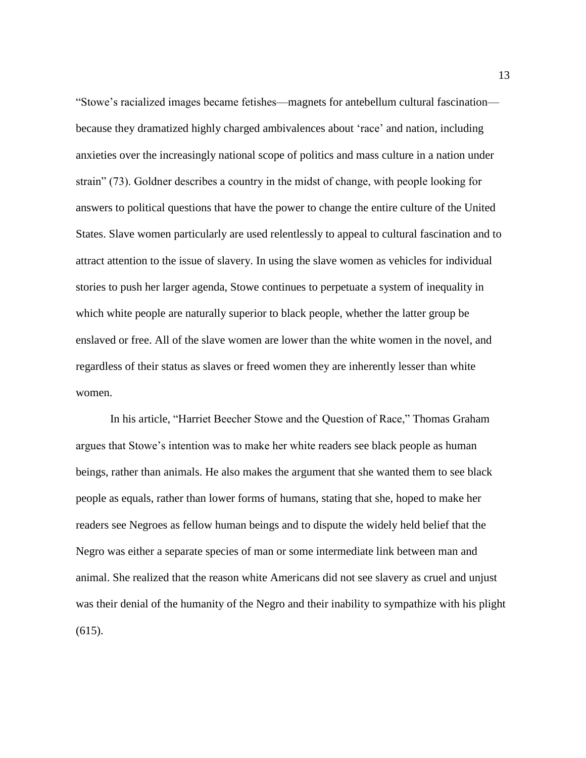"Stowe's racialized images became fetishes—magnets for antebellum cultural fascination because they dramatized highly charged ambivalences about 'race' and nation, including anxieties over the increasingly national scope of politics and mass culture in a nation under strain" (73). Goldner describes a country in the midst of change, with people looking for answers to political questions that have the power to change the entire culture of the United States. Slave women particularly are used relentlessly to appeal to cultural fascination and to attract attention to the issue of slavery. In using the slave women as vehicles for individual stories to push her larger agenda, Stowe continues to perpetuate a system of inequality in which white people are naturally superior to black people, whether the latter group be enslaved or free. All of the slave women are lower than the white women in the novel, and regardless of their status as slaves or freed women they are inherently lesser than white women.

In his article, "Harriet Beecher Stowe and the Question of Race," Thomas Graham argues that Stowe's intention was to make her white readers see black people as human beings, rather than animals. He also makes the argument that she wanted them to see black people as equals, rather than lower forms of humans, stating that she, hoped to make her readers see Negroes as fellow human beings and to dispute the widely held belief that the Negro was either a separate species of man or some intermediate link between man and animal. She realized that the reason white Americans did not see slavery as cruel and unjust was their denial of the humanity of the Negro and their inability to sympathize with his plight (615).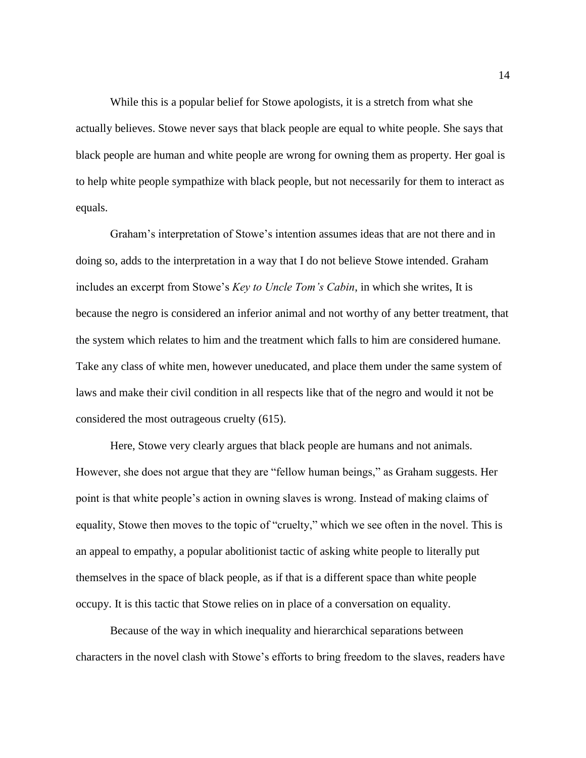While this is a popular belief for Stowe apologists, it is a stretch from what she actually believes. Stowe never says that black people are equal to white people. She says that black people are human and white people are wrong for owning them as property. Her goal is to help white people sympathize with black people, but not necessarily for them to interact as equals.

Graham's interpretation of Stowe's intention assumes ideas that are not there and in doing so, adds to the interpretation in a way that I do not believe Stowe intended. Graham includes an excerpt from Stowe's *Key to Uncle Tom's Cabin*, in which she writes, It is because the negro is considered an inferior animal and not worthy of any better treatment, that the system which relates to him and the treatment which falls to him are considered humane. Take any class of white men, however uneducated, and place them under the same system of laws and make their civil condition in all respects like that of the negro and would it not be considered the most outrageous cruelty (615).

Here, Stowe very clearly argues that black people are humans and not animals. However, she does not argue that they are "fellow human beings," as Graham suggests. Her point is that white people's action in owning slaves is wrong. Instead of making claims of equality, Stowe then moves to the topic of "cruelty," which we see often in the novel. This is an appeal to empathy, a popular abolitionist tactic of asking white people to literally put themselves in the space of black people, as if that is a different space than white people occupy. It is this tactic that Stowe relies on in place of a conversation on equality.

Because of the way in which inequality and hierarchical separations between characters in the novel clash with Stowe's efforts to bring freedom to the slaves, readers have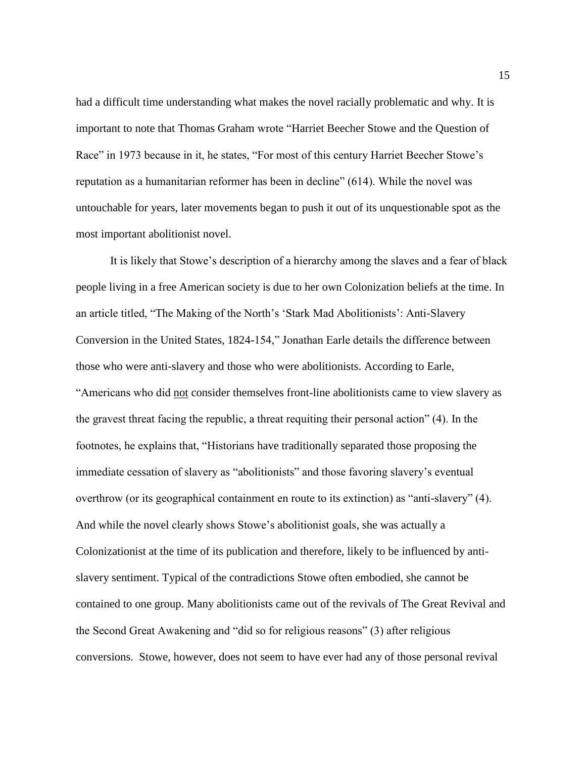had a difficult time understanding what makes the novel racially problematic and why. It is important to note that Thomas Graham wrote "Harriet Beecher Stowe and the Question of Race" in 1973 because in it, he states, "For most of this century Harriet Beecher Stowe's reputation as a humanitarian reformer has been in decline" (614). While the novel was untouchable for years, later movements began to push it out of its unquestionable spot as the most important abolitionist novel.

It is likely that Stowe's description of a hierarchy among the slaves and a fear of black people living in a free American society is due to her own Colonization beliefs at the time. In an article titled, "The Making of the North's 'Stark Mad Abolitionists': Anti-Slavery Conversion in the United States, 1824-154," Jonathan Earle details the difference between those who were anti-slavery and those who were abolitionists. According to Earle, "Americans who did not consider themselves front-line abolitionists came to view slavery as the gravest threat facing the republic, a threat requiting their personal action" (4). In the footnotes, he explains that, "Historians have traditionally separated those proposing the immediate cessation of slavery as "abolitionists" and those favoring slavery's eventual overthrow (or its geographical containment en route to its extinction) as "anti-slavery" (4). And while the novel clearly shows Stowe's abolitionist goals, she was actually a Colonizationist at the time of its publication and therefore, likely to be influenced by antislavery sentiment. Typical of the contradictions Stowe often embodied, she cannot be contained to one group. Many abolitionists came out of the revivals of The Great Revival and the Second Great Awakening and "did so for religious reasons" (3) after religious conversions. Stowe, however, does not seem to have ever had any of those personal revival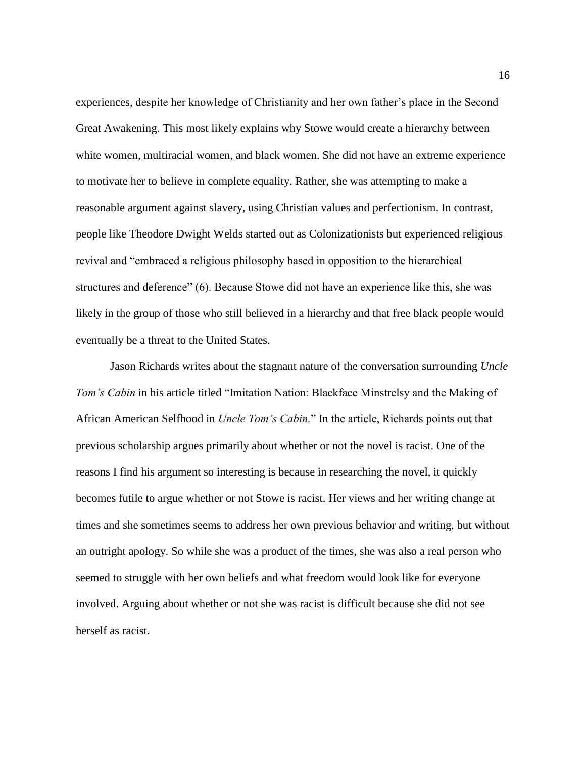experiences, despite her knowledge of Christianity and her own father's place in the Second Great Awakening. This most likely explains why Stowe would create a hierarchy between white women, multiracial women, and black women. She did not have an extreme experience to motivate her to believe in complete equality. Rather, she was attempting to make a reasonable argument against slavery, using Christian values and perfectionism. In contrast, people like Theodore Dwight Welds started out as Colonizationists but experienced religious revival and "embraced a religious philosophy based in opposition to the hierarchical structures and deference" (6). Because Stowe did not have an experience like this, she was likely in the group of those who still believed in a hierarchy and that free black people would eventually be a threat to the United States.

Jason Richards writes about the stagnant nature of the conversation surrounding *Uncle Tom's Cabin* in his article titled "Imitation Nation: Blackface Minstrelsy and the Making of African American Selfhood in *Uncle Tom's Cabin.*" In the article, Richards points out that previous scholarship argues primarily about whether or not the novel is racist. One of the reasons I find his argument so interesting is because in researching the novel, it quickly becomes futile to argue whether or not Stowe is racist. Her views and her writing change at times and she sometimes seems to address her own previous behavior and writing, but without an outright apology. So while she was a product of the times, she was also a real person who seemed to struggle with her own beliefs and what freedom would look like for everyone involved. Arguing about whether or not she was racist is difficult because she did not see herself as racist.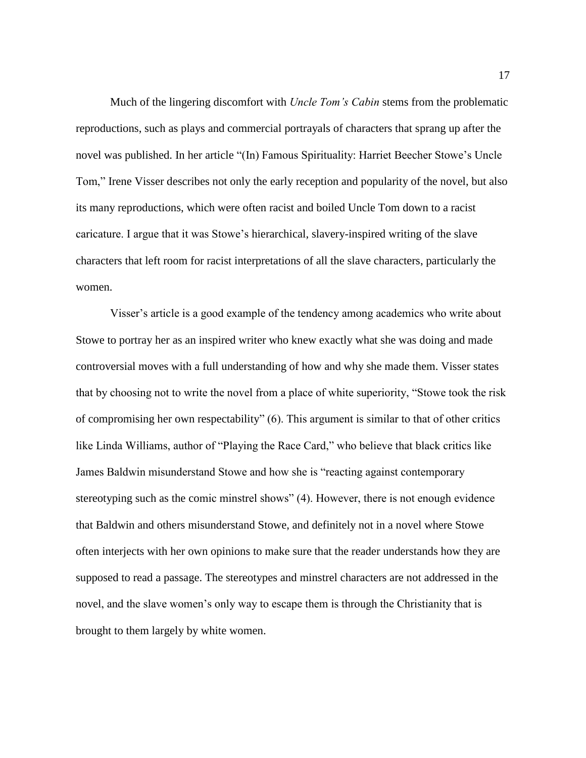Much of the lingering discomfort with *Uncle Tom's Cabin* stems from the problematic reproductions, such as plays and commercial portrayals of characters that sprang up after the novel was published. In her article "(In) Famous Spirituality: Harriet Beecher Stowe's Uncle Tom," Irene Visser describes not only the early reception and popularity of the novel, but also its many reproductions, which were often racist and boiled Uncle Tom down to a racist caricature. I argue that it was Stowe's hierarchical, slavery-inspired writing of the slave characters that left room for racist interpretations of all the slave characters, particularly the women.

Visser's article is a good example of the tendency among academics who write about Stowe to portray her as an inspired writer who knew exactly what she was doing and made controversial moves with a full understanding of how and why she made them. Visser states that by choosing not to write the novel from a place of white superiority, "Stowe took the risk of compromising her own respectability" (6). This argument is similar to that of other critics like Linda Williams, author of "Playing the Race Card," who believe that black critics like James Baldwin misunderstand Stowe and how she is "reacting against contemporary stereotyping such as the comic minstrel shows" (4). However, there is not enough evidence that Baldwin and others misunderstand Stowe, and definitely not in a novel where Stowe often interjects with her own opinions to make sure that the reader understands how they are supposed to read a passage. The stereotypes and minstrel characters are not addressed in the novel, and the slave women's only way to escape them is through the Christianity that is brought to them largely by white women.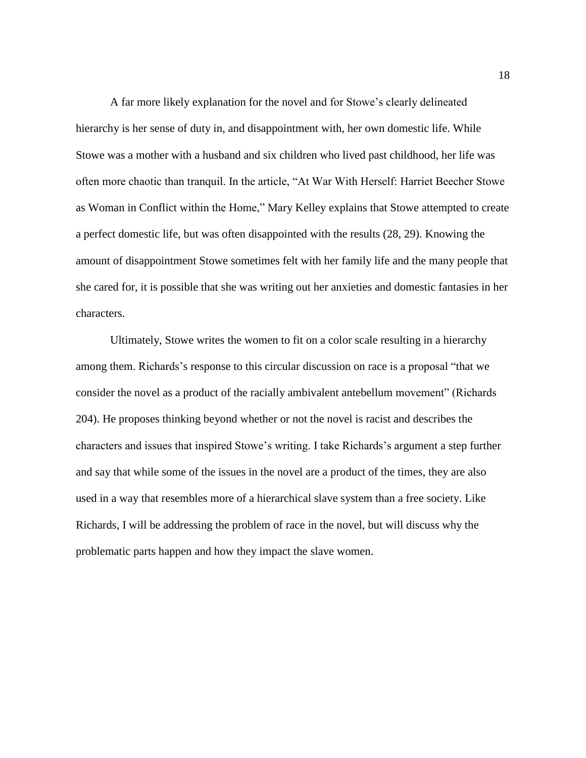A far more likely explanation for the novel and for Stowe's clearly delineated hierarchy is her sense of duty in, and disappointment with, her own domestic life. While Stowe was a mother with a husband and six children who lived past childhood, her life was often more chaotic than tranquil. In the article, "At War With Herself: Harriet Beecher Stowe as Woman in Conflict within the Home," Mary Kelley explains that Stowe attempted to create a perfect domestic life, but was often disappointed with the results (28, 29). Knowing the amount of disappointment Stowe sometimes felt with her family life and the many people that she cared for, it is possible that she was writing out her anxieties and domestic fantasies in her characters.

Ultimately, Stowe writes the women to fit on a color scale resulting in a hierarchy among them. Richards's response to this circular discussion on race is a proposal "that we consider the novel as a product of the racially ambivalent antebellum movement" (Richards 204). He proposes thinking beyond whether or not the novel is racist and describes the characters and issues that inspired Stowe's writing. I take Richards's argument a step further and say that while some of the issues in the novel are a product of the times, they are also used in a way that resembles more of a hierarchical slave system than a free society. Like Richards, I will be addressing the problem of race in the novel, but will discuss why the problematic parts happen and how they impact the slave women.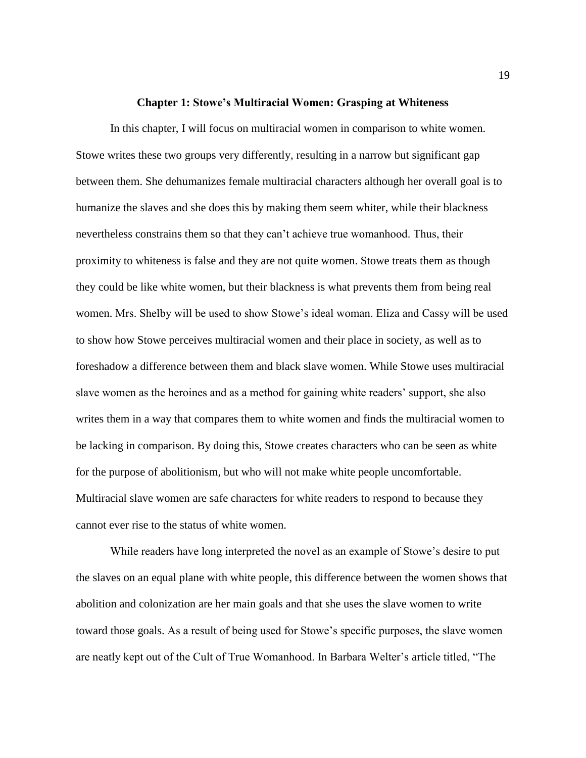#### **Chapter 1: Stowe's Multiracial Women: Grasping at Whiteness**

In this chapter, I will focus on multiracial women in comparison to white women. Stowe writes these two groups very differently, resulting in a narrow but significant gap between them. She dehumanizes female multiracial characters although her overall goal is to humanize the slaves and she does this by making them seem whiter, while their blackness nevertheless constrains them so that they can't achieve true womanhood. Thus, their proximity to whiteness is false and they are not quite women. Stowe treats them as though they could be like white women, but their blackness is what prevents them from being real women. Mrs. Shelby will be used to show Stowe's ideal woman. Eliza and Cassy will be used to show how Stowe perceives multiracial women and their place in society, as well as to foreshadow a difference between them and black slave women. While Stowe uses multiracial slave women as the heroines and as a method for gaining white readers' support, she also writes them in a way that compares them to white women and finds the multiracial women to be lacking in comparison. By doing this, Stowe creates characters who can be seen as white for the purpose of abolitionism, but who will not make white people uncomfortable. Multiracial slave women are safe characters for white readers to respond to because they cannot ever rise to the status of white women.

While readers have long interpreted the novel as an example of Stowe's desire to put the slaves on an equal plane with white people, this difference between the women shows that abolition and colonization are her main goals and that she uses the slave women to write toward those goals. As a result of being used for Stowe's specific purposes, the slave women are neatly kept out of the Cult of True Womanhood. In Barbara Welter's article titled, "The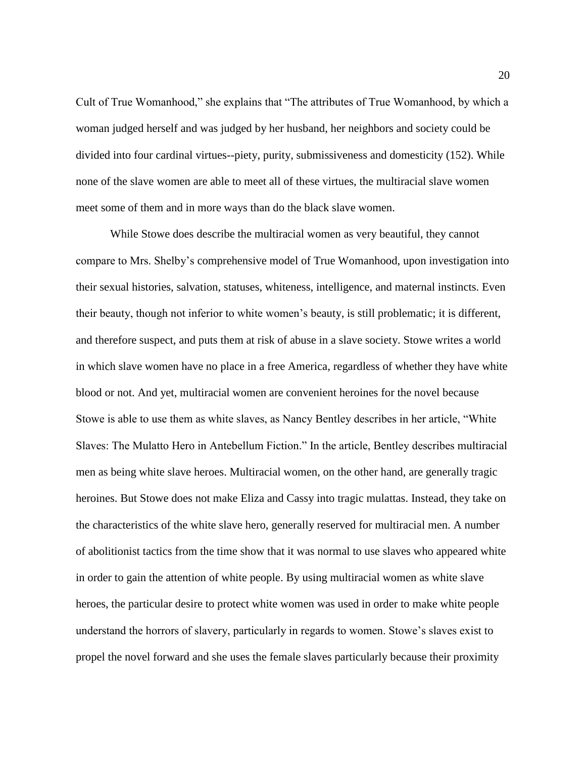Cult of True Womanhood," she explains that "The attributes of True Womanhood, by which a woman judged herself and was judged by her husband, her neighbors and society could be divided into four cardinal virtues--piety, purity, submissiveness and domesticity (152). While none of the slave women are able to meet all of these virtues, the multiracial slave women meet some of them and in more ways than do the black slave women.

While Stowe does describe the multiracial women as very beautiful, they cannot compare to Mrs. Shelby's comprehensive model of True Womanhood, upon investigation into their sexual histories, salvation, statuses, whiteness, intelligence, and maternal instincts. Even their beauty, though not inferior to white women's beauty, is still problematic; it is different, and therefore suspect, and puts them at risk of abuse in a slave society. Stowe writes a world in which slave women have no place in a free America, regardless of whether they have white blood or not. And yet, multiracial women are convenient heroines for the novel because Stowe is able to use them as white slaves, as Nancy Bentley describes in her article, "White Slaves: The Mulatto Hero in Antebellum Fiction." In the article, Bentley describes multiracial men as being white slave heroes. Multiracial women, on the other hand, are generally tragic heroines. But Stowe does not make Eliza and Cassy into tragic mulattas. Instead, they take on the characteristics of the white slave hero, generally reserved for multiracial men. A number of abolitionist tactics from the time show that it was normal to use slaves who appeared white in order to gain the attention of white people. By using multiracial women as white slave heroes, the particular desire to protect white women was used in order to make white people understand the horrors of slavery, particularly in regards to women. Stowe's slaves exist to propel the novel forward and she uses the female slaves particularly because their proximity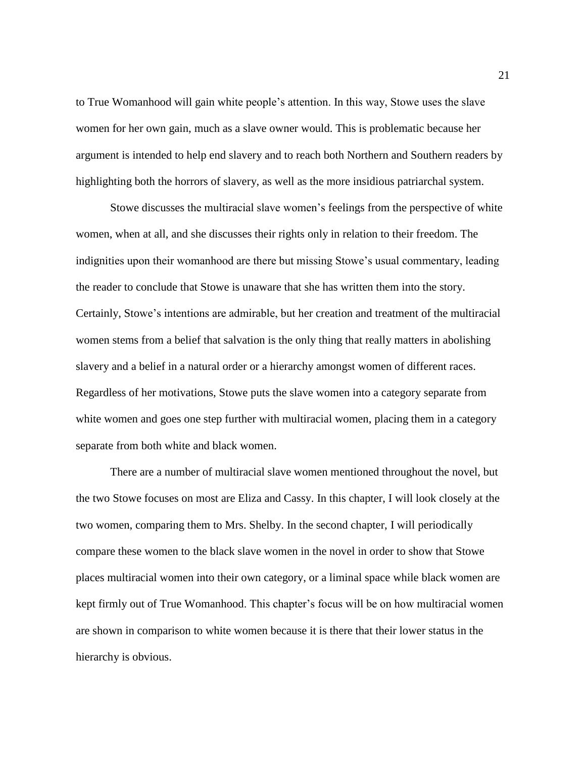to True Womanhood will gain white people's attention. In this way, Stowe uses the slave women for her own gain, much as a slave owner would. This is problematic because her argument is intended to help end slavery and to reach both Northern and Southern readers by highlighting both the horrors of slavery, as well as the more insidious patriarchal system.

Stowe discusses the multiracial slave women's feelings from the perspective of white women, when at all, and she discusses their rights only in relation to their freedom. The indignities upon their womanhood are there but missing Stowe's usual commentary, leading the reader to conclude that Stowe is unaware that she has written them into the story. Certainly, Stowe's intentions are admirable, but her creation and treatment of the multiracial women stems from a belief that salvation is the only thing that really matters in abolishing slavery and a belief in a natural order or a hierarchy amongst women of different races. Regardless of her motivations, Stowe puts the slave women into a category separate from white women and goes one step further with multiracial women, placing them in a category separate from both white and black women.

There are a number of multiracial slave women mentioned throughout the novel, but the two Stowe focuses on most are Eliza and Cassy. In this chapter, I will look closely at the two women, comparing them to Mrs. Shelby. In the second chapter, I will periodically compare these women to the black slave women in the novel in order to show that Stowe places multiracial women into their own category, or a liminal space while black women are kept firmly out of True Womanhood. This chapter's focus will be on how multiracial women are shown in comparison to white women because it is there that their lower status in the hierarchy is obvious.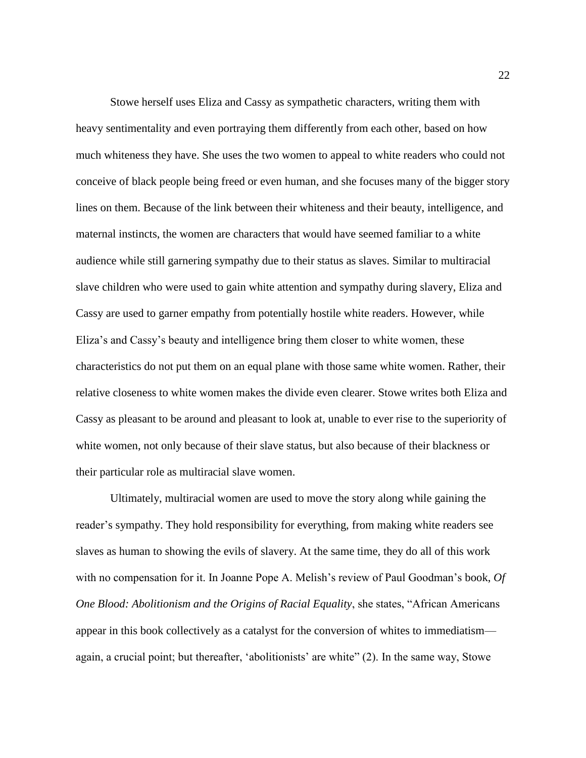Stowe herself uses Eliza and Cassy as sympathetic characters, writing them with heavy sentimentality and even portraying them differently from each other, based on how much whiteness they have. She uses the two women to appeal to white readers who could not conceive of black people being freed or even human, and she focuses many of the bigger story lines on them. Because of the link between their whiteness and their beauty, intelligence, and maternal instincts, the women are characters that would have seemed familiar to a white audience while still garnering sympathy due to their status as slaves. Similar to multiracial slave children who were used to gain white attention and sympathy during slavery, Eliza and Cassy are used to garner empathy from potentially hostile white readers. However, while Eliza's and Cassy's beauty and intelligence bring them closer to white women, these characteristics do not put them on an equal plane with those same white women. Rather, their relative closeness to white women makes the divide even clearer. Stowe writes both Eliza and Cassy as pleasant to be around and pleasant to look at, unable to ever rise to the superiority of white women, not only because of their slave status, but also because of their blackness or their particular role as multiracial slave women.

Ultimately, multiracial women are used to move the story along while gaining the reader's sympathy. They hold responsibility for everything, from making white readers see slaves as human to showing the evils of slavery. At the same time, they do all of this work with no compensation for it. In Joanne Pope A. Melish's review of Paul Goodman's book, *Of One Blood: Abolitionism and the Origins of Racial Equality*, she states, "African Americans appear in this book collectively as a catalyst for the conversion of whites to immediatism again, a crucial point; but thereafter, 'abolitionists' are white" (2). In the same way, Stowe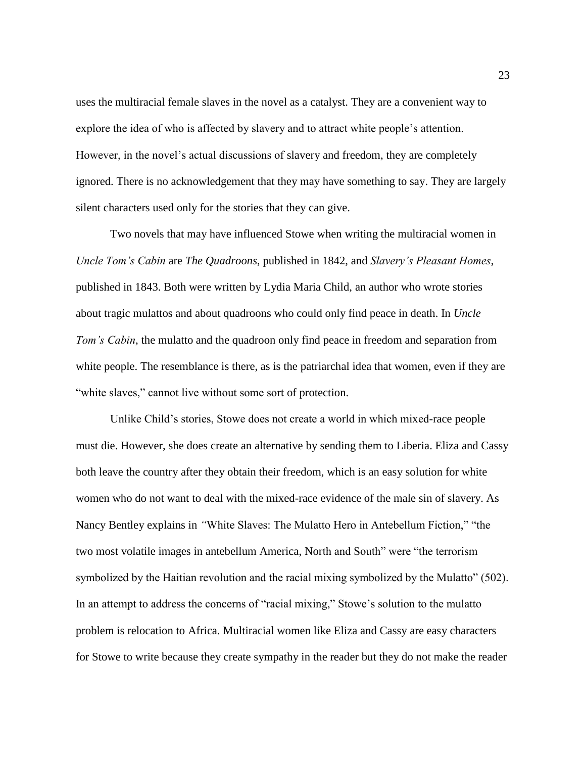uses the multiracial female slaves in the novel as a catalyst. They are a convenient way to explore the idea of who is affected by slavery and to attract white people's attention. However, in the novel's actual discussions of slavery and freedom, they are completely ignored. There is no acknowledgement that they may have something to say. They are largely silent characters used only for the stories that they can give.

Two novels that may have influenced Stowe when writing the multiracial women in *Uncle Tom's Cabin* are *The Quadroons*, published in 1842, and *Slavery's Pleasant Homes*, published in 1843. Both were written by Lydia Maria Child, an author who wrote stories about tragic mulattos and about quadroons who could only find peace in death. In *Uncle Tom's Cabin*, the mulatto and the quadroon only find peace in freedom and separation from white people. The resemblance is there, as is the patriarchal idea that women, even if they are "white slaves," cannot live without some sort of protection.

Unlike Child's stories, Stowe does not create a world in which mixed-race people must die. However, she does create an alternative by sending them to Liberia. Eliza and Cassy both leave the country after they obtain their freedom, which is an easy solution for white women who do not want to deal with the mixed-race evidence of the male sin of slavery. As Nancy Bentley explains in *"*White Slaves: The Mulatto Hero in Antebellum Fiction," "the two most volatile images in antebellum America, North and South" were "the terrorism symbolized by the Haitian revolution and the racial mixing symbolized by the Mulatto" (502). In an attempt to address the concerns of "racial mixing," Stowe's solution to the mulatto problem is relocation to Africa. Multiracial women like Eliza and Cassy are easy characters for Stowe to write because they create sympathy in the reader but they do not make the reader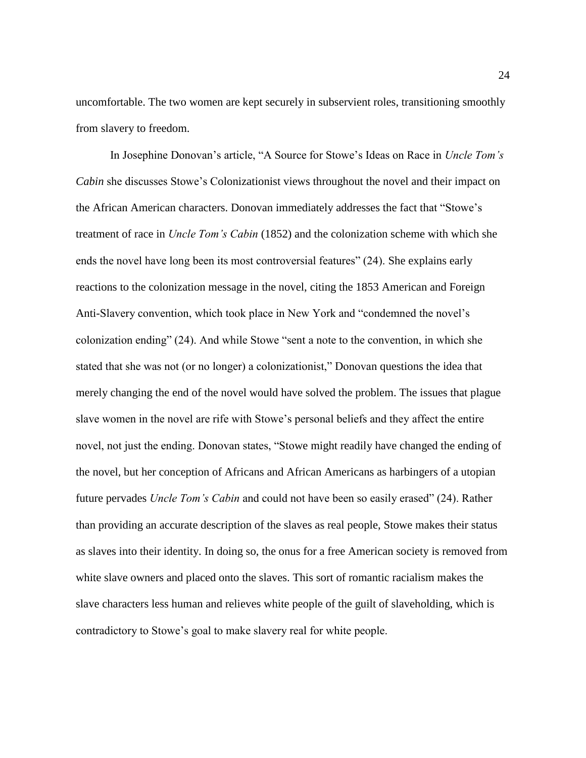uncomfortable. The two women are kept securely in subservient roles, transitioning smoothly from slavery to freedom.

In Josephine Donovan's article, "A Source for Stowe's Ideas on Race in *Uncle Tom's Cabin* she discusses Stowe's Colonizationist views throughout the novel and their impact on the African American characters. Donovan immediately addresses the fact that "Stowe's treatment of race in *Uncle Tom's Cabin* (1852) and the colonization scheme with which she ends the novel have long been its most controversial features" (24). She explains early reactions to the colonization message in the novel, citing the 1853 American and Foreign Anti-Slavery convention, which took place in New York and "condemned the novel's colonization ending" (24). And while Stowe "sent a note to the convention, in which she stated that she was not (or no longer) a colonizationist," Donovan questions the idea that merely changing the end of the novel would have solved the problem. The issues that plague slave women in the novel are rife with Stowe's personal beliefs and they affect the entire novel, not just the ending. Donovan states, "Stowe might readily have changed the ending of the novel, but her conception of Africans and African Americans as harbingers of a utopian future pervades *Uncle Tom's Cabin* and could not have been so easily erased" (24). Rather than providing an accurate description of the slaves as real people, Stowe makes their status as slaves into their identity. In doing so, the onus for a free American society is removed from white slave owners and placed onto the slaves. This sort of romantic racialism makes the slave characters less human and relieves white people of the guilt of slaveholding, which is contradictory to Stowe's goal to make slavery real for white people.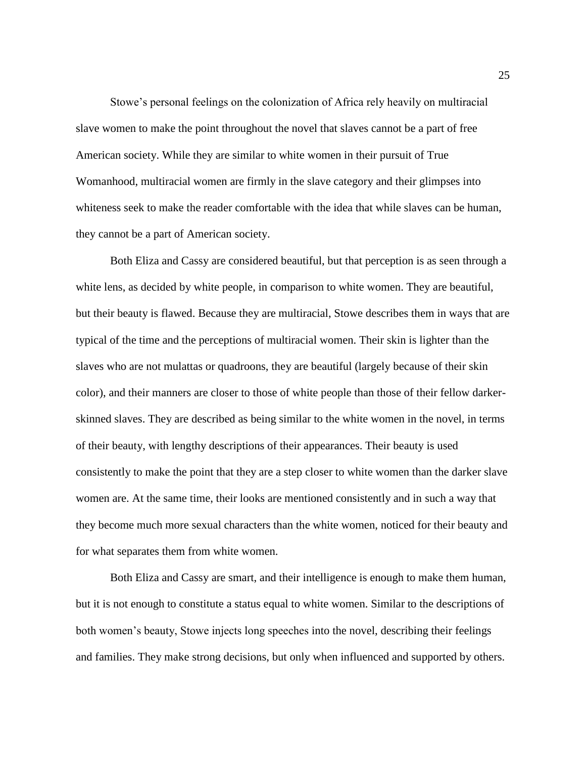Stowe's personal feelings on the colonization of Africa rely heavily on multiracial slave women to make the point throughout the novel that slaves cannot be a part of free American society. While they are similar to white women in their pursuit of True Womanhood, multiracial women are firmly in the slave category and their glimpses into whiteness seek to make the reader comfortable with the idea that while slaves can be human, they cannot be a part of American society.

Both Eliza and Cassy are considered beautiful, but that perception is as seen through a white lens, as decided by white people, in comparison to white women. They are beautiful, but their beauty is flawed. Because they are multiracial, Stowe describes them in ways that are typical of the time and the perceptions of multiracial women. Their skin is lighter than the slaves who are not mulattas or quadroons, they are beautiful (largely because of their skin color), and their manners are closer to those of white people than those of their fellow darkerskinned slaves. They are described as being similar to the white women in the novel, in terms of their beauty, with lengthy descriptions of their appearances. Their beauty is used consistently to make the point that they are a step closer to white women than the darker slave women are. At the same time, their looks are mentioned consistently and in such a way that they become much more sexual characters than the white women, noticed for their beauty and for what separates them from white women.

Both Eliza and Cassy are smart, and their intelligence is enough to make them human, but it is not enough to constitute a status equal to white women. Similar to the descriptions of both women's beauty, Stowe injects long speeches into the novel, describing their feelings and families. They make strong decisions, but only when influenced and supported by others.

25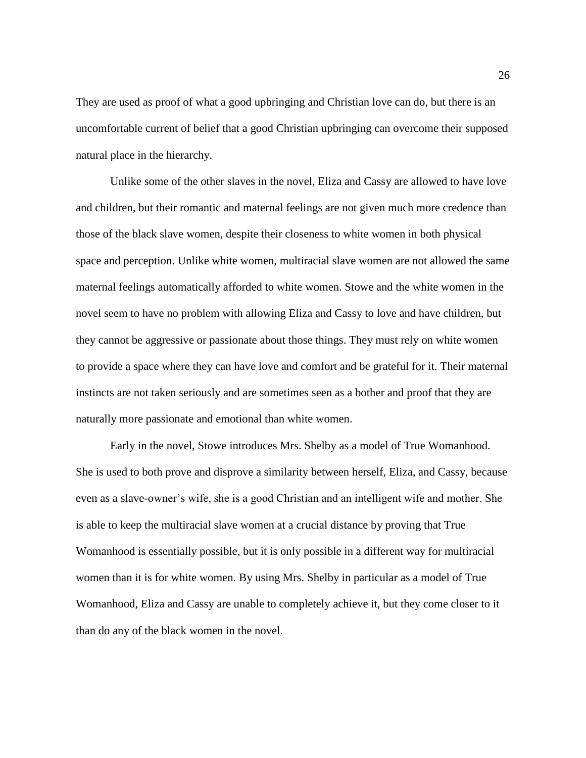They are used as proof of what a good upbringing and Christian love can do, but there is an uncomfortable current of belief that a good Christian upbringing can overcome their supposed natural place in the hierarchy.

Unlike some of the other slaves in the novel, Eliza and Cassy are allowed to have love and children, but their romantic and maternal feelings are not given much more credence than those of the black slave women, despite their closeness to white women in both physical space and perception. Unlike white women, multiracial slave women are not allowed the same maternal feelings automatically afforded to white women. Stowe and the white women in the novel seem to have no problem with allowing Eliza and Cassy to love and have children, but they cannot be aggressive or passionate about those things. They must rely on white women to provide a space where they can have love and comfort and be grateful for it. Their maternal instincts are not taken seriously and are sometimes seen as a bother and proof that they are naturally more passionate and emotional than white women.

Early in the novel, Stowe introduces Mrs. Shelby as a model of True Womanhood. She is used to both prove and disprove a similarity between herself, Eliza, and Cassy, because even as a slave-owner's wife, she is a good Christian and an intelligent wife and mother. She is able to keep the multiracial slave women at a crucial distance by proving that True Womanhood is essentially possible, but it is only possible in a different way for multiracial women than it is for white women. By using Mrs. Shelby in particular as a model of True Womanhood, Eliza and Cassy are unable to completely achieve it, but they come closer to it than do any of the black women in the novel.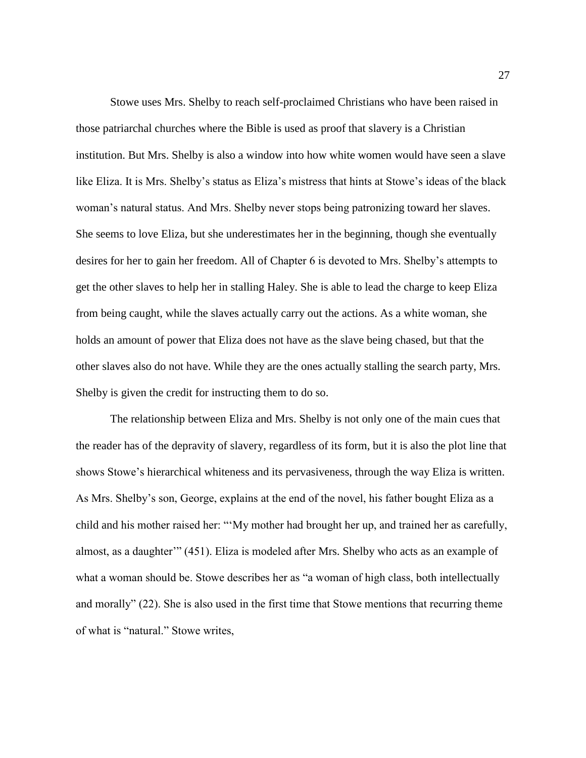Stowe uses Mrs. Shelby to reach self-proclaimed Christians who have been raised in those patriarchal churches where the Bible is used as proof that slavery is a Christian institution. But Mrs. Shelby is also a window into how white women would have seen a slave like Eliza. It is Mrs. Shelby's status as Eliza's mistress that hints at Stowe's ideas of the black woman's natural status. And Mrs. Shelby never stops being patronizing toward her slaves. She seems to love Eliza, but she underestimates her in the beginning, though she eventually desires for her to gain her freedom. All of Chapter 6 is devoted to Mrs. Shelby's attempts to get the other slaves to help her in stalling Haley. She is able to lead the charge to keep Eliza from being caught, while the slaves actually carry out the actions. As a white woman, she holds an amount of power that Eliza does not have as the slave being chased, but that the other slaves also do not have. While they are the ones actually stalling the search party, Mrs. Shelby is given the credit for instructing them to do so.

The relationship between Eliza and Mrs. Shelby is not only one of the main cues that the reader has of the depravity of slavery, regardless of its form, but it is also the plot line that shows Stowe's hierarchical whiteness and its pervasiveness, through the way Eliza is written. As Mrs. Shelby's son, George, explains at the end of the novel, his father bought Eliza as a child and his mother raised her: "'My mother had brought her up, and trained her as carefully, almost, as a daughter'" (451). Eliza is modeled after Mrs. Shelby who acts as an example of what a woman should be. Stowe describes her as "a woman of high class, both intellectually and morally" (22). She is also used in the first time that Stowe mentions that recurring theme of what is "natural." Stowe writes,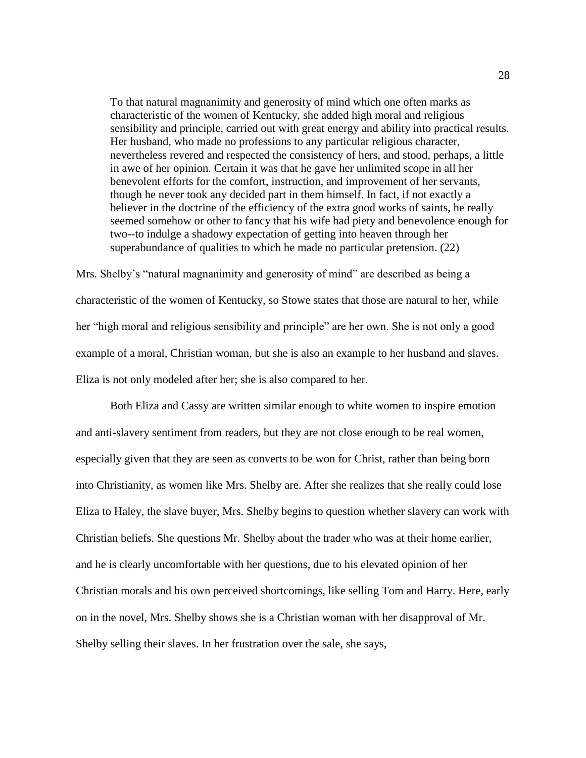To that natural magnanimity and generosity of mind which one often marks as characteristic of the women of Kentucky, she added high moral and religious sensibility and principle, carried out with great energy and ability into practical results. Her husband, who made no professions to any particular religious character, nevertheless revered and respected the consistency of hers, and stood, perhaps, a little in awe of her opinion. Certain it was that he gave her unlimited scope in all her benevolent efforts for the comfort, instruction, and improvement of her servants, though he never took any decided part in them himself. In fact, if not exactly a believer in the doctrine of the efficiency of the extra good works of saints, he really seemed somehow or other to fancy that his wife had piety and benevolence enough for two--to indulge a shadowy expectation of getting into heaven through her superabundance of qualities to which he made no particular pretension. (22)

Mrs. Shelby's "natural magnanimity and generosity of mind" are described as being a characteristic of the women of Kentucky, so Stowe states that those are natural to her, while her "high moral and religious sensibility and principle" are her own. She is not only a good example of a moral, Christian woman, but she is also an example to her husband and slaves. Eliza is not only modeled after her; she is also compared to her.

Both Eliza and Cassy are written similar enough to white women to inspire emotion and anti-slavery sentiment from readers, but they are not close enough to be real women, especially given that they are seen as converts to be won for Christ, rather than being born into Christianity, as women like Mrs. Shelby are. After she realizes that she really could lose Eliza to Haley, the slave buyer, Mrs. Shelby begins to question whether slavery can work with Christian beliefs. She questions Mr. Shelby about the trader who was at their home earlier, and he is clearly uncomfortable with her questions, due to his elevated opinion of her Christian morals and his own perceived shortcomings, like selling Tom and Harry. Here, early on in the novel, Mrs. Shelby shows she is a Christian woman with her disapproval of Mr. Shelby selling their slaves. In her frustration over the sale, she says,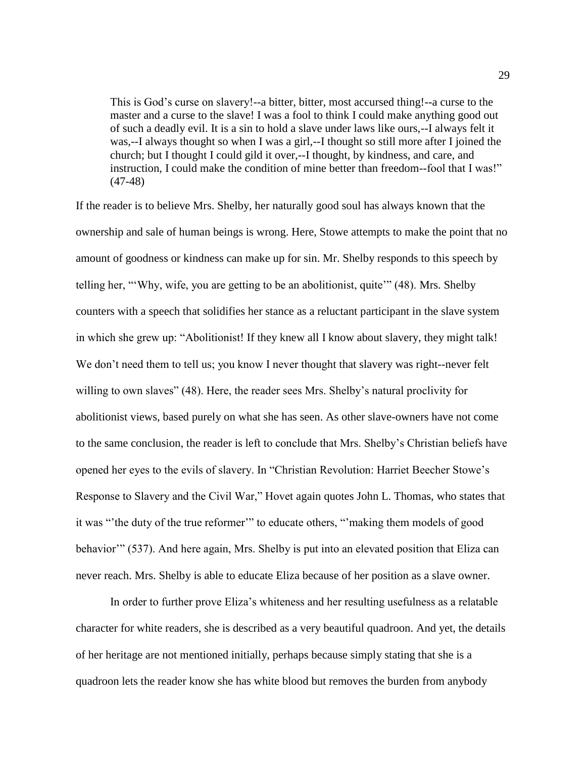This is God's curse on slavery!--a bitter, bitter, most accursed thing!--a curse to the master and a curse to the slave! I was a fool to think I could make anything good out of such a deadly evil. It is a sin to hold a slave under laws like ours,--I always felt it was,--I always thought so when I was a girl,--I thought so still more after I joined the church; but I thought I could gild it over,--I thought, by kindness, and care, and instruction, I could make the condition of mine better than freedom--fool that I was!" (47-48)

If the reader is to believe Mrs. Shelby, her naturally good soul has always known that the ownership and sale of human beings is wrong. Here, Stowe attempts to make the point that no amount of goodness or kindness can make up for sin. Mr. Shelby responds to this speech by telling her, "'Why, wife, you are getting to be an abolitionist, quite'" (48). Mrs. Shelby counters with a speech that solidifies her stance as a reluctant participant in the slave system in which she grew up: "Abolitionist! If they knew all I know about slavery, they might talk! We don't need them to tell us; you know I never thought that slavery was right--never felt willing to own slaves" (48). Here, the reader sees Mrs. Shelby's natural proclivity for abolitionist views, based purely on what she has seen. As other slave-owners have not come to the same conclusion, the reader is left to conclude that Mrs. Shelby's Christian beliefs have opened her eyes to the evils of slavery. In "Christian Revolution: Harriet Beecher Stowe's Response to Slavery and the Civil War," Hovet again quotes John L. Thomas, who states that it was "'the duty of the true reformer'" to educate others, "'making them models of good behavior" (537). And here again, Mrs. Shelby is put into an elevated position that Eliza can never reach. Mrs. Shelby is able to educate Eliza because of her position as a slave owner.

In order to further prove Eliza's whiteness and her resulting usefulness as a relatable character for white readers, she is described as a very beautiful quadroon. And yet, the details of her heritage are not mentioned initially, perhaps because simply stating that she is a quadroon lets the reader know she has white blood but removes the burden from anybody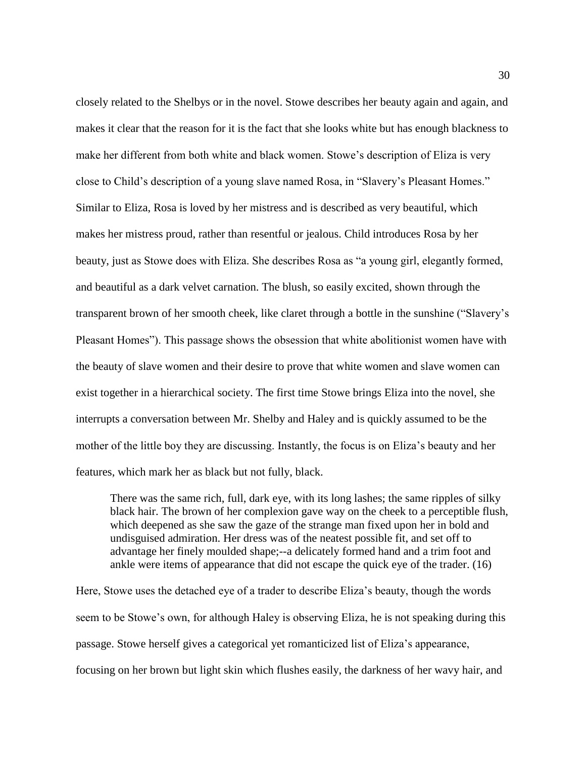closely related to the Shelbys or in the novel. Stowe describes her beauty again and again, and makes it clear that the reason for it is the fact that she looks white but has enough blackness to make her different from both white and black women. Stowe's description of Eliza is very close to Child's description of a young slave named Rosa, in "Slavery's Pleasant Homes." Similar to Eliza, Rosa is loved by her mistress and is described as very beautiful, which makes her mistress proud, rather than resentful or jealous. Child introduces Rosa by her beauty, just as Stowe does with Eliza. She describes Rosa as "a young girl, elegantly formed, and beautiful as a dark velvet carnation. The blush, so easily excited, shown through the transparent brown of her smooth cheek, like claret through a bottle in the sunshine ("Slavery's Pleasant Homes"). This passage shows the obsession that white abolitionist women have with the beauty of slave women and their desire to prove that white women and slave women can exist together in a hierarchical society. The first time Stowe brings Eliza into the novel, she interrupts a conversation between Mr. Shelby and Haley and is quickly assumed to be the mother of the little boy they are discussing. Instantly, the focus is on Eliza's beauty and her features, which mark her as black but not fully, black.

There was the same rich, full, dark eye, with its long lashes; the same ripples of silky black hair. The brown of her complexion gave way on the cheek to a perceptible flush, which deepened as she saw the gaze of the strange man fixed upon her in bold and undisguised admiration. Her dress was of the neatest possible fit, and set off to advantage her finely moulded shape;--a delicately formed hand and a trim foot and ankle were items of appearance that did not escape the quick eye of the trader. (16)

Here, Stowe uses the detached eye of a trader to describe Eliza's beauty, though the words seem to be Stowe's own, for although Haley is observing Eliza, he is not speaking during this passage. Stowe herself gives a categorical yet romanticized list of Eliza's appearance, focusing on her brown but light skin which flushes easily, the darkness of her wavy hair, and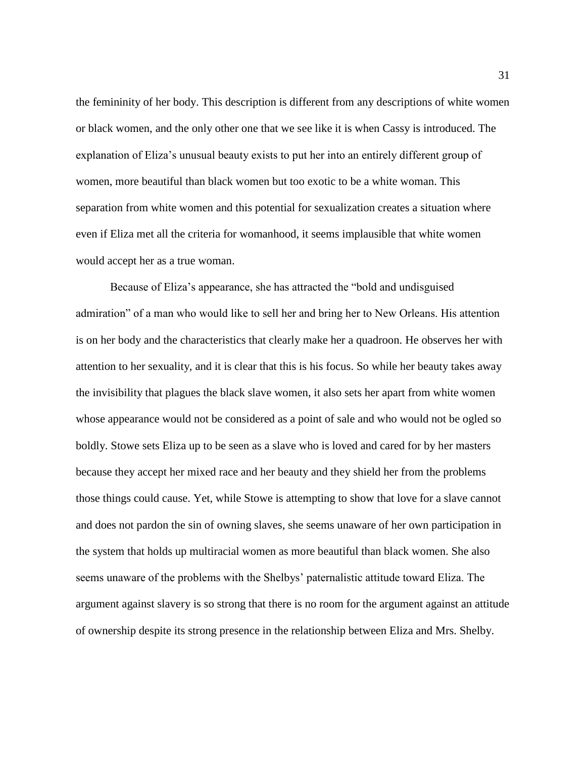the femininity of her body. This description is different from any descriptions of white women or black women, and the only other one that we see like it is when Cassy is introduced. The explanation of Eliza's unusual beauty exists to put her into an entirely different group of women, more beautiful than black women but too exotic to be a white woman. This separation from white women and this potential for sexualization creates a situation where even if Eliza met all the criteria for womanhood, it seems implausible that white women would accept her as a true woman.

Because of Eliza's appearance, she has attracted the "bold and undisguised admiration" of a man who would like to sell her and bring her to New Orleans. His attention is on her body and the characteristics that clearly make her a quadroon. He observes her with attention to her sexuality, and it is clear that this is his focus. So while her beauty takes away the invisibility that plagues the black slave women, it also sets her apart from white women whose appearance would not be considered as a point of sale and who would not be ogled so boldly. Stowe sets Eliza up to be seen as a slave who is loved and cared for by her masters because they accept her mixed race and her beauty and they shield her from the problems those things could cause. Yet, while Stowe is attempting to show that love for a slave cannot and does not pardon the sin of owning slaves, she seems unaware of her own participation in the system that holds up multiracial women as more beautiful than black women. She also seems unaware of the problems with the Shelbys' paternalistic attitude toward Eliza. The argument against slavery is so strong that there is no room for the argument against an attitude of ownership despite its strong presence in the relationship between Eliza and Mrs. Shelby.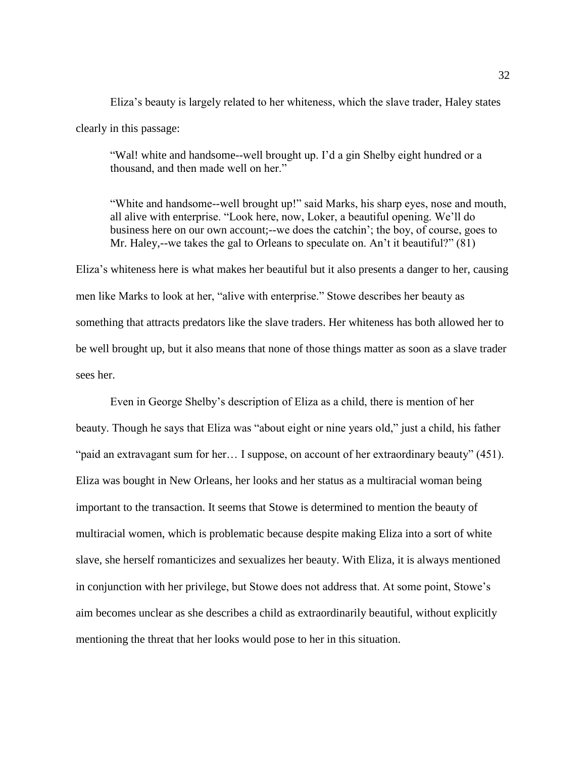Eliza's beauty is largely related to her whiteness, which the slave trader, Haley states clearly in this passage:

"Wal! white and handsome--well brought up. I'd a gin Shelby eight hundred or a thousand, and then made well on her."

"White and handsome--well brought up!" said Marks, his sharp eyes, nose and mouth, all alive with enterprise. "Look here, now, Loker, a beautiful opening. We'll do business here on our own account;--we does the catchin'; the boy, of course, goes to Mr. Haley,--we takes the gal to Orleans to speculate on. An't it beautiful?" (81)

Eliza's whiteness here is what makes her beautiful but it also presents a danger to her, causing men like Marks to look at her, "alive with enterprise." Stowe describes her beauty as something that attracts predators like the slave traders. Her whiteness has both allowed her to be well brought up, but it also means that none of those things matter as soon as a slave trader sees her.

Even in George Shelby's description of Eliza as a child, there is mention of her beauty. Though he says that Eliza was "about eight or nine years old," just a child, his father "paid an extravagant sum for her… I suppose, on account of her extraordinary beauty" (451). Eliza was bought in New Orleans, her looks and her status as a multiracial woman being important to the transaction. It seems that Stowe is determined to mention the beauty of multiracial women, which is problematic because despite making Eliza into a sort of white slave, she herself romanticizes and sexualizes her beauty. With Eliza, it is always mentioned in conjunction with her privilege, but Stowe does not address that. At some point, Stowe's aim becomes unclear as she describes a child as extraordinarily beautiful, without explicitly mentioning the threat that her looks would pose to her in this situation.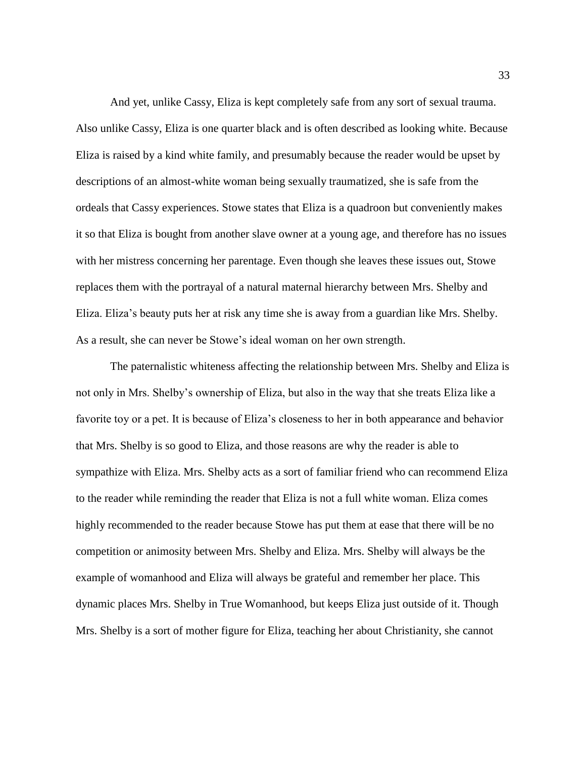And yet, unlike Cassy, Eliza is kept completely safe from any sort of sexual trauma. Also unlike Cassy, Eliza is one quarter black and is often described as looking white. Because Eliza is raised by a kind white family, and presumably because the reader would be upset by descriptions of an almost-white woman being sexually traumatized, she is safe from the ordeals that Cassy experiences. Stowe states that Eliza is a quadroon but conveniently makes it so that Eliza is bought from another slave owner at a young age, and therefore has no issues with her mistress concerning her parentage. Even though she leaves these issues out, Stowe replaces them with the portrayal of a natural maternal hierarchy between Mrs. Shelby and Eliza. Eliza's beauty puts her at risk any time she is away from a guardian like Mrs. Shelby. As a result, she can never be Stowe's ideal woman on her own strength.

The paternalistic whiteness affecting the relationship between Mrs. Shelby and Eliza is not only in Mrs. Shelby's ownership of Eliza, but also in the way that she treats Eliza like a favorite toy or a pet. It is because of Eliza's closeness to her in both appearance and behavior that Mrs. Shelby is so good to Eliza, and those reasons are why the reader is able to sympathize with Eliza. Mrs. Shelby acts as a sort of familiar friend who can recommend Eliza to the reader while reminding the reader that Eliza is not a full white woman. Eliza comes highly recommended to the reader because Stowe has put them at ease that there will be no competition or animosity between Mrs. Shelby and Eliza. Mrs. Shelby will always be the example of womanhood and Eliza will always be grateful and remember her place. This dynamic places Mrs. Shelby in True Womanhood, but keeps Eliza just outside of it. Though Mrs. Shelby is a sort of mother figure for Eliza, teaching her about Christianity, she cannot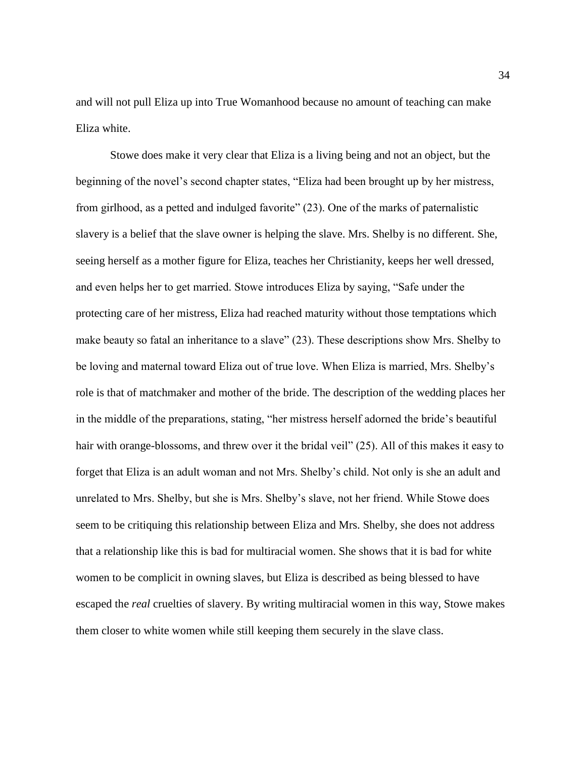and will not pull Eliza up into True Womanhood because no amount of teaching can make Eliza white.

Stowe does make it very clear that Eliza is a living being and not an object, but the beginning of the novel's second chapter states, "Eliza had been brought up by her mistress, from girlhood, as a petted and indulged favorite" (23). One of the marks of paternalistic slavery is a belief that the slave owner is helping the slave. Mrs. Shelby is no different. She, seeing herself as a mother figure for Eliza, teaches her Christianity, keeps her well dressed, and even helps her to get married. Stowe introduces Eliza by saying, "Safe under the protecting care of her mistress, Eliza had reached maturity without those temptations which make beauty so fatal an inheritance to a slave" (23). These descriptions show Mrs. Shelby to be loving and maternal toward Eliza out of true love. When Eliza is married, Mrs. Shelby's role is that of matchmaker and mother of the bride. The description of the wedding places her in the middle of the preparations, stating, "her mistress herself adorned the bride's beautiful hair with orange-blossoms, and threw over it the bridal veil" (25). All of this makes it easy to forget that Eliza is an adult woman and not Mrs. Shelby's child. Not only is she an adult and unrelated to Mrs. Shelby, but she is Mrs. Shelby's slave, not her friend. While Stowe does seem to be critiquing this relationship between Eliza and Mrs. Shelby, she does not address that a relationship like this is bad for multiracial women. She shows that it is bad for white women to be complicit in owning slaves, but Eliza is described as being blessed to have escaped the *real* cruelties of slavery. By writing multiracial women in this way, Stowe makes them closer to white women while still keeping them securely in the slave class.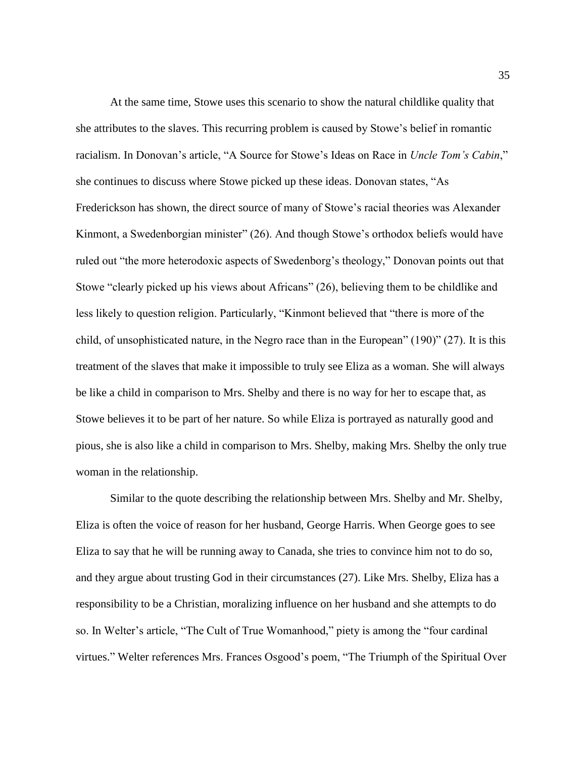At the same time, Stowe uses this scenario to show the natural childlike quality that she attributes to the slaves. This recurring problem is caused by Stowe's belief in romantic racialism. In Donovan's article, "A Source for Stowe's Ideas on Race in *Uncle Tom's Cabin*," she continues to discuss where Stowe picked up these ideas. Donovan states, "As Frederickson has shown, the direct source of many of Stowe's racial theories was Alexander Kinmont, a Swedenborgian minister" (26). And though Stowe's orthodox beliefs would have ruled out "the more heterodoxic aspects of Swedenborg's theology," Donovan points out that Stowe "clearly picked up his views about Africans" (26), believing them to be childlike and less likely to question religion. Particularly, "Kinmont believed that "there is more of the child, of unsophisticated nature, in the Negro race than in the European" (190)" (27). It is this treatment of the slaves that make it impossible to truly see Eliza as a woman. She will always be like a child in comparison to Mrs. Shelby and there is no way for her to escape that, as Stowe believes it to be part of her nature. So while Eliza is portrayed as naturally good and pious, she is also like a child in comparison to Mrs. Shelby, making Mrs. Shelby the only true woman in the relationship.

Similar to the quote describing the relationship between Mrs. Shelby and Mr. Shelby, Eliza is often the voice of reason for her husband, George Harris. When George goes to see Eliza to say that he will be running away to Canada, she tries to convince him not to do so, and they argue about trusting God in their circumstances (27). Like Mrs. Shelby, Eliza has a responsibility to be a Christian, moralizing influence on her husband and she attempts to do so. In Welter's article, "The Cult of True Womanhood," piety is among the "four cardinal virtues." Welter references Mrs. Frances Osgood's poem, "The Triumph of the Spiritual Over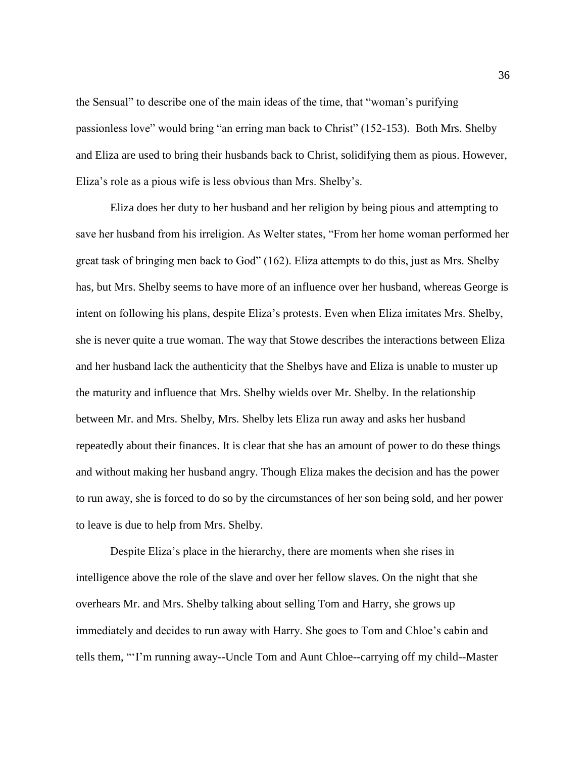the Sensual" to describe one of the main ideas of the time, that "woman's purifying passionless love" would bring "an erring man back to Christ" (152-153). Both Mrs. Shelby and Eliza are used to bring their husbands back to Christ, solidifying them as pious. However, Eliza's role as a pious wife is less obvious than Mrs. Shelby's.

Eliza does her duty to her husband and her religion by being pious and attempting to save her husband from his irreligion. As Welter states, "From her home woman performed her great task of bringing men back to God" (162). Eliza attempts to do this, just as Mrs. Shelby has, but Mrs. Shelby seems to have more of an influence over her husband, whereas George is intent on following his plans, despite Eliza's protests. Even when Eliza imitates Mrs. Shelby, she is never quite a true woman. The way that Stowe describes the interactions between Eliza and her husband lack the authenticity that the Shelbys have and Eliza is unable to muster up the maturity and influence that Mrs. Shelby wields over Mr. Shelby. In the relationship between Mr. and Mrs. Shelby, Mrs. Shelby lets Eliza run away and asks her husband repeatedly about their finances. It is clear that she has an amount of power to do these things and without making her husband angry. Though Eliza makes the decision and has the power to run away, she is forced to do so by the circumstances of her son being sold, and her power to leave is due to help from Mrs. Shelby.

Despite Eliza's place in the hierarchy, there are moments when she rises in intelligence above the role of the slave and over her fellow slaves. On the night that she overhears Mr. and Mrs. Shelby talking about selling Tom and Harry, she grows up immediately and decides to run away with Harry. She goes to Tom and Chloe's cabin and tells them, "'I'm running away--Uncle Tom and Aunt Chloe--carrying off my child--Master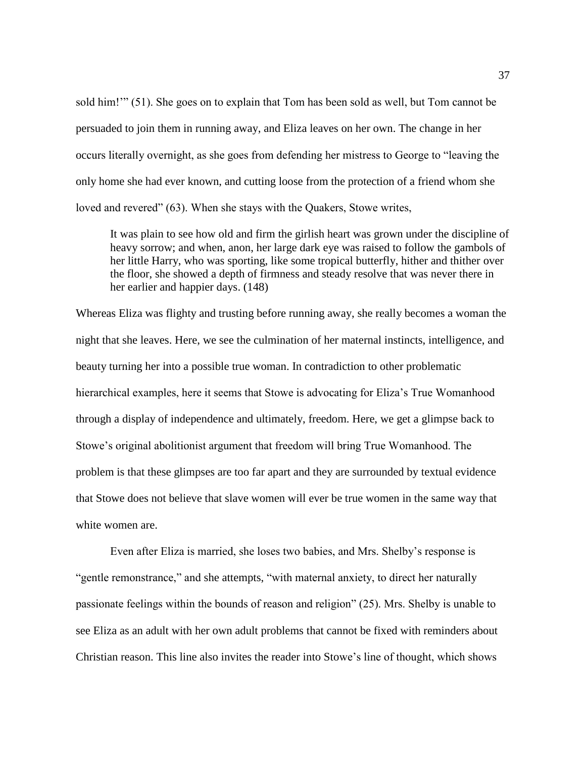sold him!'" (51). She goes on to explain that Tom has been sold as well, but Tom cannot be persuaded to join them in running away, and Eliza leaves on her own. The change in her occurs literally overnight, as she goes from defending her mistress to George to "leaving the only home she had ever known, and cutting loose from the protection of a friend whom she loved and revered" (63). When she stays with the Quakers, Stowe writes,

It was plain to see how old and firm the girlish heart was grown under the discipline of heavy sorrow; and when, anon, her large dark eye was raised to follow the gambols of her little Harry, who was sporting, like some tropical butterfly, hither and thither over the floor, she showed a depth of firmness and steady resolve that was never there in her earlier and happier days. (148)

Whereas Eliza was flighty and trusting before running away, she really becomes a woman the night that she leaves. Here, we see the culmination of her maternal instincts, intelligence, and beauty turning her into a possible true woman. In contradiction to other problematic hierarchical examples, here it seems that Stowe is advocating for Eliza's True Womanhood through a display of independence and ultimately, freedom. Here, we get a glimpse back to Stowe's original abolitionist argument that freedom will bring True Womanhood. The problem is that these glimpses are too far apart and they are surrounded by textual evidence that Stowe does not believe that slave women will ever be true women in the same way that white women are.

Even after Eliza is married, she loses two babies, and Mrs. Shelby's response is "gentle remonstrance," and she attempts, "with maternal anxiety, to direct her naturally passionate feelings within the bounds of reason and religion" (25). Mrs. Shelby is unable to see Eliza as an adult with her own adult problems that cannot be fixed with reminders about Christian reason. This line also invites the reader into Stowe's line of thought, which shows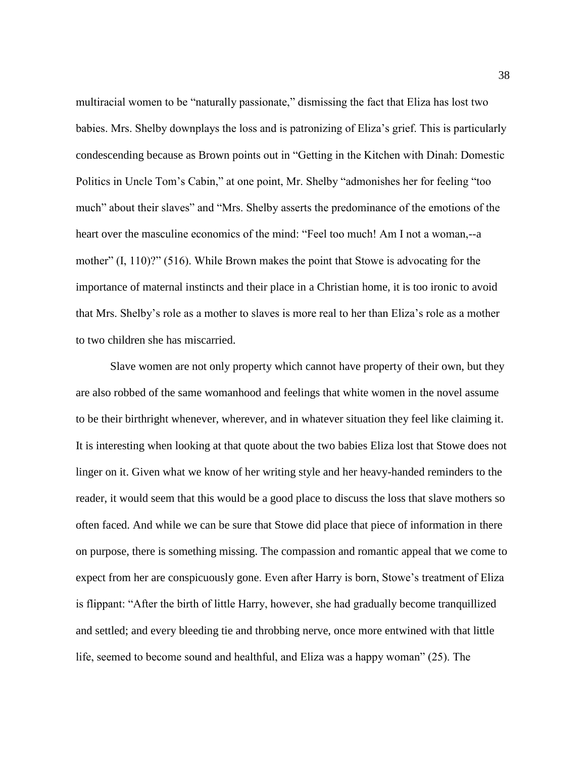multiracial women to be "naturally passionate," dismissing the fact that Eliza has lost two babies. Mrs. Shelby downplays the loss and is patronizing of Eliza's grief. This is particularly condescending because as Brown points out in "Getting in the Kitchen with Dinah: Domestic Politics in Uncle Tom's Cabin," at one point, Mr. Shelby "admonishes her for feeling "too much" about their slaves" and "Mrs. Shelby asserts the predominance of the emotions of the heart over the masculine economics of the mind: "Feel too much! Am I not a woman,--a mother" (I, 110)?" (516). While Brown makes the point that Stowe is advocating for the importance of maternal instincts and their place in a Christian home, it is too ironic to avoid that Mrs. Shelby's role as a mother to slaves is more real to her than Eliza's role as a mother to two children she has miscarried.

Slave women are not only property which cannot have property of their own, but they are also robbed of the same womanhood and feelings that white women in the novel assume to be their birthright whenever, wherever, and in whatever situation they feel like claiming it. It is interesting when looking at that quote about the two babies Eliza lost that Stowe does not linger on it. Given what we know of her writing style and her heavy-handed reminders to the reader, it would seem that this would be a good place to discuss the loss that slave mothers so often faced. And while we can be sure that Stowe did place that piece of information in there on purpose, there is something missing. The compassion and romantic appeal that we come to expect from her are conspicuously gone. Even after Harry is born, Stowe's treatment of Eliza is flippant: "After the birth of little Harry, however, she had gradually become tranquillized and settled; and every bleeding tie and throbbing nerve, once more entwined with that little life, seemed to become sound and healthful, and Eliza was a happy woman" (25). The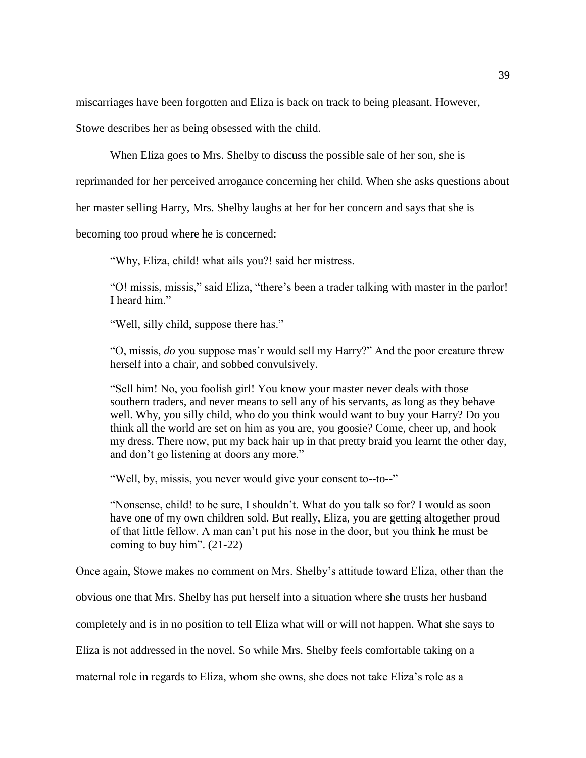miscarriages have been forgotten and Eliza is back on track to being pleasant. However,

Stowe describes her as being obsessed with the child.

When Eliza goes to Mrs. Shelby to discuss the possible sale of her son, she is

reprimanded for her perceived arrogance concerning her child. When she asks questions about

her master selling Harry, Mrs. Shelby laughs at her for her concern and says that she is

becoming too proud where he is concerned:

"Why, Eliza, child! what ails you?! said her mistress.

"O! missis, missis," said Eliza, "there's been a trader talking with master in the parlor! I heard him."

"Well, silly child, suppose there has."

"O, missis, *do* you suppose mas'r would sell my Harry?" And the poor creature threw herself into a chair, and sobbed convulsively.

"Sell him! No, you foolish girl! You know your master never deals with those southern traders, and never means to sell any of his servants, as long as they behave well. Why, you silly child, who do you think would want to buy your Harry? Do you think all the world are set on him as you are, you goosie? Come, cheer up, and hook my dress. There now, put my back hair up in that pretty braid you learnt the other day, and don't go listening at doors any more."

"Well, by, missis, you never would give your consent to--to--"

"Nonsense, child! to be sure, I shouldn't. What do you talk so for? I would as soon have one of my own children sold. But really, Eliza, you are getting altogether proud of that little fellow. A man can't put his nose in the door, but you think he must be coming to buy him". (21-22)

Once again, Stowe makes no comment on Mrs. Shelby's attitude toward Eliza, other than the

obvious one that Mrs. Shelby has put herself into a situation where she trusts her husband

completely and is in no position to tell Eliza what will or will not happen. What she says to

Eliza is not addressed in the novel. So while Mrs. Shelby feels comfortable taking on a

maternal role in regards to Eliza, whom she owns, she does not take Eliza's role as a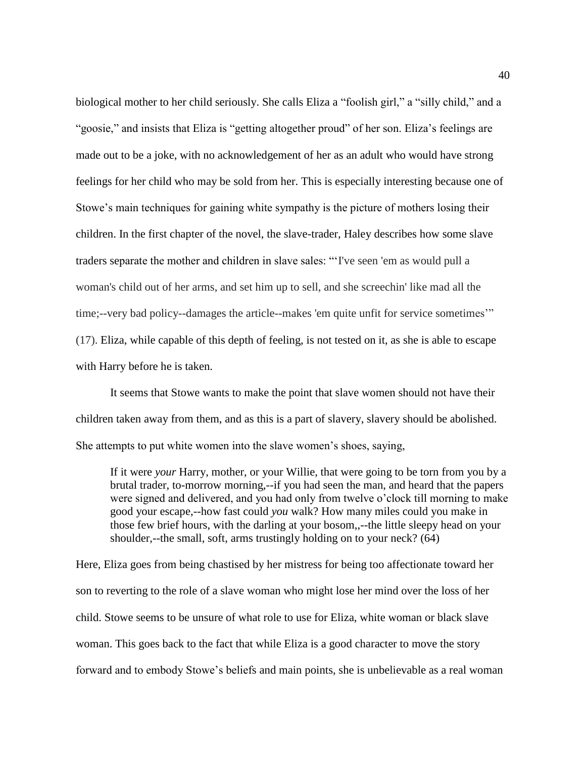biological mother to her child seriously. She calls Eliza a "foolish girl," a "silly child," and a "goosie," and insists that Eliza is "getting altogether proud" of her son. Eliza's feelings are made out to be a joke, with no acknowledgement of her as an adult who would have strong feelings for her child who may be sold from her. This is especially interesting because one of Stowe's main techniques for gaining white sympathy is the picture of mothers losing their children. In the first chapter of the novel, the slave-trader, Haley describes how some slave traders separate the mother and children in slave sales: "'I've seen 'em as would pull a woman's child out of her arms, and set him up to sell, and she screechin' like mad all the time;--very bad policy--damages the article--makes 'em quite unfit for service sometimes'" (17). Eliza, while capable of this depth of feeling, is not tested on it, as she is able to escape with Harry before he is taken.

It seems that Stowe wants to make the point that slave women should not have their children taken away from them, and as this is a part of slavery, slavery should be abolished. She attempts to put white women into the slave women's shoes, saying,

If it were *your* Harry, mother, or your Willie, that were going to be torn from you by a brutal trader, to-morrow morning,--if you had seen the man, and heard that the papers were signed and delivered, and you had only from twelve o'clock till morning to make good your escape,--how fast could *you* walk? How many miles could you make in those few brief hours, with the darling at your bosom,,--the little sleepy head on your shoulder,--the small, soft, arms trustingly holding on to your neck? (64)

Here, Eliza goes from being chastised by her mistress for being too affectionate toward her son to reverting to the role of a slave woman who might lose her mind over the loss of her child. Stowe seems to be unsure of what role to use for Eliza, white woman or black slave woman. This goes back to the fact that while Eliza is a good character to move the story forward and to embody Stowe's beliefs and main points, she is unbelievable as a real woman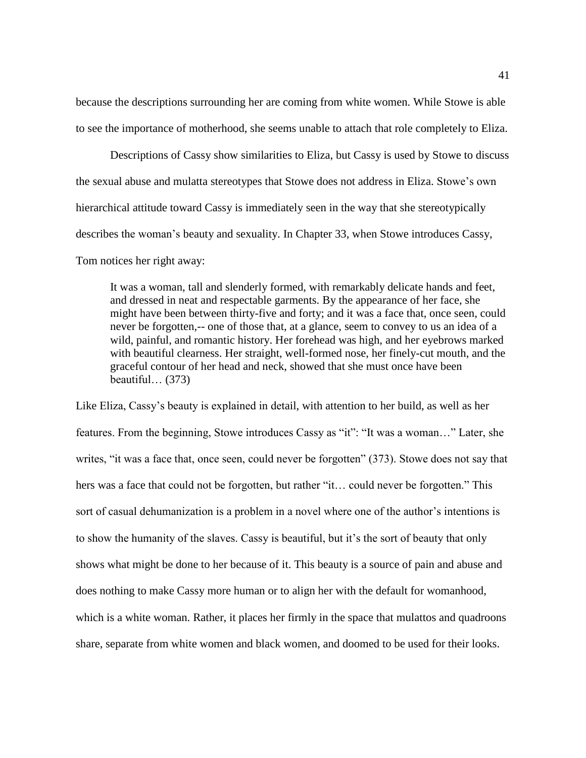because the descriptions surrounding her are coming from white women. While Stowe is able to see the importance of motherhood, she seems unable to attach that role completely to Eliza.

Descriptions of Cassy show similarities to Eliza, but Cassy is used by Stowe to discuss the sexual abuse and mulatta stereotypes that Stowe does not address in Eliza. Stowe's own hierarchical attitude toward Cassy is immediately seen in the way that she stereotypically describes the woman's beauty and sexuality. In Chapter 33, when Stowe introduces Cassy, Tom notices her right away:

It was a woman, tall and slenderly formed, with remarkably delicate hands and feet, and dressed in neat and respectable garments. By the appearance of her face, she might have been between thirty-five and forty; and it was a face that, once seen, could never be forgotten,-- one of those that, at a glance, seem to convey to us an idea of a wild, painful, and romantic history. Her forehead was high, and her eyebrows marked with beautiful clearness. Her straight, well-formed nose, her finely-cut mouth, and the graceful contour of her head and neck, showed that she must once have been beautiful… (373)

Like Eliza, Cassy's beauty is explained in detail, with attention to her build, as well as her features. From the beginning, Stowe introduces Cassy as "it": "It was a woman…" Later, she writes, "it was a face that, once seen, could never be forgotten" (373). Stowe does not say that hers was a face that could not be forgotten, but rather "it… could never be forgotten." This sort of casual dehumanization is a problem in a novel where one of the author's intentions is to show the humanity of the slaves. Cassy is beautiful, but it's the sort of beauty that only shows what might be done to her because of it. This beauty is a source of pain and abuse and does nothing to make Cassy more human or to align her with the default for womanhood, which is a white woman. Rather, it places her firmly in the space that mulattos and quadroons share, separate from white women and black women, and doomed to be used for their looks.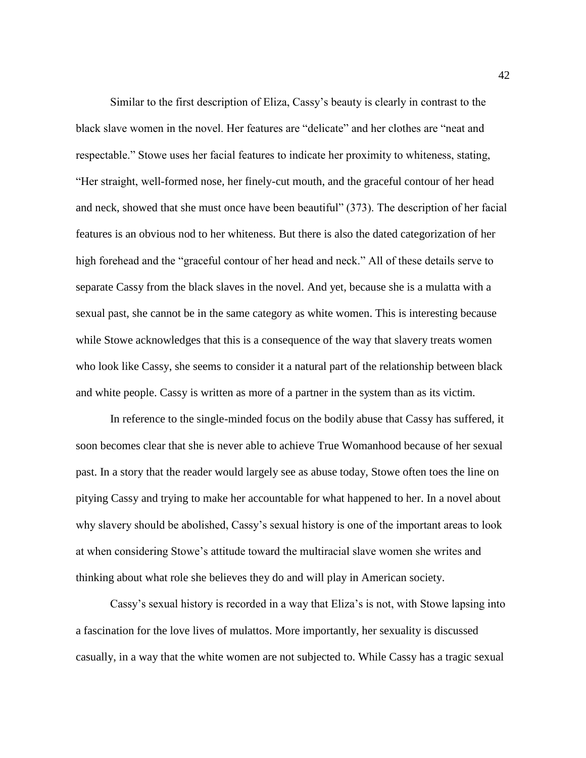Similar to the first description of Eliza, Cassy's beauty is clearly in contrast to the black slave women in the novel. Her features are "delicate" and her clothes are "neat and respectable." Stowe uses her facial features to indicate her proximity to whiteness, stating, "Her straight, well-formed nose, her finely-cut mouth, and the graceful contour of her head and neck, showed that she must once have been beautiful" (373). The description of her facial features is an obvious nod to her whiteness. But there is also the dated categorization of her high forehead and the "graceful contour of her head and neck." All of these details serve to separate Cassy from the black slaves in the novel. And yet, because she is a mulatta with a sexual past, she cannot be in the same category as white women. This is interesting because while Stowe acknowledges that this is a consequence of the way that slavery treats women who look like Cassy, she seems to consider it a natural part of the relationship between black and white people. Cassy is written as more of a partner in the system than as its victim.

In reference to the single-minded focus on the bodily abuse that Cassy has suffered, it soon becomes clear that she is never able to achieve True Womanhood because of her sexual past. In a story that the reader would largely see as abuse today, Stowe often toes the line on pitying Cassy and trying to make her accountable for what happened to her. In a novel about why slavery should be abolished, Cassy's sexual history is one of the important areas to look at when considering Stowe's attitude toward the multiracial slave women she writes and thinking about what role she believes they do and will play in American society.

Cassy's sexual history is recorded in a way that Eliza's is not, with Stowe lapsing into a fascination for the love lives of mulattos. More importantly, her sexuality is discussed casually, in a way that the white women are not subjected to. While Cassy has a tragic sexual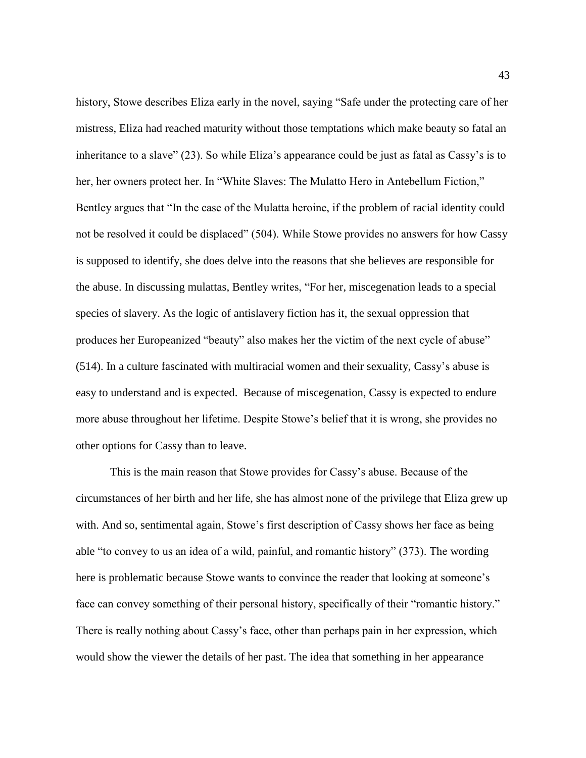history, Stowe describes Eliza early in the novel, saying "Safe under the protecting care of her mistress, Eliza had reached maturity without those temptations which make beauty so fatal an inheritance to a slave" (23). So while Eliza's appearance could be just as fatal as Cassy's is to her, her owners protect her. In "White Slaves: The Mulatto Hero in Antebellum Fiction," Bentley argues that "In the case of the Mulatta heroine, if the problem of racial identity could not be resolved it could be displaced" (504). While Stowe provides no answers for how Cassy is supposed to identify, she does delve into the reasons that she believes are responsible for the abuse. In discussing mulattas, Bentley writes, "For her, miscegenation leads to a special species of slavery. As the logic of antislavery fiction has it, the sexual oppression that produces her Europeanized "beauty" also makes her the victim of the next cycle of abuse" (514). In a culture fascinated with multiracial women and their sexuality, Cassy's abuse is easy to understand and is expected. Because of miscegenation, Cassy is expected to endure more abuse throughout her lifetime. Despite Stowe's belief that it is wrong, she provides no other options for Cassy than to leave.

This is the main reason that Stowe provides for Cassy's abuse. Because of the circumstances of her birth and her life, she has almost none of the privilege that Eliza grew up with. And so, sentimental again, Stowe's first description of Cassy shows her face as being able "to convey to us an idea of a wild, painful, and romantic history" (373). The wording here is problematic because Stowe wants to convince the reader that looking at someone's face can convey something of their personal history, specifically of their "romantic history." There is really nothing about Cassy's face, other than perhaps pain in her expression, which would show the viewer the details of her past. The idea that something in her appearance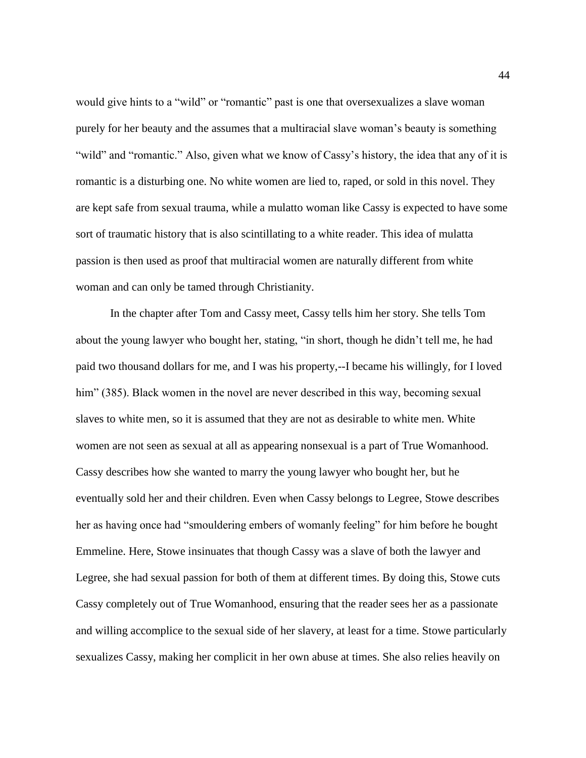would give hints to a "wild" or "romantic" past is one that oversexualizes a slave woman purely for her beauty and the assumes that a multiracial slave woman's beauty is something "wild" and "romantic." Also, given what we know of Cassy's history, the idea that any of it is romantic is a disturbing one. No white women are lied to, raped, or sold in this novel. They are kept safe from sexual trauma, while a mulatto woman like Cassy is expected to have some sort of traumatic history that is also scintillating to a white reader. This idea of mulatta passion is then used as proof that multiracial women are naturally different from white woman and can only be tamed through Christianity.

In the chapter after Tom and Cassy meet, Cassy tells him her story. She tells Tom about the young lawyer who bought her, stating, "in short, though he didn't tell me, he had paid two thousand dollars for me, and I was his property,--I became his willingly, for I loved him" (385). Black women in the novel are never described in this way, becoming sexual slaves to white men, so it is assumed that they are not as desirable to white men. White women are not seen as sexual at all as appearing nonsexual is a part of True Womanhood. Cassy describes how she wanted to marry the young lawyer who bought her, but he eventually sold her and their children. Even when Cassy belongs to Legree, Stowe describes her as having once had "smouldering embers of womanly feeling" for him before he bought Emmeline. Here, Stowe insinuates that though Cassy was a slave of both the lawyer and Legree, she had sexual passion for both of them at different times. By doing this, Stowe cuts Cassy completely out of True Womanhood, ensuring that the reader sees her as a passionate and willing accomplice to the sexual side of her slavery, at least for a time. Stowe particularly sexualizes Cassy, making her complicit in her own abuse at times. She also relies heavily on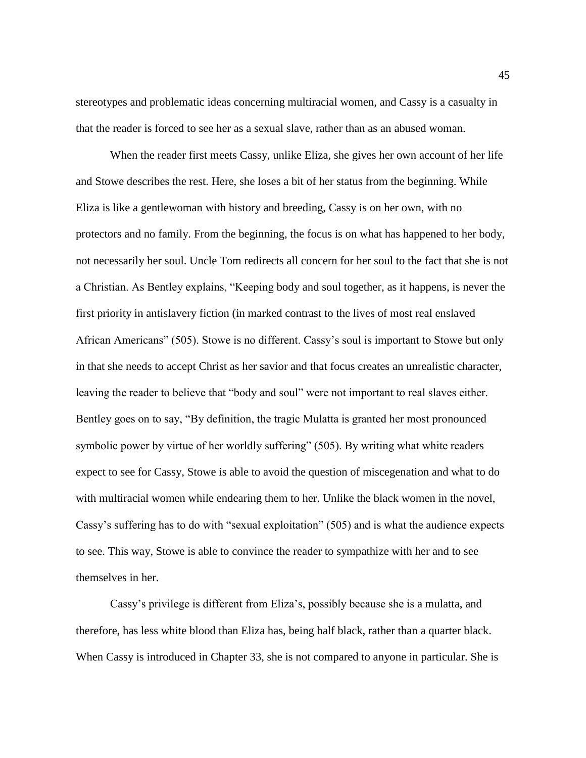stereotypes and problematic ideas concerning multiracial women, and Cassy is a casualty in that the reader is forced to see her as a sexual slave, rather than as an abused woman.

When the reader first meets Cassy, unlike Eliza, she gives her own account of her life and Stowe describes the rest. Here, she loses a bit of her status from the beginning. While Eliza is like a gentlewoman with history and breeding, Cassy is on her own, with no protectors and no family. From the beginning, the focus is on what has happened to her body, not necessarily her soul. Uncle Tom redirects all concern for her soul to the fact that she is not a Christian. As Bentley explains, "Keeping body and soul together, as it happens, is never the first priority in antislavery fiction (in marked contrast to the lives of most real enslaved African Americans" (505). Stowe is no different. Cassy's soul is important to Stowe but only in that she needs to accept Christ as her savior and that focus creates an unrealistic character, leaving the reader to believe that "body and soul" were not important to real slaves either. Bentley goes on to say, "By definition, the tragic Mulatta is granted her most pronounced symbolic power by virtue of her worldly suffering" (505). By writing what white readers expect to see for Cassy, Stowe is able to avoid the question of miscegenation and what to do with multiracial women while endearing them to her. Unlike the black women in the novel, Cassy's suffering has to do with "sexual exploitation" (505) and is what the audience expects to see. This way, Stowe is able to convince the reader to sympathize with her and to see themselves in her.

Cassy's privilege is different from Eliza's, possibly because she is a mulatta, and therefore, has less white blood than Eliza has, being half black, rather than a quarter black. When Cassy is introduced in Chapter 33, she is not compared to anyone in particular. She is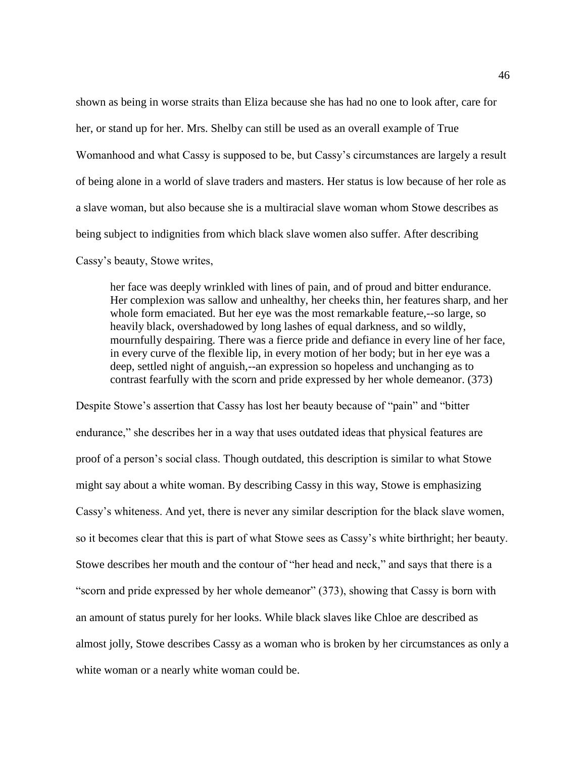shown as being in worse straits than Eliza because she has had no one to look after, care for her, or stand up for her. Mrs. Shelby can still be used as an overall example of True Womanhood and what Cassy is supposed to be, but Cassy's circumstances are largely a result of being alone in a world of slave traders and masters. Her status is low because of her role as a slave woman, but also because she is a multiracial slave woman whom Stowe describes as being subject to indignities from which black slave women also suffer. After describing Cassy's beauty, Stowe writes,

her face was deeply wrinkled with lines of pain, and of proud and bitter endurance. Her complexion was sallow and unhealthy, her cheeks thin, her features sharp, and her whole form emaciated. But her eye was the most remarkable feature,--so large, so heavily black, overshadowed by long lashes of equal darkness, and so wildly, mournfully despairing. There was a fierce pride and defiance in every line of her face, in every curve of the flexible lip, in every motion of her body; but in her eye was a deep, settled night of anguish,--an expression so hopeless and unchanging as to contrast fearfully with the scorn and pride expressed by her whole demeanor. (373)

Despite Stowe's assertion that Cassy has lost her beauty because of "pain" and "bitter endurance," she describes her in a way that uses outdated ideas that physical features are proof of a person's social class. Though outdated, this description is similar to what Stowe might say about a white woman. By describing Cassy in this way, Stowe is emphasizing Cassy's whiteness. And yet, there is never any similar description for the black slave women, so it becomes clear that this is part of what Stowe sees as Cassy's white birthright; her beauty. Stowe describes her mouth and the contour of "her head and neck," and says that there is a "scorn and pride expressed by her whole demeanor" (373), showing that Cassy is born with an amount of status purely for her looks. While black slaves like Chloe are described as almost jolly, Stowe describes Cassy as a woman who is broken by her circumstances as only a white woman or a nearly white woman could be.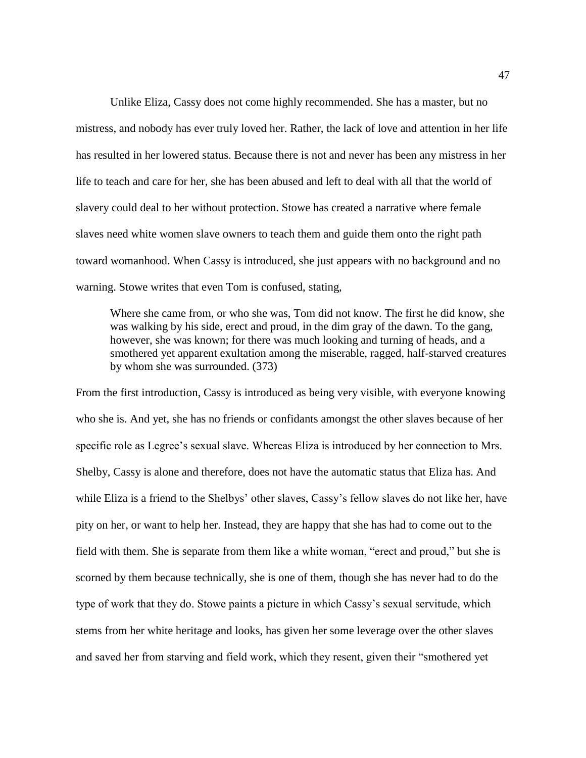Unlike Eliza, Cassy does not come highly recommended. She has a master, but no mistress, and nobody has ever truly loved her. Rather, the lack of love and attention in her life has resulted in her lowered status. Because there is not and never has been any mistress in her life to teach and care for her, she has been abused and left to deal with all that the world of slavery could deal to her without protection. Stowe has created a narrative where female slaves need white women slave owners to teach them and guide them onto the right path toward womanhood. When Cassy is introduced, she just appears with no background and no warning. Stowe writes that even Tom is confused, stating,

Where she came from, or who she was, Tom did not know. The first he did know, she was walking by his side, erect and proud, in the dim gray of the dawn. To the gang, however, she was known; for there was much looking and turning of heads, and a smothered yet apparent exultation among the miserable, ragged, half-starved creatures by whom she was surrounded. (373)

From the first introduction, Cassy is introduced as being very visible, with everyone knowing who she is. And yet, she has no friends or confidants amongst the other slaves because of her specific role as Legree's sexual slave. Whereas Eliza is introduced by her connection to Mrs. Shelby, Cassy is alone and therefore, does not have the automatic status that Eliza has. And while Eliza is a friend to the Shelbys' other slaves, Cassy's fellow slaves do not like her, have pity on her, or want to help her. Instead, they are happy that she has had to come out to the field with them. She is separate from them like a white woman, "erect and proud," but she is scorned by them because technically, she is one of them, though she has never had to do the type of work that they do. Stowe paints a picture in which Cassy's sexual servitude, which stems from her white heritage and looks, has given her some leverage over the other slaves and saved her from starving and field work, which they resent, given their "smothered yet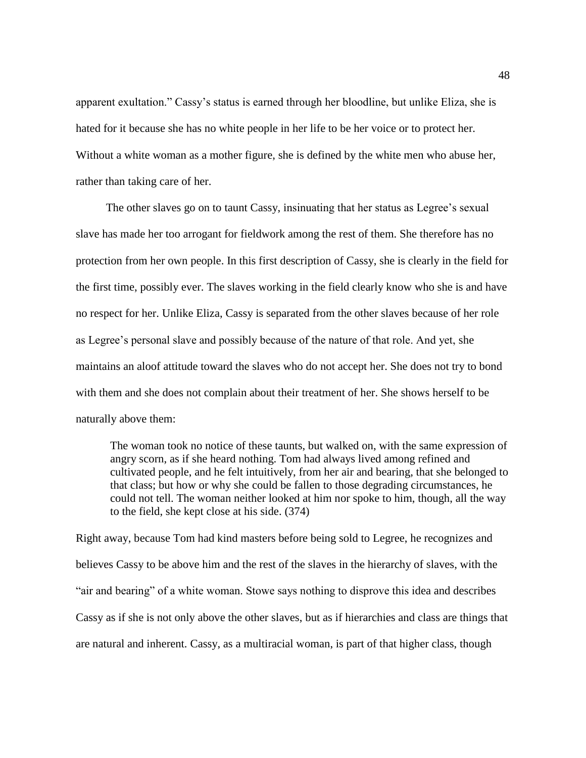apparent exultation." Cassy's status is earned through her bloodline, but unlike Eliza, she is hated for it because she has no white people in her life to be her voice or to protect her. Without a white woman as a mother figure, she is defined by the white men who abuse her, rather than taking care of her.

The other slaves go on to taunt Cassy, insinuating that her status as Legree's sexual slave has made her too arrogant for fieldwork among the rest of them. She therefore has no protection from her own people. In this first description of Cassy, she is clearly in the field for the first time, possibly ever. The slaves working in the field clearly know who she is and have no respect for her. Unlike Eliza, Cassy is separated from the other slaves because of her role as Legree's personal slave and possibly because of the nature of that role. And yet, she maintains an aloof attitude toward the slaves who do not accept her. She does not try to bond with them and she does not complain about their treatment of her. She shows herself to be naturally above them:

The woman took no notice of these taunts, but walked on, with the same expression of angry scorn, as if she heard nothing. Tom had always lived among refined and cultivated people, and he felt intuitively, from her air and bearing, that she belonged to that class; but how or why she could be fallen to those degrading circumstances, he could not tell. The woman neither looked at him nor spoke to him, though, all the way to the field, she kept close at his side. (374)

Right away, because Tom had kind masters before being sold to Legree, he recognizes and believes Cassy to be above him and the rest of the slaves in the hierarchy of slaves, with the "air and bearing" of a white woman. Stowe says nothing to disprove this idea and describes Cassy as if she is not only above the other slaves, but as if hierarchies and class are things that are natural and inherent. Cassy, as a multiracial woman, is part of that higher class, though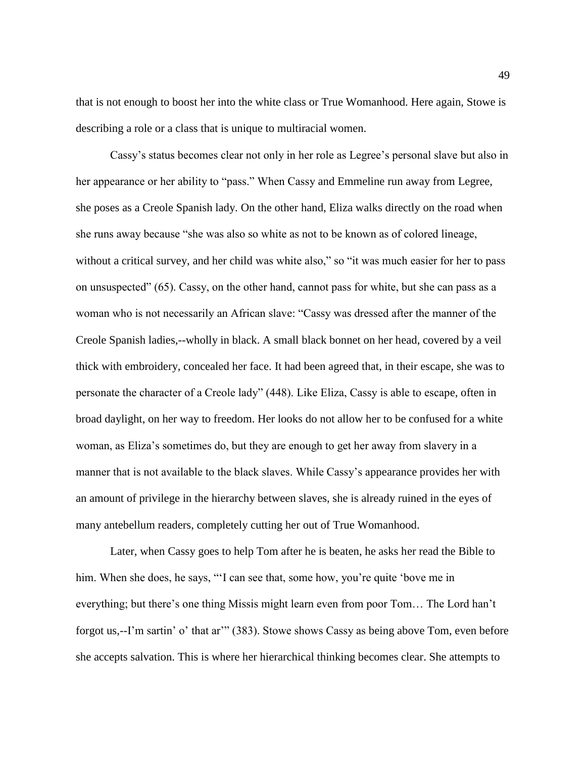that is not enough to boost her into the white class or True Womanhood. Here again, Stowe is describing a role or a class that is unique to multiracial women.

Cassy's status becomes clear not only in her role as Legree's personal slave but also in her appearance or her ability to "pass." When Cassy and Emmeline run away from Legree, she poses as a Creole Spanish lady. On the other hand, Eliza walks directly on the road when she runs away because "she was also so white as not to be known as of colored lineage, without a critical survey, and her child was white also," so "it was much easier for her to pass on unsuspected" (65). Cassy, on the other hand, cannot pass for white, but she can pass as a woman who is not necessarily an African slave: "Cassy was dressed after the manner of the Creole Spanish ladies,--wholly in black. A small black bonnet on her head, covered by a veil thick with embroidery, concealed her face. It had been agreed that, in their escape, she was to personate the character of a Creole lady" (448). Like Eliza, Cassy is able to escape, often in broad daylight, on her way to freedom. Her looks do not allow her to be confused for a white woman, as Eliza's sometimes do, but they are enough to get her away from slavery in a manner that is not available to the black slaves. While Cassy's appearance provides her with an amount of privilege in the hierarchy between slaves, she is already ruined in the eyes of many antebellum readers, completely cutting her out of True Womanhood.

Later, when Cassy goes to help Tom after he is beaten, he asks her read the Bible to him. When she does, he says, "'I can see that, some how, you're quite 'bove me in everything; but there's one thing Missis might learn even from poor Tom… The Lord han't forgot us,--I'm sartin' o' that ar'" (383). Stowe shows Cassy as being above Tom, even before she accepts salvation. This is where her hierarchical thinking becomes clear. She attempts to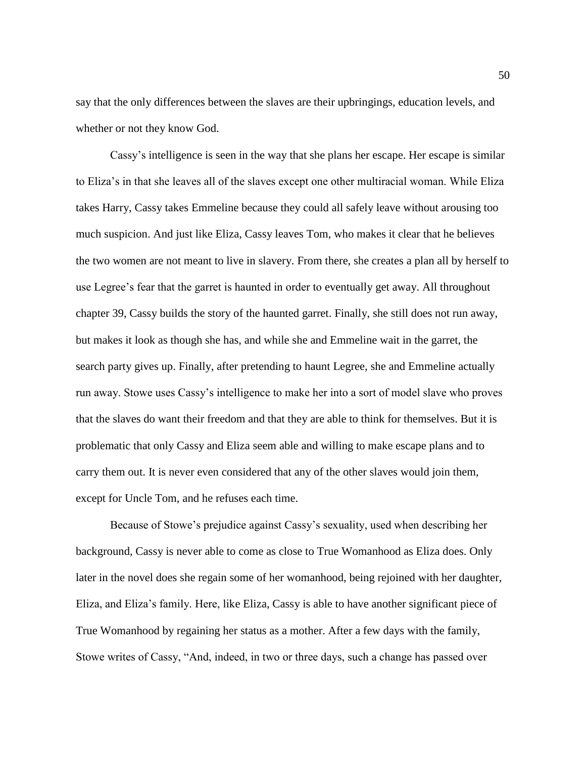say that the only differences between the slaves are their upbringings, education levels, and whether or not they know God.

Cassy's intelligence is seen in the way that she plans her escape. Her escape is similar to Eliza's in that she leaves all of the slaves except one other multiracial woman. While Eliza takes Harry, Cassy takes Emmeline because they could all safely leave without arousing too much suspicion. And just like Eliza, Cassy leaves Tom, who makes it clear that he believes the two women are not meant to live in slavery. From there, she creates a plan all by herself to use Legree's fear that the garret is haunted in order to eventually get away. All throughout chapter 39, Cassy builds the story of the haunted garret. Finally, she still does not run away, but makes it look as though she has, and while she and Emmeline wait in the garret, the search party gives up. Finally, after pretending to haunt Legree, she and Emmeline actually run away. Stowe uses Cassy's intelligence to make her into a sort of model slave who proves that the slaves do want their freedom and that they are able to think for themselves. But it is problematic that only Cassy and Eliza seem able and willing to make escape plans and to carry them out. It is never even considered that any of the other slaves would join them, except for Uncle Tom, and he refuses each time.

Because of Stowe's prejudice against Cassy's sexuality, used when describing her background, Cassy is never able to come as close to True Womanhood as Eliza does. Only later in the novel does she regain some of her womanhood, being rejoined with her daughter, Eliza, and Eliza's family. Here, like Eliza, Cassy is able to have another significant piece of True Womanhood by regaining her status as a mother. After a few days with the family, Stowe writes of Cassy, "And, indeed, in two or three days, such a change has passed over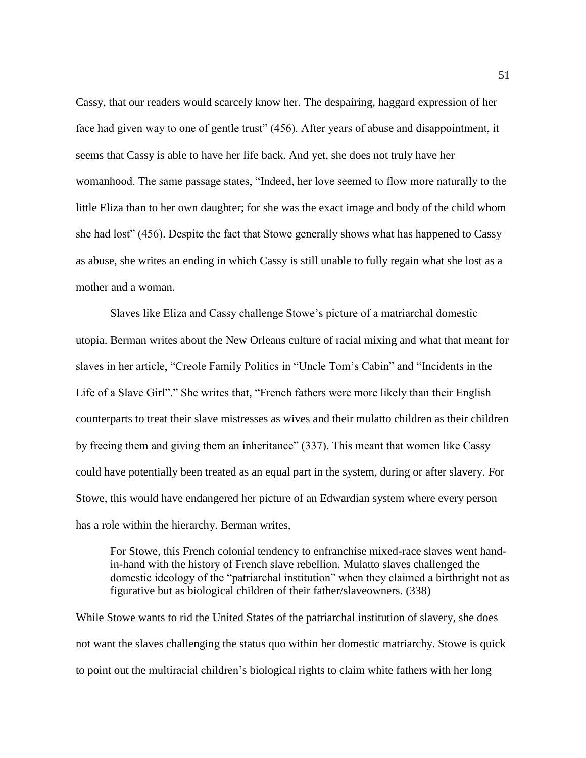Cassy, that our readers would scarcely know her. The despairing, haggard expression of her face had given way to one of gentle trust" (456). After years of abuse and disappointment, it seems that Cassy is able to have her life back. And yet, she does not truly have her womanhood. The same passage states, "Indeed, her love seemed to flow more naturally to the little Eliza than to her own daughter; for she was the exact image and body of the child whom she had lost" (456). Despite the fact that Stowe generally shows what has happened to Cassy as abuse, she writes an ending in which Cassy is still unable to fully regain what she lost as a mother and a woman.

Slaves like Eliza and Cassy challenge Stowe's picture of a matriarchal domestic utopia. Berman writes about the New Orleans culture of racial mixing and what that meant for slaves in her article, "Creole Family Politics in "Uncle Tom's Cabin" and "Incidents in the Life of a Slave Girl"." She writes that, "French fathers were more likely than their English counterparts to treat their slave mistresses as wives and their mulatto children as their children by freeing them and giving them an inheritance" (337). This meant that women like Cassy could have potentially been treated as an equal part in the system, during or after slavery. For Stowe, this would have endangered her picture of an Edwardian system where every person has a role within the hierarchy. Berman writes,

For Stowe, this French colonial tendency to enfranchise mixed-race slaves went handin-hand with the history of French slave rebellion. Mulatto slaves challenged the domestic ideology of the "patriarchal institution" when they claimed a birthright not as figurative but as biological children of their father/slaveowners. (338)

While Stowe wants to rid the United States of the patriarchal institution of slavery, she does not want the slaves challenging the status quo within her domestic matriarchy. Stowe is quick to point out the multiracial children's biological rights to claim white fathers with her long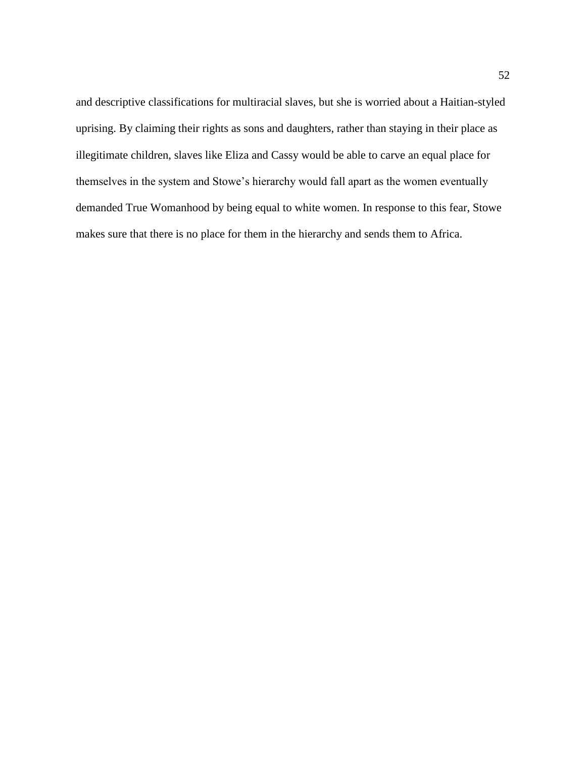and descriptive classifications for multiracial slaves, but she is worried about a Haitian-styled uprising. By claiming their rights as sons and daughters, rather than staying in their place as illegitimate children, slaves like Eliza and Cassy would be able to carve an equal place for themselves in the system and Stowe's hierarchy would fall apart as the women eventually demanded True Womanhood by being equal to white women. In response to this fear, Stowe makes sure that there is no place for them in the hierarchy and sends them to Africa.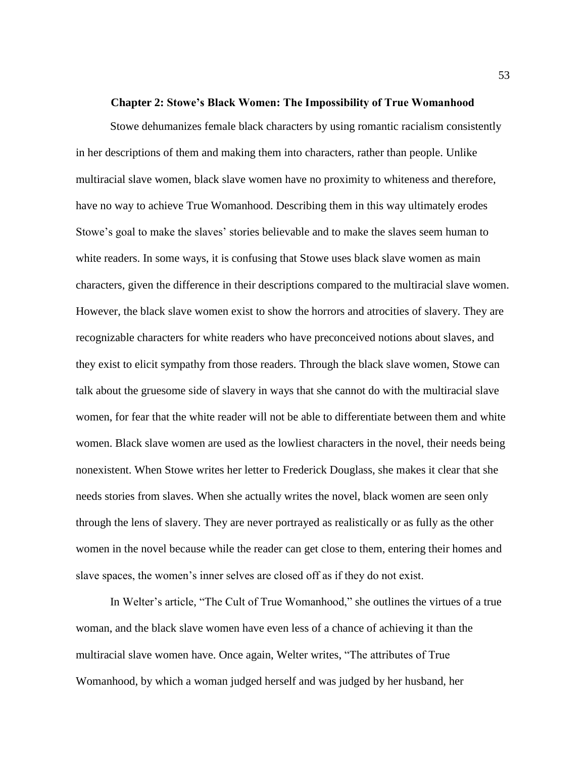## **Chapter 2: Stowe's Black Women: The Impossibility of True Womanhood**

Stowe dehumanizes female black characters by using romantic racialism consistently in her descriptions of them and making them into characters, rather than people. Unlike multiracial slave women, black slave women have no proximity to whiteness and therefore, have no way to achieve True Womanhood. Describing them in this way ultimately erodes Stowe's goal to make the slaves' stories believable and to make the slaves seem human to white readers. In some ways, it is confusing that Stowe uses black slave women as main characters, given the difference in their descriptions compared to the multiracial slave women. However, the black slave women exist to show the horrors and atrocities of slavery. They are recognizable characters for white readers who have preconceived notions about slaves, and they exist to elicit sympathy from those readers. Through the black slave women, Stowe can talk about the gruesome side of slavery in ways that she cannot do with the multiracial slave women, for fear that the white reader will not be able to differentiate between them and white women. Black slave women are used as the lowliest characters in the novel, their needs being nonexistent. When Stowe writes her letter to Frederick Douglass, she makes it clear that she needs stories from slaves. When she actually writes the novel, black women are seen only through the lens of slavery. They are never portrayed as realistically or as fully as the other women in the novel because while the reader can get close to them, entering their homes and slave spaces, the women's inner selves are closed off as if they do not exist.

In Welter's article, "The Cult of True Womanhood," she outlines the virtues of a true woman, and the black slave women have even less of a chance of achieving it than the multiracial slave women have. Once again, Welter writes, "The attributes of True Womanhood, by which a woman judged herself and was judged by her husband, her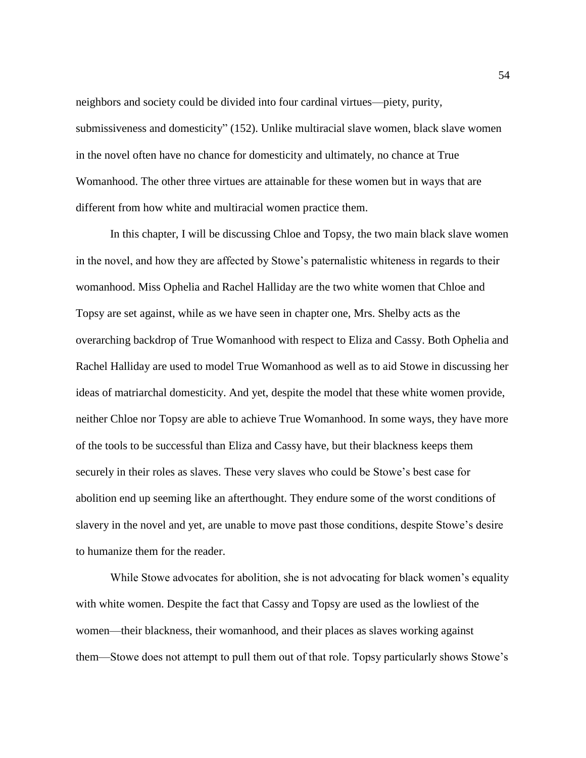neighbors and society could be divided into four cardinal virtues—piety, purity, submissiveness and domesticity" (152). Unlike multiracial slave women, black slave women in the novel often have no chance for domesticity and ultimately, no chance at True Womanhood. The other three virtues are attainable for these women but in ways that are different from how white and multiracial women practice them.

In this chapter, I will be discussing Chloe and Topsy, the two main black slave women in the novel, and how they are affected by Stowe's paternalistic whiteness in regards to their womanhood. Miss Ophelia and Rachel Halliday are the two white women that Chloe and Topsy are set against, while as we have seen in chapter one, Mrs. Shelby acts as the overarching backdrop of True Womanhood with respect to Eliza and Cassy. Both Ophelia and Rachel Halliday are used to model True Womanhood as well as to aid Stowe in discussing her ideas of matriarchal domesticity. And yet, despite the model that these white women provide, neither Chloe nor Topsy are able to achieve True Womanhood. In some ways, they have more of the tools to be successful than Eliza and Cassy have, but their blackness keeps them securely in their roles as slaves. These very slaves who could be Stowe's best case for abolition end up seeming like an afterthought. They endure some of the worst conditions of slavery in the novel and yet, are unable to move past those conditions, despite Stowe's desire to humanize them for the reader.

While Stowe advocates for abolition, she is not advocating for black women's equality with white women. Despite the fact that Cassy and Topsy are used as the lowliest of the women—their blackness, their womanhood, and their places as slaves working against them—Stowe does not attempt to pull them out of that role. Topsy particularly shows Stowe's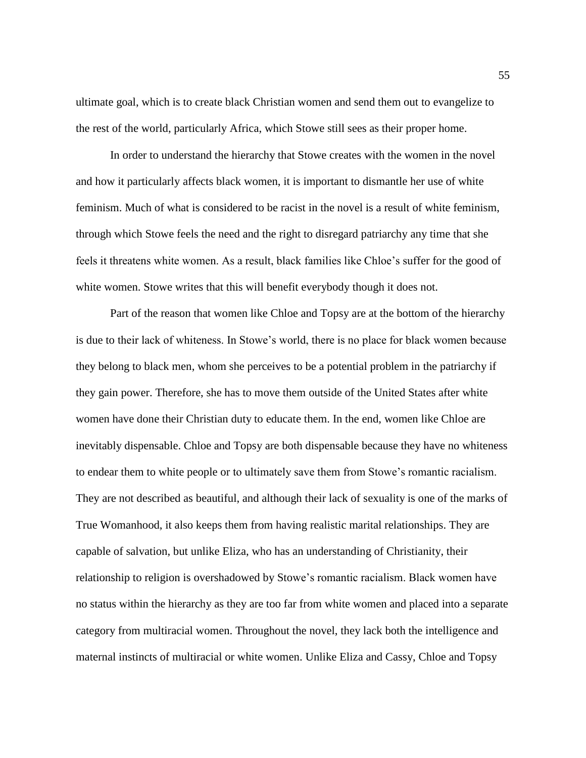ultimate goal, which is to create black Christian women and send them out to evangelize to the rest of the world, particularly Africa, which Stowe still sees as their proper home.

In order to understand the hierarchy that Stowe creates with the women in the novel and how it particularly affects black women, it is important to dismantle her use of white feminism. Much of what is considered to be racist in the novel is a result of white feminism, through which Stowe feels the need and the right to disregard patriarchy any time that she feels it threatens white women. As a result, black families like Chloe's suffer for the good of white women. Stowe writes that this will benefit everybody though it does not.

Part of the reason that women like Chloe and Topsy are at the bottom of the hierarchy is due to their lack of whiteness. In Stowe's world, there is no place for black women because they belong to black men, whom she perceives to be a potential problem in the patriarchy if they gain power. Therefore, she has to move them outside of the United States after white women have done their Christian duty to educate them. In the end, women like Chloe are inevitably dispensable. Chloe and Topsy are both dispensable because they have no whiteness to endear them to white people or to ultimately save them from Stowe's romantic racialism. They are not described as beautiful, and although their lack of sexuality is one of the marks of True Womanhood, it also keeps them from having realistic marital relationships. They are capable of salvation, but unlike Eliza, who has an understanding of Christianity, their relationship to religion is overshadowed by Stowe's romantic racialism. Black women have no status within the hierarchy as they are too far from white women and placed into a separate category from multiracial women. Throughout the novel, they lack both the intelligence and maternal instincts of multiracial or white women. Unlike Eliza and Cassy, Chloe and Topsy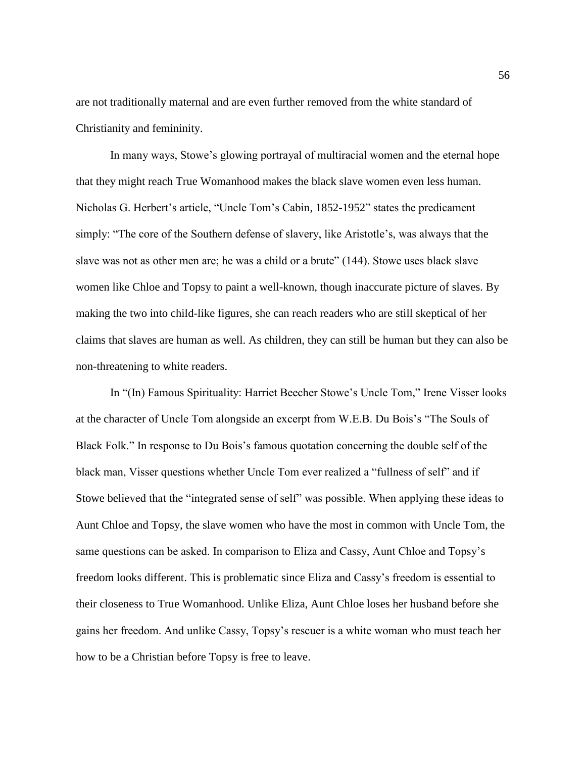are not traditionally maternal and are even further removed from the white standard of Christianity and femininity.

In many ways, Stowe's glowing portrayal of multiracial women and the eternal hope that they might reach True Womanhood makes the black slave women even less human. Nicholas G. Herbert's article, "Uncle Tom's Cabin, 1852-1952" states the predicament simply: "The core of the Southern defense of slavery, like Aristotle's, was always that the slave was not as other men are; he was a child or a brute" (144). Stowe uses black slave women like Chloe and Topsy to paint a well-known, though inaccurate picture of slaves. By making the two into child-like figures, she can reach readers who are still skeptical of her claims that slaves are human as well. As children, they can still be human but they can also be non-threatening to white readers.

In "(In) Famous Spirituality: Harriet Beecher Stowe's Uncle Tom," Irene Visser looks at the character of Uncle Tom alongside an excerpt from W.E.B. Du Bois's "The Souls of Black Folk." In response to Du Bois's famous quotation concerning the double self of the black man, Visser questions whether Uncle Tom ever realized a "fullness of self" and if Stowe believed that the "integrated sense of self" was possible. When applying these ideas to Aunt Chloe and Topsy, the slave women who have the most in common with Uncle Tom, the same questions can be asked. In comparison to Eliza and Cassy, Aunt Chloe and Topsy's freedom looks different. This is problematic since Eliza and Cassy's freedom is essential to their closeness to True Womanhood. Unlike Eliza, Aunt Chloe loses her husband before she gains her freedom. And unlike Cassy, Topsy's rescuer is a white woman who must teach her how to be a Christian before Topsy is free to leave.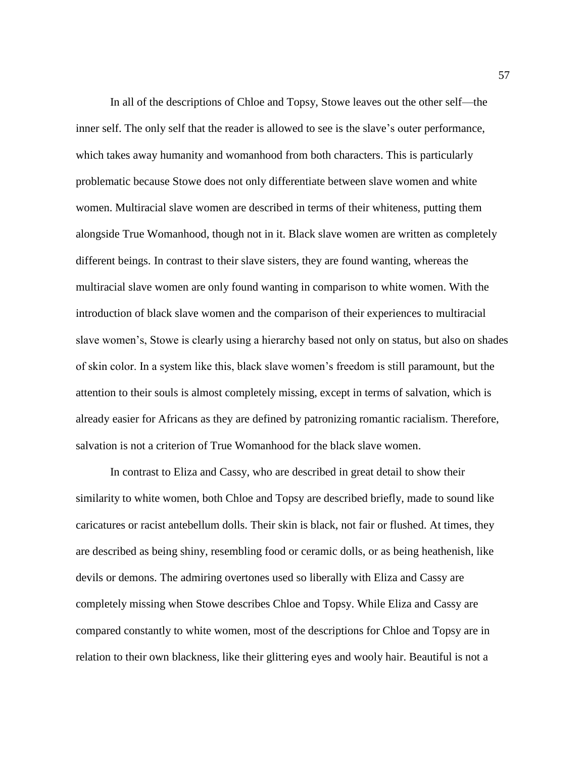In all of the descriptions of Chloe and Topsy, Stowe leaves out the other self—the inner self. The only self that the reader is allowed to see is the slave's outer performance, which takes away humanity and womanhood from both characters. This is particularly problematic because Stowe does not only differentiate between slave women and white women. Multiracial slave women are described in terms of their whiteness, putting them alongside True Womanhood, though not in it. Black slave women are written as completely different beings. In contrast to their slave sisters, they are found wanting, whereas the multiracial slave women are only found wanting in comparison to white women. With the introduction of black slave women and the comparison of their experiences to multiracial slave women's, Stowe is clearly using a hierarchy based not only on status, but also on shades of skin color. In a system like this, black slave women's freedom is still paramount, but the attention to their souls is almost completely missing, except in terms of salvation, which is already easier for Africans as they are defined by patronizing romantic racialism. Therefore, salvation is not a criterion of True Womanhood for the black slave women.

In contrast to Eliza and Cassy, who are described in great detail to show their similarity to white women, both Chloe and Topsy are described briefly, made to sound like caricatures or racist antebellum dolls. Their skin is black, not fair or flushed. At times, they are described as being shiny, resembling food or ceramic dolls, or as being heathenish, like devils or demons. The admiring overtones used so liberally with Eliza and Cassy are completely missing when Stowe describes Chloe and Topsy. While Eliza and Cassy are compared constantly to white women, most of the descriptions for Chloe and Topsy are in relation to their own blackness, like their glittering eyes and wooly hair. Beautiful is not a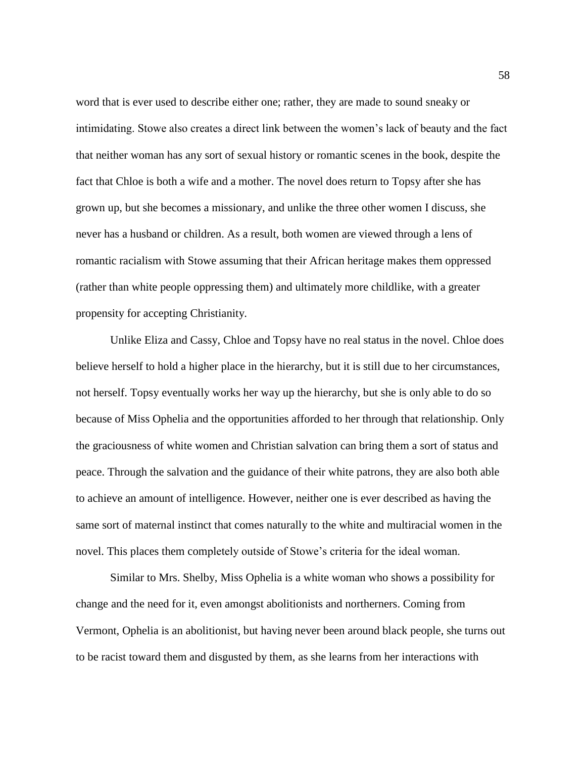word that is ever used to describe either one; rather, they are made to sound sneaky or intimidating. Stowe also creates a direct link between the women's lack of beauty and the fact that neither woman has any sort of sexual history or romantic scenes in the book, despite the fact that Chloe is both a wife and a mother. The novel does return to Topsy after she has grown up, but she becomes a missionary, and unlike the three other women I discuss, she never has a husband or children. As a result, both women are viewed through a lens of romantic racialism with Stowe assuming that their African heritage makes them oppressed (rather than white people oppressing them) and ultimately more childlike, with a greater propensity for accepting Christianity.

Unlike Eliza and Cassy, Chloe and Topsy have no real status in the novel. Chloe does believe herself to hold a higher place in the hierarchy, but it is still due to her circumstances, not herself. Topsy eventually works her way up the hierarchy, but she is only able to do so because of Miss Ophelia and the opportunities afforded to her through that relationship. Only the graciousness of white women and Christian salvation can bring them a sort of status and peace. Through the salvation and the guidance of their white patrons, they are also both able to achieve an amount of intelligence. However, neither one is ever described as having the same sort of maternal instinct that comes naturally to the white and multiracial women in the novel. This places them completely outside of Stowe's criteria for the ideal woman.

Similar to Mrs. Shelby, Miss Ophelia is a white woman who shows a possibility for change and the need for it, even amongst abolitionists and northerners. Coming from Vermont, Ophelia is an abolitionist, but having never been around black people, she turns out to be racist toward them and disgusted by them, as she learns from her interactions with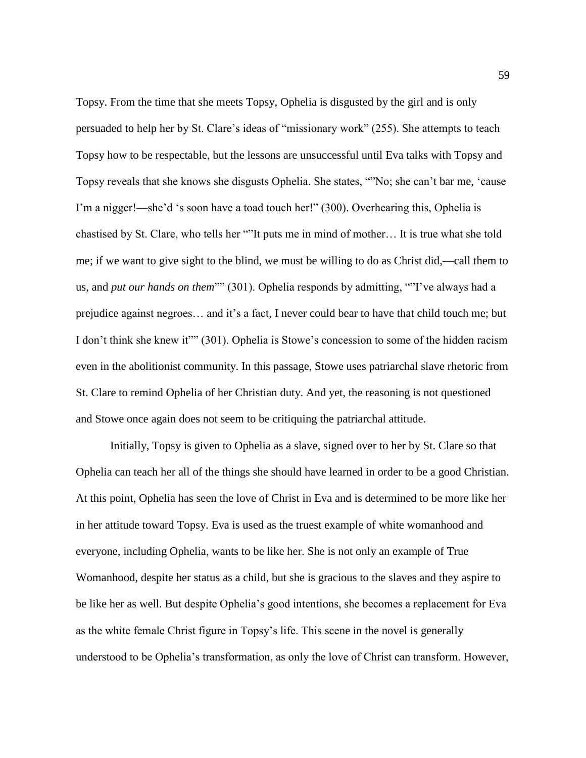Topsy. From the time that she meets Topsy, Ophelia is disgusted by the girl and is only persuaded to help her by St. Clare's ideas of "missionary work" (255). She attempts to teach Topsy how to be respectable, but the lessons are unsuccessful until Eva talks with Topsy and Topsy reveals that she knows she disgusts Ophelia. She states, ""No; she can't bar me, 'cause I'm a nigger!—she'd 's soon have a toad touch her!" (300). Overhearing this, Ophelia is chastised by St. Clare, who tells her ""It puts me in mind of mother… It is true what she told me; if we want to give sight to the blind, we must be willing to do as Christ did,—call them to us, and *put our hands on them*"" (301). Ophelia responds by admitting, ""I've always had a prejudice against negroes… and it's a fact, I never could bear to have that child touch me; but I don't think she knew it"" (301). Ophelia is Stowe's concession to some of the hidden racism even in the abolitionist community. In this passage, Stowe uses patriarchal slave rhetoric from St. Clare to remind Ophelia of her Christian duty. And yet, the reasoning is not questioned and Stowe once again does not seem to be critiquing the patriarchal attitude.

Initially, Topsy is given to Ophelia as a slave, signed over to her by St. Clare so that Ophelia can teach her all of the things she should have learned in order to be a good Christian. At this point, Ophelia has seen the love of Christ in Eva and is determined to be more like her in her attitude toward Topsy. Eva is used as the truest example of white womanhood and everyone, including Ophelia, wants to be like her. She is not only an example of True Womanhood, despite her status as a child, but she is gracious to the slaves and they aspire to be like her as well. But despite Ophelia's good intentions, she becomes a replacement for Eva as the white female Christ figure in Topsy's life. This scene in the novel is generally understood to be Ophelia's transformation, as only the love of Christ can transform. However,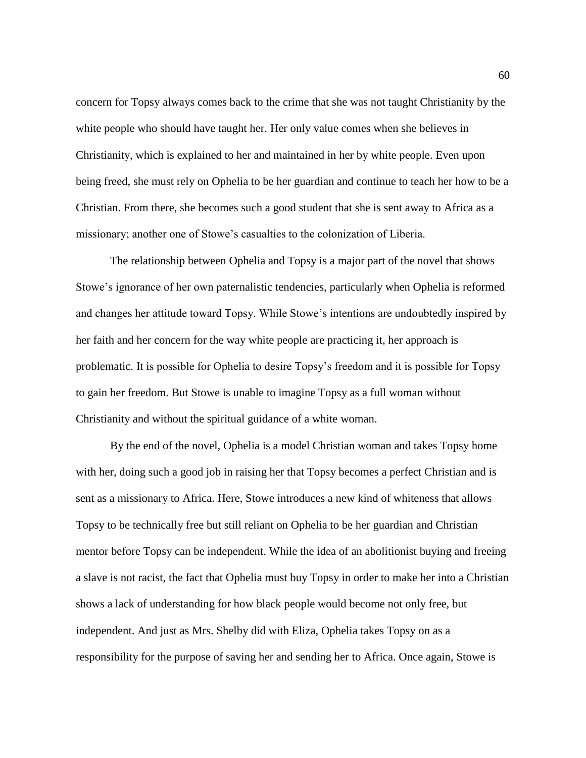concern for Topsy always comes back to the crime that she was not taught Christianity by the white people who should have taught her. Her only value comes when she believes in Christianity, which is explained to her and maintained in her by white people. Even upon being freed, she must rely on Ophelia to be her guardian and continue to teach her how to be a Christian. From there, she becomes such a good student that she is sent away to Africa as a missionary; another one of Stowe's casualties to the colonization of Liberia.

The relationship between Ophelia and Topsy is a major part of the novel that shows Stowe's ignorance of her own paternalistic tendencies, particularly when Ophelia is reformed and changes her attitude toward Topsy. While Stowe's intentions are undoubtedly inspired by her faith and her concern for the way white people are practicing it, her approach is problematic. It is possible for Ophelia to desire Topsy's freedom and it is possible for Topsy to gain her freedom. But Stowe is unable to imagine Topsy as a full woman without Christianity and without the spiritual guidance of a white woman.

By the end of the novel, Ophelia is a model Christian woman and takes Topsy home with her, doing such a good job in raising her that Topsy becomes a perfect Christian and is sent as a missionary to Africa. Here, Stowe introduces a new kind of whiteness that allows Topsy to be technically free but still reliant on Ophelia to be her guardian and Christian mentor before Topsy can be independent. While the idea of an abolitionist buying and freeing a slave is not racist, the fact that Ophelia must buy Topsy in order to make her into a Christian shows a lack of understanding for how black people would become not only free, but independent. And just as Mrs. Shelby did with Eliza, Ophelia takes Topsy on as a responsibility for the purpose of saving her and sending her to Africa. Once again, Stowe is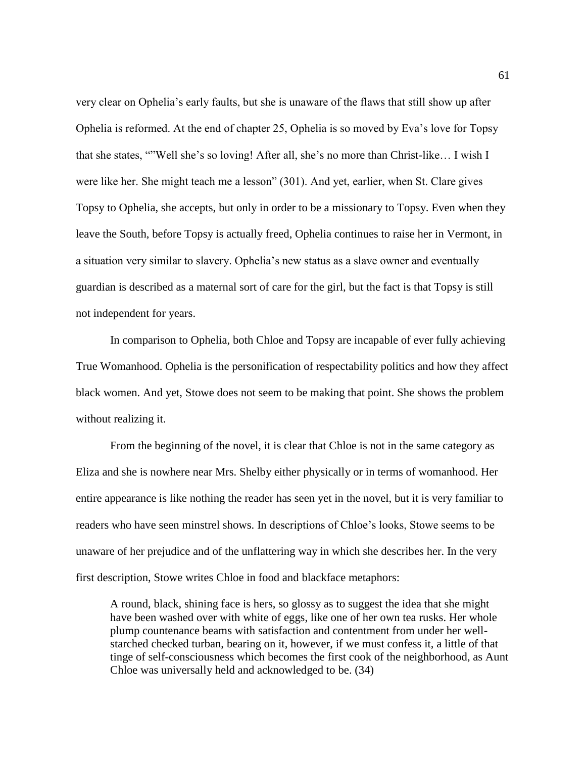very clear on Ophelia's early faults, but she is unaware of the flaws that still show up after Ophelia is reformed. At the end of chapter 25, Ophelia is so moved by Eva's love for Topsy that she states, ""Well she's so loving! After all, she's no more than Christ-like… I wish I were like her. She might teach me a lesson" (301). And yet, earlier, when St. Clare gives Topsy to Ophelia, she accepts, but only in order to be a missionary to Topsy. Even when they leave the South, before Topsy is actually freed, Ophelia continues to raise her in Vermont, in a situation very similar to slavery. Ophelia's new status as a slave owner and eventually guardian is described as a maternal sort of care for the girl, but the fact is that Topsy is still not independent for years.

In comparison to Ophelia, both Chloe and Topsy are incapable of ever fully achieving True Womanhood. Ophelia is the personification of respectability politics and how they affect black women. And yet, Stowe does not seem to be making that point. She shows the problem without realizing it.

From the beginning of the novel, it is clear that Chloe is not in the same category as Eliza and she is nowhere near Mrs. Shelby either physically or in terms of womanhood. Her entire appearance is like nothing the reader has seen yet in the novel, but it is very familiar to readers who have seen minstrel shows. In descriptions of Chloe's looks, Stowe seems to be unaware of her prejudice and of the unflattering way in which she describes her. In the very first description, Stowe writes Chloe in food and blackface metaphors:

A round, black, shining face is hers, so glossy as to suggest the idea that she might have been washed over with white of eggs, like one of her own tea rusks. Her whole plump countenance beams with satisfaction and contentment from under her wellstarched checked turban, bearing on it, however, if we must confess it, a little of that tinge of self-consciousness which becomes the first cook of the neighborhood, as Aunt Chloe was universally held and acknowledged to be. (34)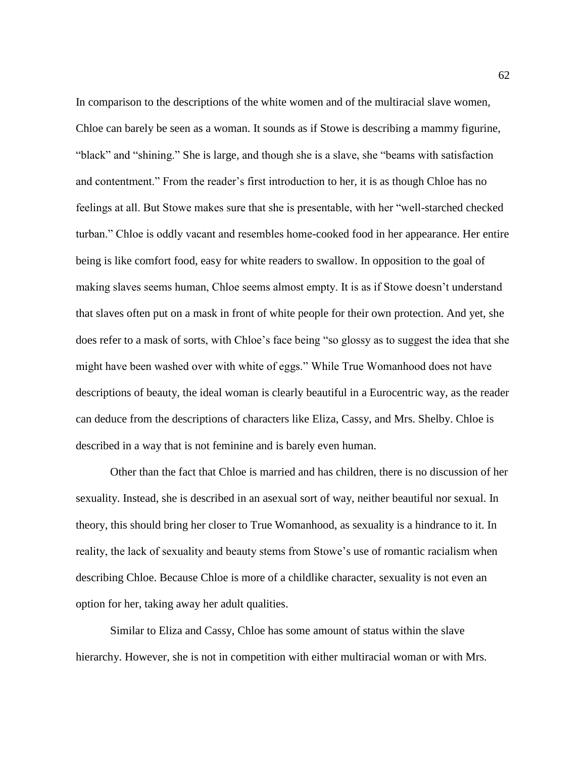In comparison to the descriptions of the white women and of the multiracial slave women, Chloe can barely be seen as a woman. It sounds as if Stowe is describing a mammy figurine, "black" and "shining." She is large, and though she is a slave, she "beams with satisfaction and contentment." From the reader's first introduction to her, it is as though Chloe has no feelings at all. But Stowe makes sure that she is presentable, with her "well-starched checked turban." Chloe is oddly vacant and resembles home-cooked food in her appearance. Her entire being is like comfort food, easy for white readers to swallow. In opposition to the goal of making slaves seems human, Chloe seems almost empty. It is as if Stowe doesn't understand that slaves often put on a mask in front of white people for their own protection. And yet, she does refer to a mask of sorts, with Chloe's face being "so glossy as to suggest the idea that she might have been washed over with white of eggs." While True Womanhood does not have descriptions of beauty, the ideal woman is clearly beautiful in a Eurocentric way, as the reader can deduce from the descriptions of characters like Eliza, Cassy, and Mrs. Shelby. Chloe is described in a way that is not feminine and is barely even human.

Other than the fact that Chloe is married and has children, there is no discussion of her sexuality. Instead, she is described in an asexual sort of way, neither beautiful nor sexual. In theory, this should bring her closer to True Womanhood, as sexuality is a hindrance to it. In reality, the lack of sexuality and beauty stems from Stowe's use of romantic racialism when describing Chloe. Because Chloe is more of a childlike character, sexuality is not even an option for her, taking away her adult qualities.

Similar to Eliza and Cassy, Chloe has some amount of status within the slave hierarchy. However, she is not in competition with either multiracial woman or with Mrs.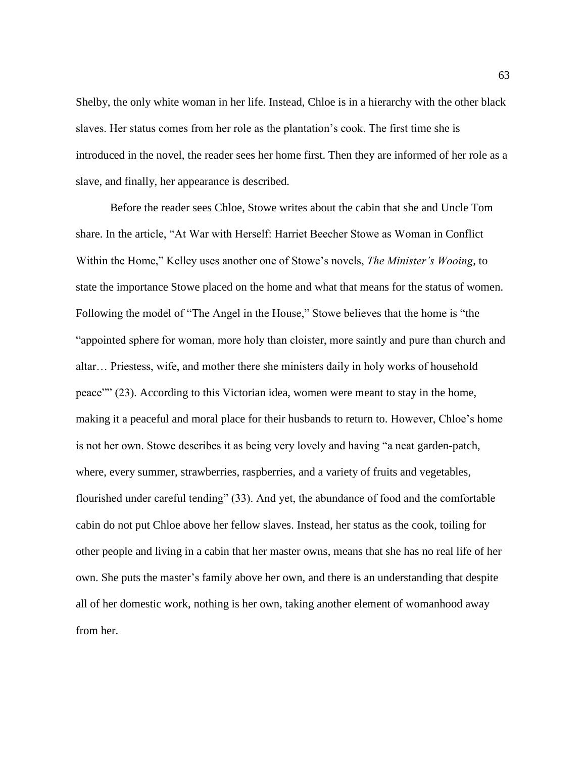Shelby, the only white woman in her life. Instead, Chloe is in a hierarchy with the other black slaves. Her status comes from her role as the plantation's cook. The first time she is introduced in the novel, the reader sees her home first. Then they are informed of her role as a slave, and finally, her appearance is described.

Before the reader sees Chloe, Stowe writes about the cabin that she and Uncle Tom share. In the article, "At War with Herself: Harriet Beecher Stowe as Woman in Conflict Within the Home," Kelley uses another one of Stowe's novels, *The Minister's Wooing*, to state the importance Stowe placed on the home and what that means for the status of women. Following the model of "The Angel in the House," Stowe believes that the home is "the "appointed sphere for woman, more holy than cloister, more saintly and pure than church and altar… Priestess, wife, and mother there she ministers daily in holy works of household peace"" (23). According to this Victorian idea, women were meant to stay in the home, making it a peaceful and moral place for their husbands to return to. However, Chloe's home is not her own. Stowe describes it as being very lovely and having "a neat garden-patch, where, every summer, strawberries, raspberries, and a variety of fruits and vegetables, flourished under careful tending" (33). And yet, the abundance of food and the comfortable cabin do not put Chloe above her fellow slaves. Instead, her status as the cook, toiling for other people and living in a cabin that her master owns, means that she has no real life of her own. She puts the master's family above her own, and there is an understanding that despite all of her domestic work, nothing is her own, taking another element of womanhood away from her.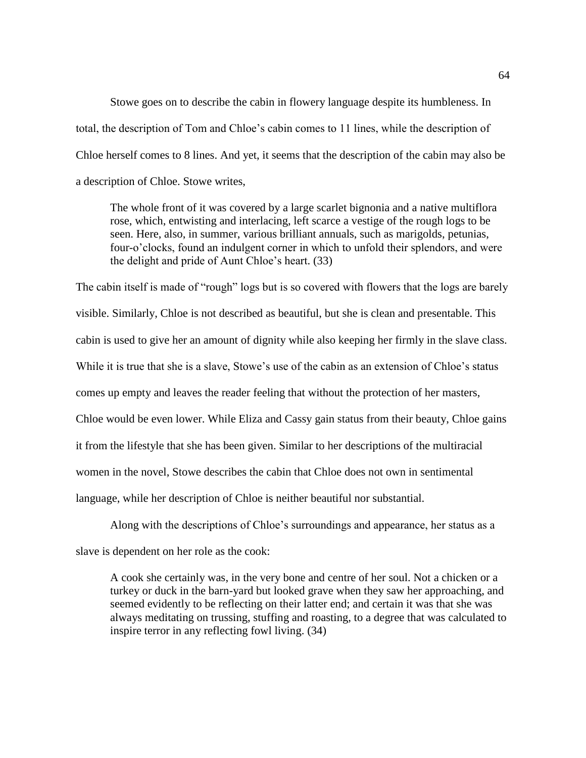Stowe goes on to describe the cabin in flowery language despite its humbleness. In total, the description of Tom and Chloe's cabin comes to 11 lines, while the description of Chloe herself comes to 8 lines. And yet, it seems that the description of the cabin may also be a description of Chloe. Stowe writes,

The whole front of it was covered by a large scarlet bignonia and a native multiflora rose, which, entwisting and interlacing, left scarce a vestige of the rough logs to be seen. Here, also, in summer, various brilliant annuals, such as marigolds, petunias, four-o'clocks, found an indulgent corner in which to unfold their splendors, and were the delight and pride of Aunt Chloe's heart. (33)

The cabin itself is made of "rough" logs but is so covered with flowers that the logs are barely visible. Similarly, Chloe is not described as beautiful, but she is clean and presentable. This cabin is used to give her an amount of dignity while also keeping her firmly in the slave class. While it is true that she is a slave, Stowe's use of the cabin as an extension of Chloe's status comes up empty and leaves the reader feeling that without the protection of her masters, Chloe would be even lower. While Eliza and Cassy gain status from their beauty, Chloe gains it from the lifestyle that she has been given. Similar to her descriptions of the multiracial women in the novel, Stowe describes the cabin that Chloe does not own in sentimental language, while her description of Chloe is neither beautiful nor substantial.

Along with the descriptions of Chloe's surroundings and appearance, her status as a slave is dependent on her role as the cook:

A cook she certainly was, in the very bone and centre of her soul. Not a chicken or a turkey or duck in the barn-yard but looked grave when they saw her approaching, and seemed evidently to be reflecting on their latter end; and certain it was that she was always meditating on trussing, stuffing and roasting, to a degree that was calculated to inspire terror in any reflecting fowl living. (34)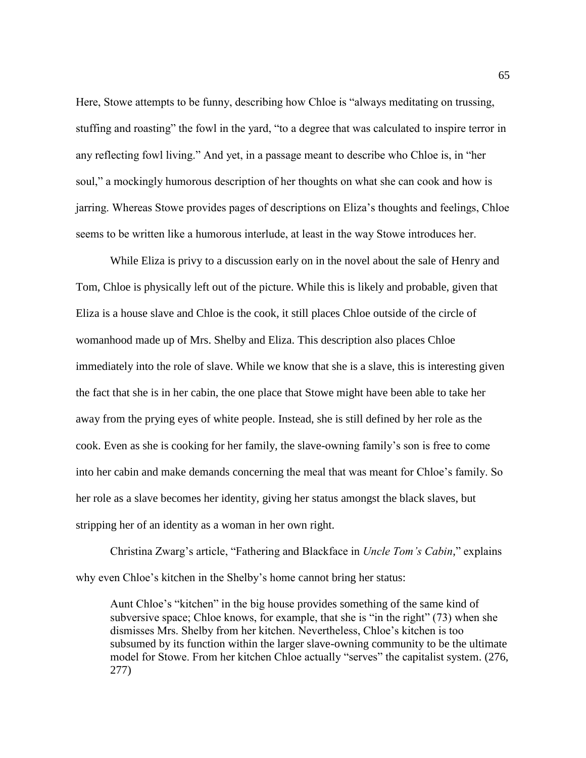Here, Stowe attempts to be funny, describing how Chloe is "always meditating on trussing, stuffing and roasting" the fowl in the yard, "to a degree that was calculated to inspire terror in any reflecting fowl living." And yet, in a passage meant to describe who Chloe is, in "her soul," a mockingly humorous description of her thoughts on what she can cook and how is jarring. Whereas Stowe provides pages of descriptions on Eliza's thoughts and feelings, Chloe seems to be written like a humorous interlude, at least in the way Stowe introduces her.

While Eliza is privy to a discussion early on in the novel about the sale of Henry and Tom, Chloe is physically left out of the picture. While this is likely and probable, given that Eliza is a house slave and Chloe is the cook, it still places Chloe outside of the circle of womanhood made up of Mrs. Shelby and Eliza. This description also places Chloe immediately into the role of slave. While we know that she is a slave, this is interesting given the fact that she is in her cabin, the one place that Stowe might have been able to take her away from the prying eyes of white people. Instead, she is still defined by her role as the cook. Even as she is cooking for her family, the slave-owning family's son is free to come into her cabin and make demands concerning the meal that was meant for Chloe's family. So her role as a slave becomes her identity, giving her status amongst the black slaves, but stripping her of an identity as a woman in her own right.

Christina Zwarg's article, "Fathering and Blackface in *Uncle Tom's Cabin*," explains why even Chloe's kitchen in the Shelby's home cannot bring her status:

Aunt Chloe's "kitchen" in the big house provides something of the same kind of subversive space; Chloe knows, for example, that she is "in the right" (73) when she dismisses Mrs. Shelby from her kitchen. Nevertheless, Chloe's kitchen is too subsumed by its function within the larger slave-owning community to be the ultimate model for Stowe. From her kitchen Chloe actually "serves" the capitalist system. (276, 277)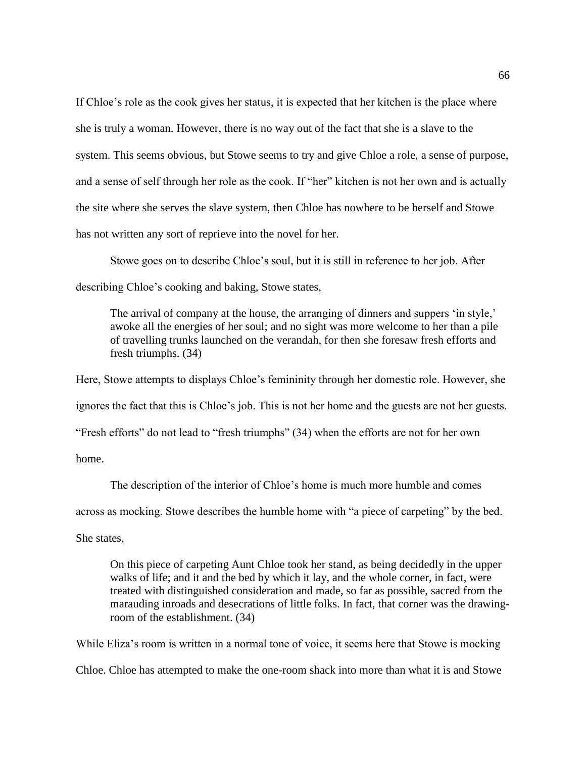If Chloe's role as the cook gives her status, it is expected that her kitchen is the place where she is truly a woman. However, there is no way out of the fact that she is a slave to the system. This seems obvious, but Stowe seems to try and give Chloe a role, a sense of purpose, and a sense of self through her role as the cook. If "her" kitchen is not her own and is actually the site where she serves the slave system, then Chloe has nowhere to be herself and Stowe has not written any sort of reprieve into the novel for her.

Stowe goes on to describe Chloe's soul, but it is still in reference to her job. After describing Chloe's cooking and baking, Stowe states,

The arrival of company at the house, the arranging of dinners and suppers 'in style,' awoke all the energies of her soul; and no sight was more welcome to her than a pile of travelling trunks launched on the verandah, for then she foresaw fresh efforts and fresh triumphs. (34)

Here, Stowe attempts to displays Chloe's femininity through her domestic role. However, she ignores the fact that this is Chloe's job. This is not her home and the guests are not her guests. "Fresh efforts" do not lead to "fresh triumphs" (34) when the efforts are not for her own home.

The description of the interior of Chloe's home is much more humble and comes across as mocking. Stowe describes the humble home with "a piece of carpeting" by the bed. She states,

On this piece of carpeting Aunt Chloe took her stand, as being decidedly in the upper walks of life; and it and the bed by which it lay, and the whole corner, in fact, were treated with distinguished consideration and made, so far as possible, sacred from the marauding inroads and desecrations of little folks. In fact, that corner was the drawingroom of the establishment. (34)

While Eliza's room is written in a normal tone of voice, it seems here that Stowe is mocking Chloe. Chloe has attempted to make the one-room shack into more than what it is and Stowe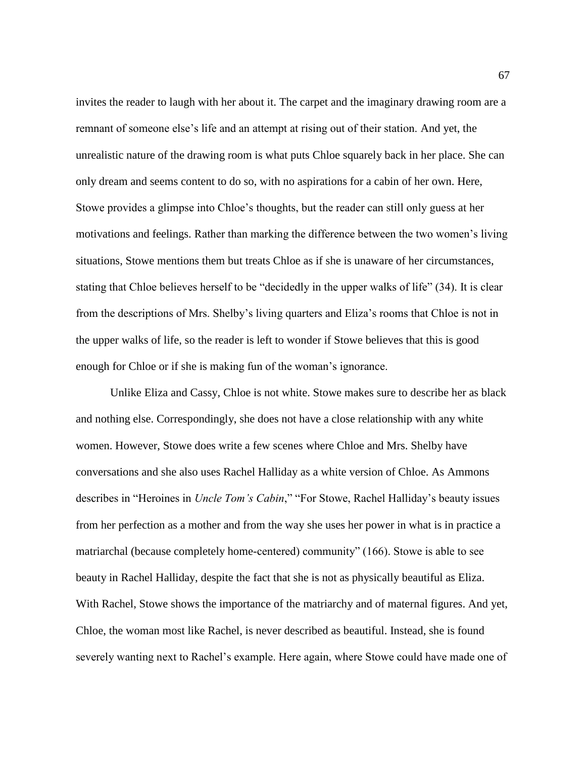invites the reader to laugh with her about it. The carpet and the imaginary drawing room are a remnant of someone else's life and an attempt at rising out of their station. And yet, the unrealistic nature of the drawing room is what puts Chloe squarely back in her place. She can only dream and seems content to do so, with no aspirations for a cabin of her own. Here, Stowe provides a glimpse into Chloe's thoughts, but the reader can still only guess at her motivations and feelings. Rather than marking the difference between the two women's living situations, Stowe mentions them but treats Chloe as if she is unaware of her circumstances, stating that Chloe believes herself to be "decidedly in the upper walks of life" (34). It is clear from the descriptions of Mrs. Shelby's living quarters and Eliza's rooms that Chloe is not in the upper walks of life, so the reader is left to wonder if Stowe believes that this is good enough for Chloe or if she is making fun of the woman's ignorance.

Unlike Eliza and Cassy, Chloe is not white. Stowe makes sure to describe her as black and nothing else. Correspondingly, she does not have a close relationship with any white women. However, Stowe does write a few scenes where Chloe and Mrs. Shelby have conversations and she also uses Rachel Halliday as a white version of Chloe. As Ammons describes in "Heroines in *Uncle Tom's Cabin*," "For Stowe, Rachel Halliday's beauty issues from her perfection as a mother and from the way she uses her power in what is in practice a matriarchal (because completely home-centered) community" (166). Stowe is able to see beauty in Rachel Halliday, despite the fact that she is not as physically beautiful as Eliza. With Rachel, Stowe shows the importance of the matriarchy and of maternal figures. And yet, Chloe, the woman most like Rachel, is never described as beautiful. Instead, she is found severely wanting next to Rachel's example. Here again, where Stowe could have made one of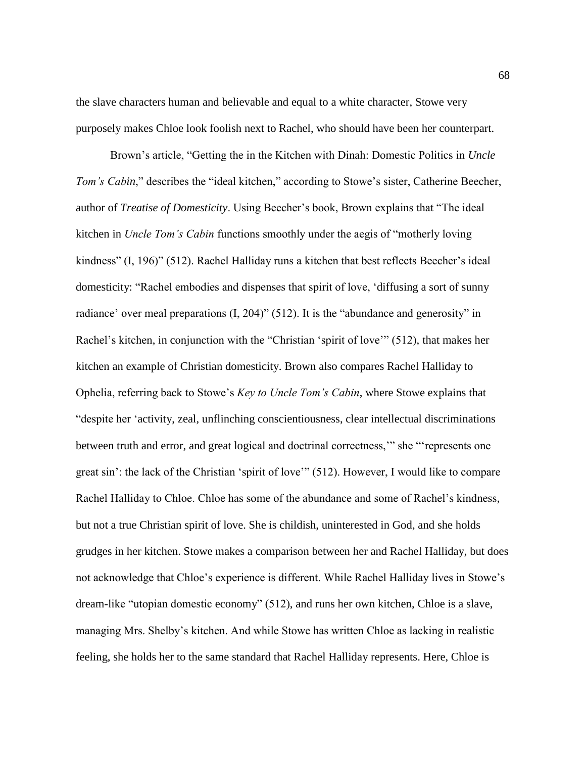the slave characters human and believable and equal to a white character, Stowe very purposely makes Chloe look foolish next to Rachel, who should have been her counterpart.

Brown's article, "Getting the in the Kitchen with Dinah: Domestic Politics in *Uncle Tom's Cabin*," describes the "ideal kitchen," according to Stowe's sister, Catherine Beecher, author of *Treatise of Domesticity*. Using Beecher's book, Brown explains that "The ideal kitchen in *Uncle Tom's Cabin* functions smoothly under the aegis of "motherly loving kindness" (I, 196)" (512). Rachel Halliday runs a kitchen that best reflects Beecher's ideal domesticity: "Rachel embodies and dispenses that spirit of love, 'diffusing a sort of sunny radiance' over meal preparations (I, 204)" (512). It is the "abundance and generosity" in Rachel's kitchen, in conjunction with the "Christian 'spirit of love'" (512), that makes her kitchen an example of Christian domesticity. Brown also compares Rachel Halliday to Ophelia, referring back to Stowe's *Key to Uncle Tom's Cabin*, where Stowe explains that "despite her 'activity, zeal, unflinching conscientiousness, clear intellectual discriminations between truth and error, and great logical and doctrinal correctness,'" she "'represents one great sin': the lack of the Christian 'spirit of love'" (512). However, I would like to compare Rachel Halliday to Chloe. Chloe has some of the abundance and some of Rachel's kindness, but not a true Christian spirit of love. She is childish, uninterested in God, and she holds grudges in her kitchen. Stowe makes a comparison between her and Rachel Halliday, but does not acknowledge that Chloe's experience is different. While Rachel Halliday lives in Stowe's dream-like "utopian domestic economy" (512), and runs her own kitchen, Chloe is a slave, managing Mrs. Shelby's kitchen. And while Stowe has written Chloe as lacking in realistic feeling, she holds her to the same standard that Rachel Halliday represents. Here, Chloe is

68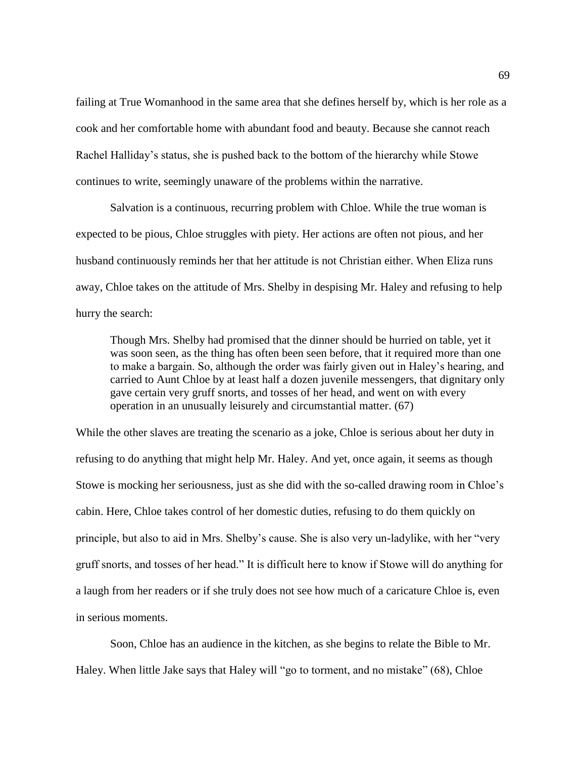failing at True Womanhood in the same area that she defines herself by, which is her role as a cook and her comfortable home with abundant food and beauty. Because she cannot reach Rachel Halliday's status, she is pushed back to the bottom of the hierarchy while Stowe continues to write, seemingly unaware of the problems within the narrative.

Salvation is a continuous, recurring problem with Chloe. While the true woman is expected to be pious, Chloe struggles with piety. Her actions are often not pious, and her husband continuously reminds her that her attitude is not Christian either. When Eliza runs away, Chloe takes on the attitude of Mrs. Shelby in despising Mr. Haley and refusing to help hurry the search:

Though Mrs. Shelby had promised that the dinner should be hurried on table, yet it was soon seen, as the thing has often been seen before, that it required more than one to make a bargain. So, although the order was fairly given out in Haley's hearing, and carried to Aunt Chloe by at least half a dozen juvenile messengers, that dignitary only gave certain very gruff snorts, and tosses of her head, and went on with every operation in an unusually leisurely and circumstantial matter. (67)

While the other slaves are treating the scenario as a joke, Chloe is serious about her duty in refusing to do anything that might help Mr. Haley. And yet, once again, it seems as though Stowe is mocking her seriousness, just as she did with the so-called drawing room in Chloe's cabin. Here, Chloe takes control of her domestic duties, refusing to do them quickly on principle, but also to aid in Mrs. Shelby's cause. She is also very un-ladylike, with her "very gruff snorts, and tosses of her head." It is difficult here to know if Stowe will do anything for a laugh from her readers or if she truly does not see how much of a caricature Chloe is, even in serious moments.

Soon, Chloe has an audience in the kitchen, as she begins to relate the Bible to Mr. Haley. When little Jake says that Haley will "go to torment, and no mistake" (68), Chloe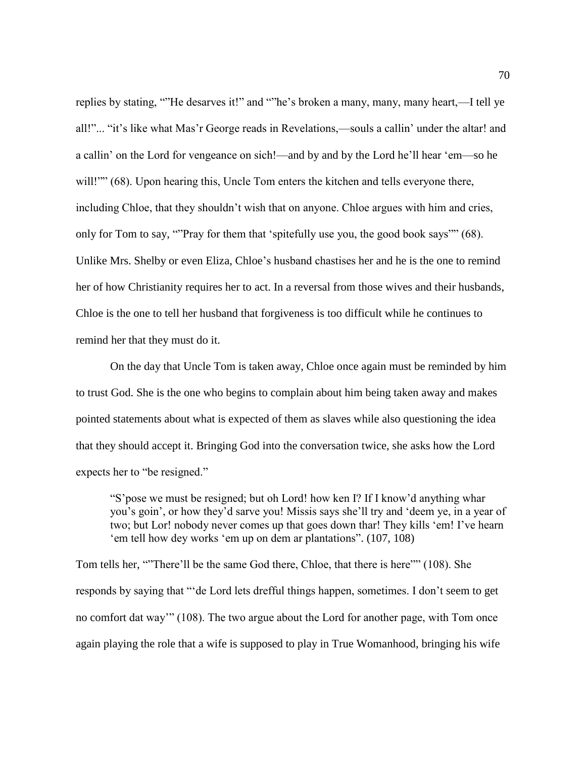replies by stating, ""He desarves it!" and ""he's broken a many, many, many heart,—I tell ye all!"... "it's like what Mas'r George reads in Revelations,—souls a callin' under the altar! and a callin' on the Lord for vengeance on sich!—and by and by the Lord he'll hear 'em—so he will!"" (68). Upon hearing this, Uncle Tom enters the kitchen and tells everyone there, including Chloe, that they shouldn't wish that on anyone. Chloe argues with him and cries, only for Tom to say, ""Pray for them that 'spitefully use you, the good book says"" (68). Unlike Mrs. Shelby or even Eliza, Chloe's husband chastises her and he is the one to remind her of how Christianity requires her to act. In a reversal from those wives and their husbands, Chloe is the one to tell her husband that forgiveness is too difficult while he continues to remind her that they must do it.

On the day that Uncle Tom is taken away, Chloe once again must be reminded by him to trust God. She is the one who begins to complain about him being taken away and makes pointed statements about what is expected of them as slaves while also questioning the idea that they should accept it. Bringing God into the conversation twice, she asks how the Lord expects her to "be resigned."

"S'pose we must be resigned; but oh Lord! how ken I? If I know'd anything whar you's goin', or how they'd sarve you! Missis says she'll try and 'deem ye, in a year of two; but Lor! nobody never comes up that goes down thar! They kills 'em! I've hearn 'em tell how dey works 'em up on dem ar plantations". (107, 108)

Tom tells her, ""There'll be the same God there, Chloe, that there is here"" (108). She responds by saying that "'de Lord lets drefful things happen, sometimes. I don't seem to get no comfort dat way'" (108). The two argue about the Lord for another page, with Tom once again playing the role that a wife is supposed to play in True Womanhood, bringing his wife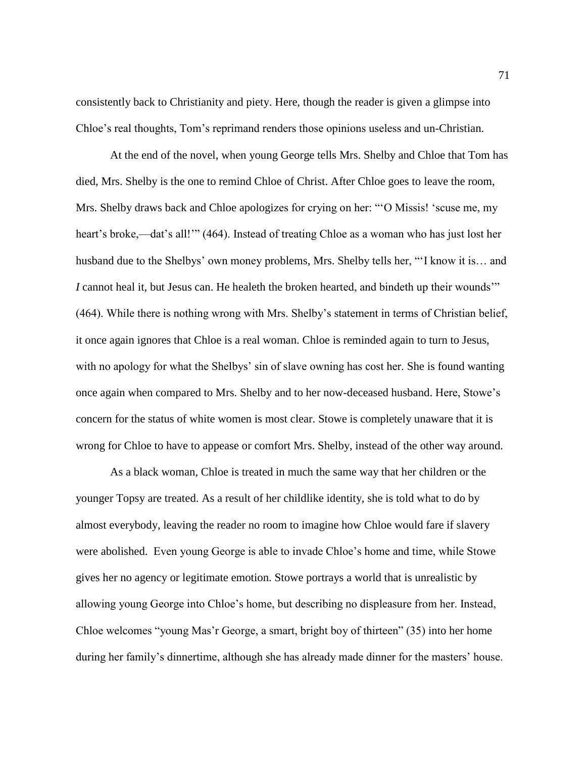consistently back to Christianity and piety. Here, though the reader is given a glimpse into Chloe's real thoughts, Tom's reprimand renders those opinions useless and un-Christian.

At the end of the novel, when young George tells Mrs. Shelby and Chloe that Tom has died, Mrs. Shelby is the one to remind Chloe of Christ. After Chloe goes to leave the room, Mrs. Shelby draws back and Chloe apologizes for crying on her: "'O Missis! 'scuse me, my heart's broke,—dat's all!" (464). Instead of treating Chloe as a woman who has just lost her husband due to the Shelbys' own money problems, Mrs. Shelby tells her, "'I know it is… and *I* cannot heal it, but Jesus can. He healeth the broken hearted, and bindeth up their wounds" (464). While there is nothing wrong with Mrs. Shelby's statement in terms of Christian belief, it once again ignores that Chloe is a real woman. Chloe is reminded again to turn to Jesus, with no apology for what the Shelbys' sin of slave owning has cost her. She is found wanting once again when compared to Mrs. Shelby and to her now-deceased husband. Here, Stowe's concern for the status of white women is most clear. Stowe is completely unaware that it is wrong for Chloe to have to appease or comfort Mrs. Shelby, instead of the other way around.

As a black woman, Chloe is treated in much the same way that her children or the younger Topsy are treated. As a result of her childlike identity, she is told what to do by almost everybody, leaving the reader no room to imagine how Chloe would fare if slavery were abolished. Even young George is able to invade Chloe's home and time, while Stowe gives her no agency or legitimate emotion. Stowe portrays a world that is unrealistic by allowing young George into Chloe's home, but describing no displeasure from her. Instead, Chloe welcomes "young Mas'r George, a smart, bright boy of thirteen" (35) into her home during her family's dinnertime, although she has already made dinner for the masters' house.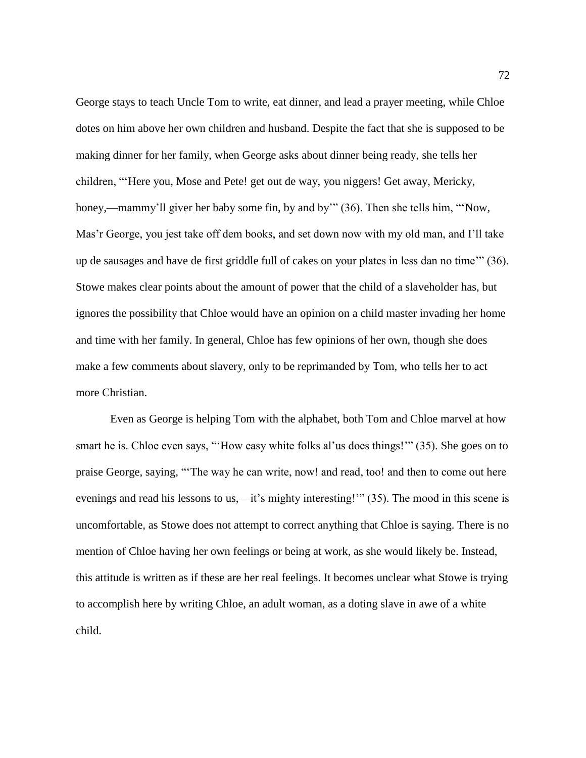George stays to teach Uncle Tom to write, eat dinner, and lead a prayer meeting, while Chloe dotes on him above her own children and husband. Despite the fact that she is supposed to be making dinner for her family, when George asks about dinner being ready, she tells her children, "'Here you, Mose and Pete! get out de way, you niggers! Get away, Mericky, honey,—mammy'll giver her baby some fin, by and by'" (36). Then she tells him, "'Now, Mas'r George, you jest take off dem books, and set down now with my old man, and I'll take up de sausages and have de first griddle full of cakes on your plates in less dan no time'" (36). Stowe makes clear points about the amount of power that the child of a slaveholder has, but ignores the possibility that Chloe would have an opinion on a child master invading her home and time with her family. In general, Chloe has few opinions of her own, though she does make a few comments about slavery, only to be reprimanded by Tom, who tells her to act more Christian.

Even as George is helping Tom with the alphabet, both Tom and Chloe marvel at how smart he is. Chloe even says, "How easy white folks al'us does things!" (35). She goes on to praise George, saying, "'The way he can write, now! and read, too! and then to come out here evenings and read his lessons to us,—it's mighty interesting!'" (35). The mood in this scene is uncomfortable, as Stowe does not attempt to correct anything that Chloe is saying. There is no mention of Chloe having her own feelings or being at work, as she would likely be. Instead, this attitude is written as if these are her real feelings. It becomes unclear what Stowe is trying to accomplish here by writing Chloe, an adult woman, as a doting slave in awe of a white child.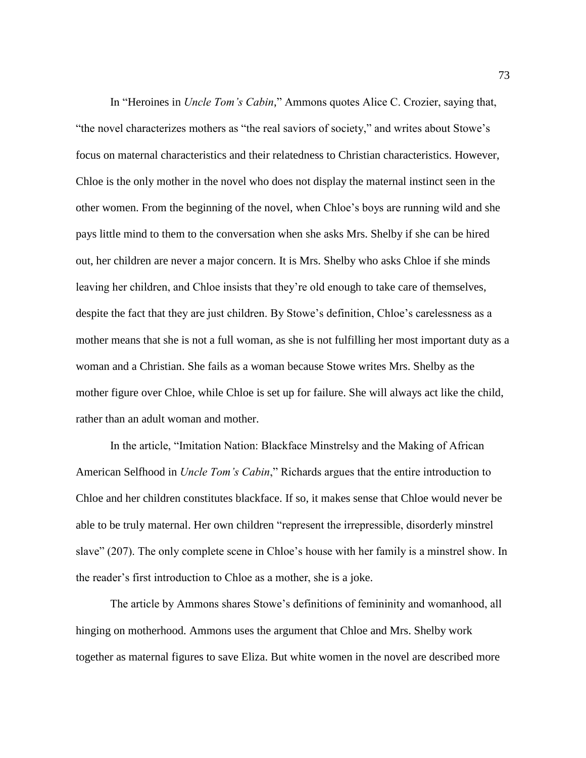In "Heroines in *Uncle Tom's Cabin*," Ammons quotes Alice C. Crozier, saying that, "the novel characterizes mothers as "the real saviors of society," and writes about Stowe's focus on maternal characteristics and their relatedness to Christian characteristics. However, Chloe is the only mother in the novel who does not display the maternal instinct seen in the other women. From the beginning of the novel, when Chloe's boys are running wild and she pays little mind to them to the conversation when she asks Mrs. Shelby if she can be hired out, her children are never a major concern. It is Mrs. Shelby who asks Chloe if she minds leaving her children, and Chloe insists that they're old enough to take care of themselves, despite the fact that they are just children. By Stowe's definition, Chloe's carelessness as a mother means that she is not a full woman, as she is not fulfilling her most important duty as a woman and a Christian. She fails as a woman because Stowe writes Mrs. Shelby as the mother figure over Chloe, while Chloe is set up for failure. She will always act like the child, rather than an adult woman and mother.

In the article, "Imitation Nation: Blackface Minstrelsy and the Making of African American Selfhood in *Uncle Tom's Cabin*," Richards argues that the entire introduction to Chloe and her children constitutes blackface. If so, it makes sense that Chloe would never be able to be truly maternal. Her own children "represent the irrepressible, disorderly minstrel slave" (207). The only complete scene in Chloe's house with her family is a minstrel show. In the reader's first introduction to Chloe as a mother, she is a joke.

The article by Ammons shares Stowe's definitions of femininity and womanhood, all hinging on motherhood. Ammons uses the argument that Chloe and Mrs. Shelby work together as maternal figures to save Eliza. But white women in the novel are described more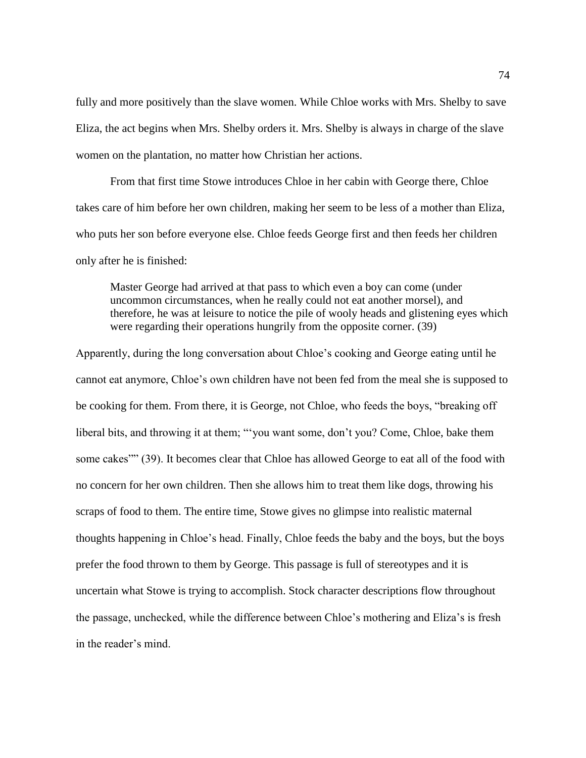fully and more positively than the slave women. While Chloe works with Mrs. Shelby to save Eliza, the act begins when Mrs. Shelby orders it. Mrs. Shelby is always in charge of the slave women on the plantation, no matter how Christian her actions.

From that first time Stowe introduces Chloe in her cabin with George there, Chloe takes care of him before her own children, making her seem to be less of a mother than Eliza, who puts her son before everyone else. Chloe feeds George first and then feeds her children only after he is finished:

Master George had arrived at that pass to which even a boy can come (under uncommon circumstances, when he really could not eat another morsel), and therefore, he was at leisure to notice the pile of wooly heads and glistening eyes which were regarding their operations hungrily from the opposite corner. (39)

Apparently, during the long conversation about Chloe's cooking and George eating until he cannot eat anymore, Chloe's own children have not been fed from the meal she is supposed to be cooking for them. From there, it is George, not Chloe, who feeds the boys, "breaking off liberal bits, and throwing it at them; "'you want some, don't you? Come, Chloe, bake them some cakes"" (39). It becomes clear that Chloe has allowed George to eat all of the food with no concern for her own children. Then she allows him to treat them like dogs, throwing his scraps of food to them. The entire time, Stowe gives no glimpse into realistic maternal thoughts happening in Chloe's head. Finally, Chloe feeds the baby and the boys, but the boys prefer the food thrown to them by George. This passage is full of stereotypes and it is uncertain what Stowe is trying to accomplish. Stock character descriptions flow throughout the passage, unchecked, while the difference between Chloe's mothering and Eliza's is fresh in the reader's mind.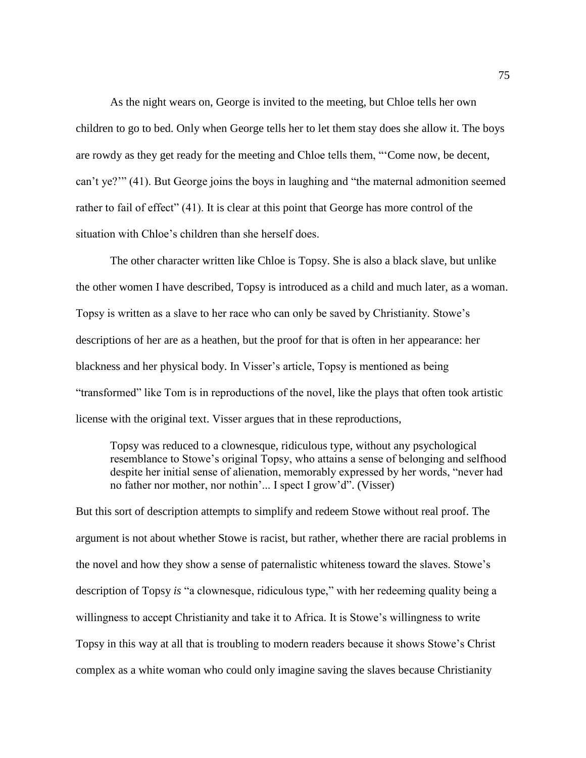As the night wears on, George is invited to the meeting, but Chloe tells her own children to go to bed. Only when George tells her to let them stay does she allow it. The boys are rowdy as they get ready for the meeting and Chloe tells them, "'Come now, be decent, can't ye?'" (41). But George joins the boys in laughing and "the maternal admonition seemed rather to fail of effect" (41). It is clear at this point that George has more control of the situation with Chloe's children than she herself does.

The other character written like Chloe is Topsy. She is also a black slave, but unlike the other women I have described, Topsy is introduced as a child and much later, as a woman. Topsy is written as a slave to her race who can only be saved by Christianity. Stowe's descriptions of her are as a heathen, but the proof for that is often in her appearance: her blackness and her physical body. In Visser's article, Topsy is mentioned as being "transformed" like Tom is in reproductions of the novel, like the plays that often took artistic license with the original text. Visser argues that in these reproductions,

Topsy was reduced to a clownesque, ridiculous type, without any psychological resemblance to Stowe's original Topsy, who attains a sense of belonging and selfhood despite her initial sense of alienation, memorably expressed by her words, "never had no father nor mother, nor nothin'... I spect I grow'd". (Visser)

But this sort of description attempts to simplify and redeem Stowe without real proof. The argument is not about whether Stowe is racist, but rather, whether there are racial problems in the novel and how they show a sense of paternalistic whiteness toward the slaves. Stowe's description of Topsy *is* "a clownesque, ridiculous type," with her redeeming quality being a willingness to accept Christianity and take it to Africa. It is Stowe's willingness to write Topsy in this way at all that is troubling to modern readers because it shows Stowe's Christ complex as a white woman who could only imagine saving the slaves because Christianity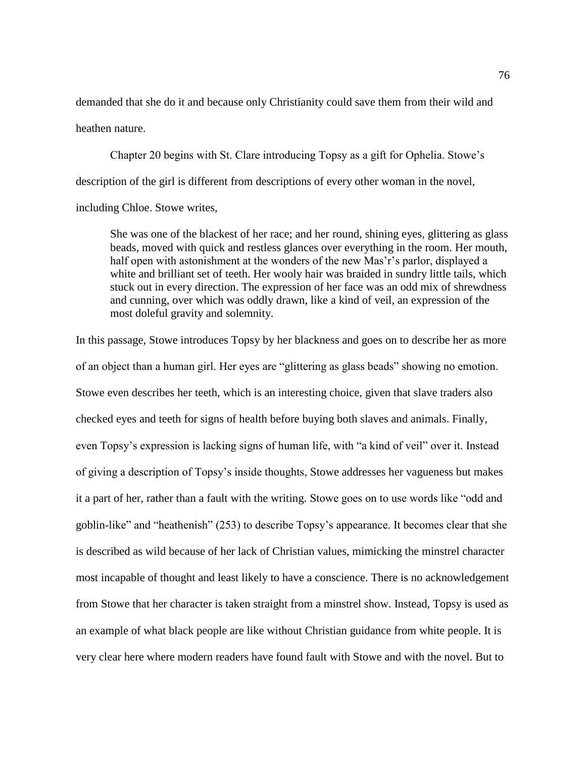demanded that she do it and because only Christianity could save them from their wild and heathen nature.

Chapter 20 begins with St. Clare introducing Topsy as a gift for Ophelia. Stowe's description of the girl is different from descriptions of every other woman in the novel, including Chloe. Stowe writes,

She was one of the blackest of her race; and her round, shining eyes, glittering as glass beads, moved with quick and restless glances over everything in the room. Her mouth, half open with astonishment at the wonders of the new Mas'r's parlor, displayed a white and brilliant set of teeth. Her wooly hair was braided in sundry little tails, which stuck out in every direction. The expression of her face was an odd mix of shrewdness and cunning, over which was oddly drawn, like a kind of veil, an expression of the most doleful gravity and solemnity.

In this passage, Stowe introduces Topsy by her blackness and goes on to describe her as more of an object than a human girl. Her eyes are "glittering as glass beads" showing no emotion. Stowe even describes her teeth, which is an interesting choice, given that slave traders also checked eyes and teeth for signs of health before buying both slaves and animals. Finally, even Topsy's expression is lacking signs of human life, with "a kind of veil" over it. Instead of giving a description of Topsy's inside thoughts, Stowe addresses her vagueness but makes it a part of her, rather than a fault with the writing. Stowe goes on to use words like "odd and goblin-like" and "heathenish" (253) to describe Topsy's appearance. It becomes clear that she is described as wild because of her lack of Christian values, mimicking the minstrel character most incapable of thought and least likely to have a conscience. There is no acknowledgement from Stowe that her character is taken straight from a minstrel show. Instead, Topsy is used as an example of what black people are like without Christian guidance from white people. It is very clear here where modern readers have found fault with Stowe and with the novel. But to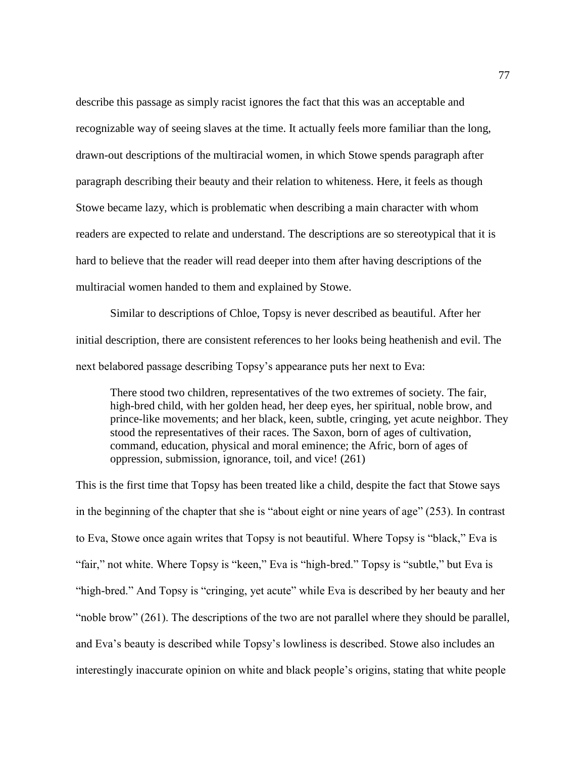describe this passage as simply racist ignores the fact that this was an acceptable and recognizable way of seeing slaves at the time. It actually feels more familiar than the long, drawn-out descriptions of the multiracial women, in which Stowe spends paragraph after paragraph describing their beauty and their relation to whiteness. Here, it feels as though Stowe became lazy, which is problematic when describing a main character with whom readers are expected to relate and understand. The descriptions are so stereotypical that it is hard to believe that the reader will read deeper into them after having descriptions of the multiracial women handed to them and explained by Stowe.

Similar to descriptions of Chloe, Topsy is never described as beautiful. After her initial description, there are consistent references to her looks being heathenish and evil. The next belabored passage describing Topsy's appearance puts her next to Eva:

There stood two children, representatives of the two extremes of society. The fair, high-bred child, with her golden head, her deep eyes, her spiritual, noble brow, and prince-like movements; and her black, keen, subtle, cringing, yet acute neighbor. They stood the representatives of their races. The Saxon, born of ages of cultivation, command, education, physical and moral eminence; the Afric, born of ages of oppression, submission, ignorance, toil, and vice! (261)

This is the first time that Topsy has been treated like a child, despite the fact that Stowe says in the beginning of the chapter that she is "about eight or nine years of age" (253). In contrast to Eva, Stowe once again writes that Topsy is not beautiful. Where Topsy is "black," Eva is "fair," not white. Where Topsy is "keen," Eva is "high-bred." Topsy is "subtle," but Eva is "high-bred." And Topsy is "cringing, yet acute" while Eva is described by her beauty and her "noble brow" (261). The descriptions of the two are not parallel where they should be parallel, and Eva's beauty is described while Topsy's lowliness is described. Stowe also includes an interestingly inaccurate opinion on white and black people's origins, stating that white people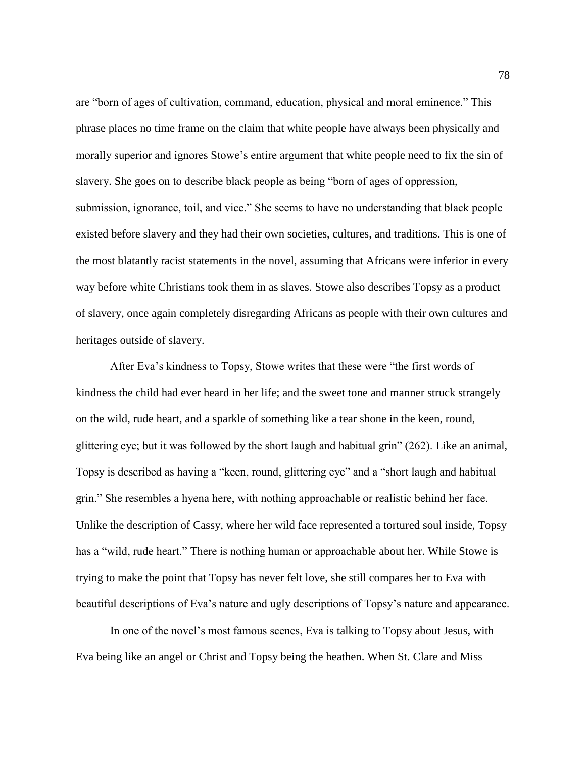are "born of ages of cultivation, command, education, physical and moral eminence." This phrase places no time frame on the claim that white people have always been physically and morally superior and ignores Stowe's entire argument that white people need to fix the sin of slavery. She goes on to describe black people as being "born of ages of oppression, submission, ignorance, toil, and vice." She seems to have no understanding that black people existed before slavery and they had their own societies, cultures, and traditions. This is one of the most blatantly racist statements in the novel, assuming that Africans were inferior in every way before white Christians took them in as slaves. Stowe also describes Topsy as a product of slavery, once again completely disregarding Africans as people with their own cultures and heritages outside of slavery.

After Eva's kindness to Topsy, Stowe writes that these were "the first words of kindness the child had ever heard in her life; and the sweet tone and manner struck strangely on the wild, rude heart, and a sparkle of something like a tear shone in the keen, round, glittering eye; but it was followed by the short laugh and habitual grin" (262). Like an animal, Topsy is described as having a "keen, round, glittering eye" and a "short laugh and habitual grin." She resembles a hyena here, with nothing approachable or realistic behind her face. Unlike the description of Cassy, where her wild face represented a tortured soul inside, Topsy has a "wild, rude heart." There is nothing human or approachable about her. While Stowe is trying to make the point that Topsy has never felt love, she still compares her to Eva with beautiful descriptions of Eva's nature and ugly descriptions of Topsy's nature and appearance.

In one of the novel's most famous scenes, Eva is talking to Topsy about Jesus, with Eva being like an angel or Christ and Topsy being the heathen. When St. Clare and Miss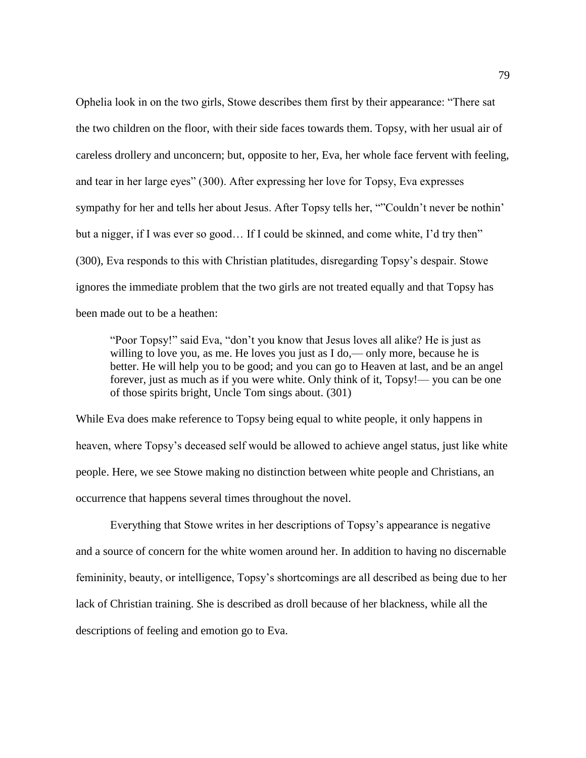Ophelia look in on the two girls, Stowe describes them first by their appearance: "There sat the two children on the floor, with their side faces towards them. Topsy, with her usual air of careless drollery and unconcern; but, opposite to her, Eva, her whole face fervent with feeling, and tear in her large eyes" (300). After expressing her love for Topsy, Eva expresses sympathy for her and tells her about Jesus. After Topsy tells her, ""Couldn't never be nothin' but a nigger, if I was ever so good… If I could be skinned, and come white, I'd try then" (300), Eva responds to this with Christian platitudes, disregarding Topsy's despair. Stowe ignores the immediate problem that the two girls are not treated equally and that Topsy has been made out to be a heathen:

"Poor Topsy!" said Eva, "don't you know that Jesus loves all alike? He is just as willing to love you, as me. He loves you just as I do,— only more, because he is better. He will help you to be good; and you can go to Heaven at last, and be an angel forever, just as much as if you were white. Only think of it, Topsy!— you can be one of those spirits bright, Uncle Tom sings about. (301)

While Eva does make reference to Topsy being equal to white people, it only happens in heaven, where Topsy's deceased self would be allowed to achieve angel status, just like white people. Here, we see Stowe making no distinction between white people and Christians, an occurrence that happens several times throughout the novel.

Everything that Stowe writes in her descriptions of Topsy's appearance is negative and a source of concern for the white women around her. In addition to having no discernable femininity, beauty, or intelligence, Topsy's shortcomings are all described as being due to her lack of Christian training. She is described as droll because of her blackness, while all the descriptions of feeling and emotion go to Eva.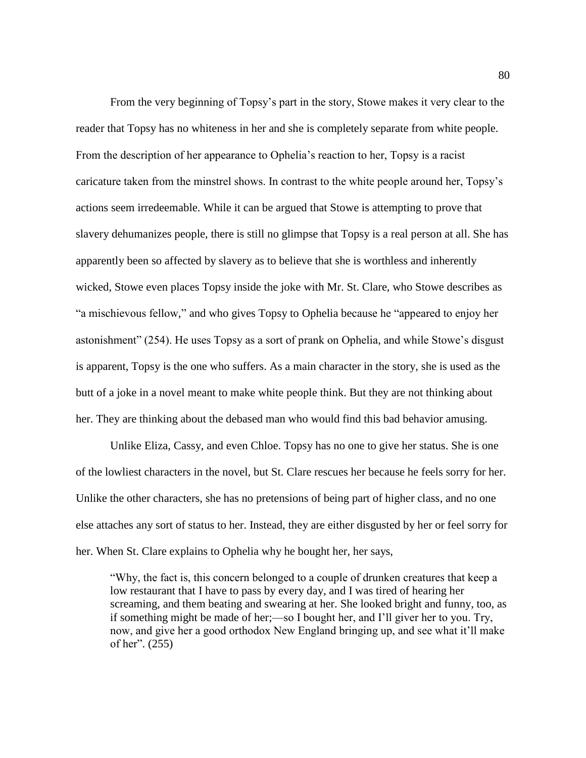From the very beginning of Topsy's part in the story, Stowe makes it very clear to the reader that Topsy has no whiteness in her and she is completely separate from white people. From the description of her appearance to Ophelia's reaction to her, Topsy is a racist caricature taken from the minstrel shows. In contrast to the white people around her, Topsy's actions seem irredeemable. While it can be argued that Stowe is attempting to prove that slavery dehumanizes people, there is still no glimpse that Topsy is a real person at all. She has apparently been so affected by slavery as to believe that she is worthless and inherently wicked, Stowe even places Topsy inside the joke with Mr. St. Clare, who Stowe describes as "a mischievous fellow," and who gives Topsy to Ophelia because he "appeared to enjoy her astonishment" (254). He uses Topsy as a sort of prank on Ophelia, and while Stowe's disgust is apparent, Topsy is the one who suffers. As a main character in the story, she is used as the butt of a joke in a novel meant to make white people think. But they are not thinking about her. They are thinking about the debased man who would find this bad behavior amusing.

Unlike Eliza, Cassy, and even Chloe. Topsy has no one to give her status. She is one of the lowliest characters in the novel, but St. Clare rescues her because he feels sorry for her. Unlike the other characters, she has no pretensions of being part of higher class, and no one else attaches any sort of status to her. Instead, they are either disgusted by her or feel sorry for her. When St. Clare explains to Ophelia why he bought her, her says,

"Why, the fact is, this concern belonged to a couple of drunken creatures that keep a low restaurant that I have to pass by every day, and I was tired of hearing her screaming, and them beating and swearing at her. She looked bright and funny, too, as if something might be made of her;—so I bought her, and I'll giver her to you. Try, now, and give her a good orthodox New England bringing up, and see what it'll make of her". (255)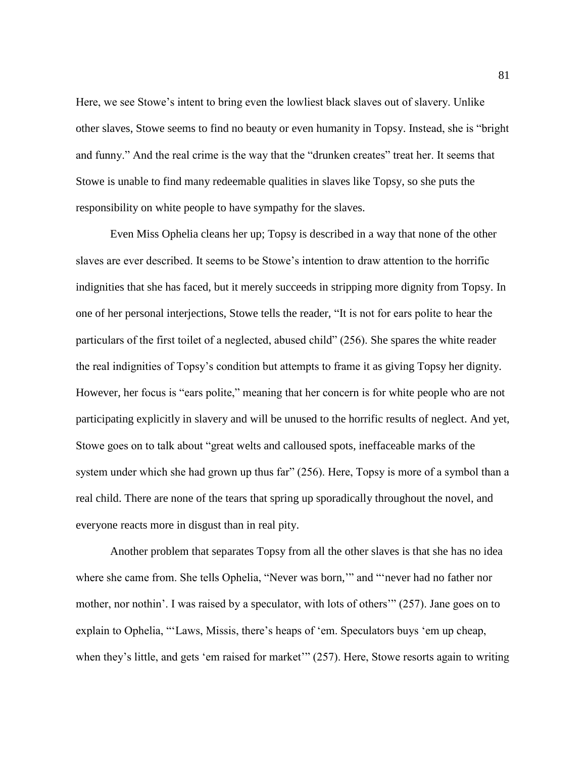Here, we see Stowe's intent to bring even the lowliest black slaves out of slavery. Unlike other slaves, Stowe seems to find no beauty or even humanity in Topsy. Instead, she is "bright and funny." And the real crime is the way that the "drunken creates" treat her. It seems that Stowe is unable to find many redeemable qualities in slaves like Topsy, so she puts the responsibility on white people to have sympathy for the slaves.

Even Miss Ophelia cleans her up; Topsy is described in a way that none of the other slaves are ever described. It seems to be Stowe's intention to draw attention to the horrific indignities that she has faced, but it merely succeeds in stripping more dignity from Topsy. In one of her personal interjections, Stowe tells the reader, "It is not for ears polite to hear the particulars of the first toilet of a neglected, abused child" (256). She spares the white reader the real indignities of Topsy's condition but attempts to frame it as giving Topsy her dignity. However, her focus is "ears polite," meaning that her concern is for white people who are not participating explicitly in slavery and will be unused to the horrific results of neglect. And yet, Stowe goes on to talk about "great welts and calloused spots, ineffaceable marks of the system under which she had grown up thus far" (256). Here, Topsy is more of a symbol than a real child. There are none of the tears that spring up sporadically throughout the novel, and everyone reacts more in disgust than in real pity.

Another problem that separates Topsy from all the other slaves is that she has no idea where she came from. She tells Ophelia, "Never was born,'" and "'never had no father nor mother, nor nothin'. I was raised by a speculator, with lots of others'" (257). Jane goes on to explain to Ophelia, "'Laws, Missis, there's heaps of 'em. Speculators buys 'em up cheap, when they's little, and gets 'em raised for market'" (257). Here, Stowe resorts again to writing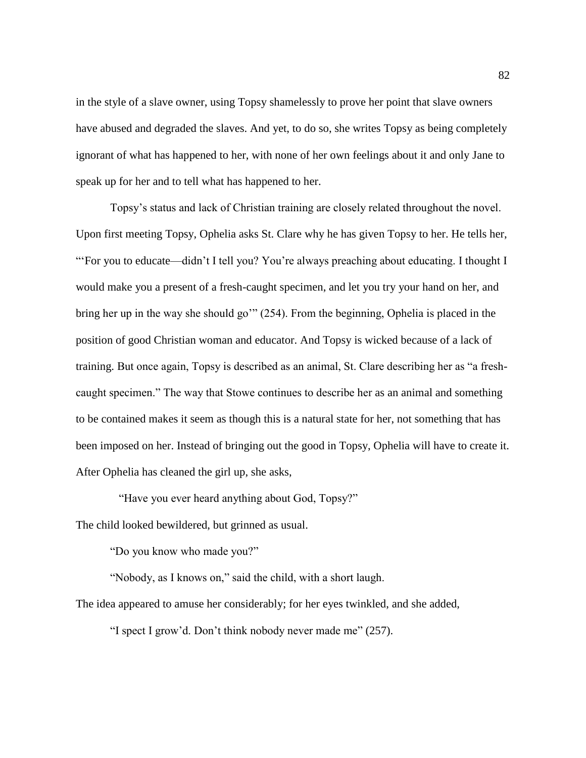in the style of a slave owner, using Topsy shamelessly to prove her point that slave owners have abused and degraded the slaves. And yet, to do so, she writes Topsy as being completely ignorant of what has happened to her, with none of her own feelings about it and only Jane to speak up for her and to tell what has happened to her.

Topsy's status and lack of Christian training are closely related throughout the novel. Upon first meeting Topsy, Ophelia asks St. Clare why he has given Topsy to her. He tells her, "'For you to educate—didn't I tell you? You're always preaching about educating. I thought I would make you a present of a fresh-caught specimen, and let you try your hand on her, and bring her up in the way she should go'" (254). From the beginning, Ophelia is placed in the position of good Christian woman and educator. And Topsy is wicked because of a lack of training. But once again, Topsy is described as an animal, St. Clare describing her as "a freshcaught specimen." The way that Stowe continues to describe her as an animal and something to be contained makes it seem as though this is a natural state for her, not something that has been imposed on her. Instead of bringing out the good in Topsy, Ophelia will have to create it. After Ophelia has cleaned the girl up, she asks,

"Have you ever heard anything about God, Topsy?"

The child looked bewildered, but grinned as usual.

"Do you know who made you?"

"Nobody, as I knows on," said the child, with a short laugh.

The idea appeared to amuse her considerably; for her eyes twinkled, and she added,

"I spect I grow'd. Don't think nobody never made me" (257).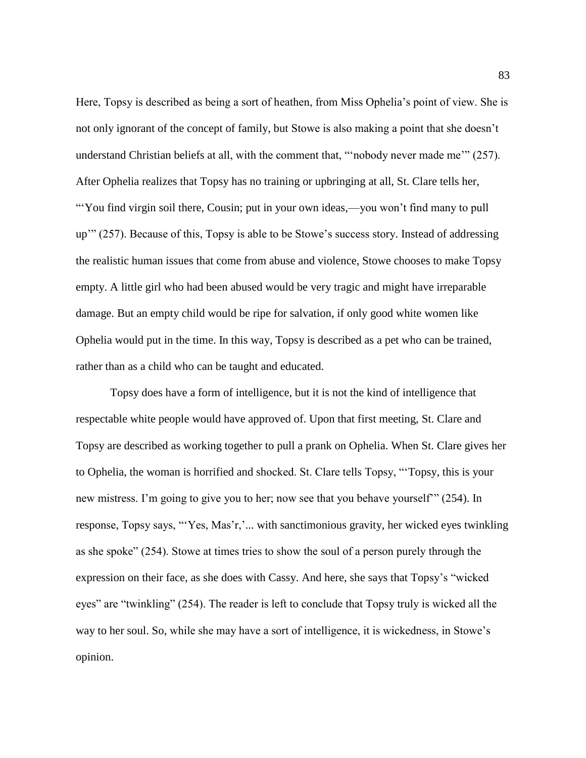Here, Topsy is described as being a sort of heathen, from Miss Ophelia's point of view. She is not only ignorant of the concept of family, but Stowe is also making a point that she doesn't understand Christian beliefs at all, with the comment that, "'nobody never made me'" (257). After Ophelia realizes that Topsy has no training or upbringing at all, St. Clare tells her, "'You find virgin soil there, Cousin; put in your own ideas,—you won't find many to pull up'" (257). Because of this, Topsy is able to be Stowe's success story. Instead of addressing the realistic human issues that come from abuse and violence, Stowe chooses to make Topsy empty. A little girl who had been abused would be very tragic and might have irreparable damage. But an empty child would be ripe for salvation, if only good white women like Ophelia would put in the time. In this way, Topsy is described as a pet who can be trained, rather than as a child who can be taught and educated.

Topsy does have a form of intelligence, but it is not the kind of intelligence that respectable white people would have approved of. Upon that first meeting, St. Clare and Topsy are described as working together to pull a prank on Ophelia. When St. Clare gives her to Ophelia, the woman is horrified and shocked. St. Clare tells Topsy, "'Topsy, this is your new mistress. I'm going to give you to her; now see that you behave yourself'" (254). In response, Topsy says, "'Yes, Mas'r,'... with sanctimonious gravity, her wicked eyes twinkling as she spoke" (254). Stowe at times tries to show the soul of a person purely through the expression on their face, as she does with Cassy. And here, she says that Topsy's "wicked eyes" are "twinkling" (254). The reader is left to conclude that Topsy truly is wicked all the way to her soul. So, while she may have a sort of intelligence, it is wickedness, in Stowe's opinion.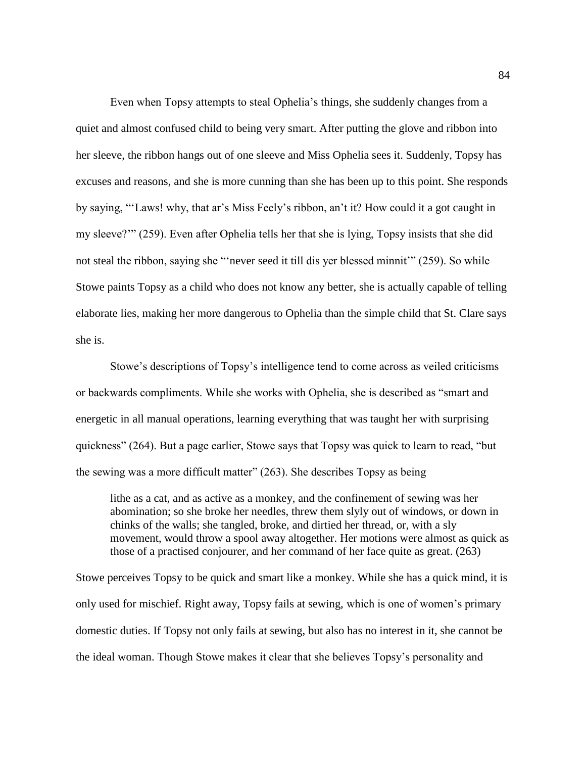Even when Topsy attempts to steal Ophelia's things, she suddenly changes from a quiet and almost confused child to being very smart. After putting the glove and ribbon into her sleeve, the ribbon hangs out of one sleeve and Miss Ophelia sees it. Suddenly, Topsy has excuses and reasons, and she is more cunning than she has been up to this point. She responds by saying, "'Laws! why, that ar's Miss Feely's ribbon, an't it? How could it a got caught in my sleeve?'" (259). Even after Ophelia tells her that she is lying, Topsy insists that she did not steal the ribbon, saying she "'never seed it till dis yer blessed minnit'" (259). So while Stowe paints Topsy as a child who does not know any better, she is actually capable of telling elaborate lies, making her more dangerous to Ophelia than the simple child that St. Clare says she is.

Stowe's descriptions of Topsy's intelligence tend to come across as veiled criticisms or backwards compliments. While she works with Ophelia, she is described as "smart and energetic in all manual operations, learning everything that was taught her with surprising quickness" (264). But a page earlier, Stowe says that Topsy was quick to learn to read, "but the sewing was a more difficult matter" (263). She describes Topsy as being

lithe as a cat, and as active as a monkey, and the confinement of sewing was her abomination; so she broke her needles, threw them slyly out of windows, or down in chinks of the walls; she tangled, broke, and dirtied her thread, or, with a sly movement, would throw a spool away altogether. Her motions were almost as quick as those of a practised conjourer, and her command of her face quite as great. (263)

Stowe perceives Topsy to be quick and smart like a monkey. While she has a quick mind, it is only used for mischief. Right away, Topsy fails at sewing, which is one of women's primary domestic duties. If Topsy not only fails at sewing, but also has no interest in it, she cannot be the ideal woman. Though Stowe makes it clear that she believes Topsy's personality and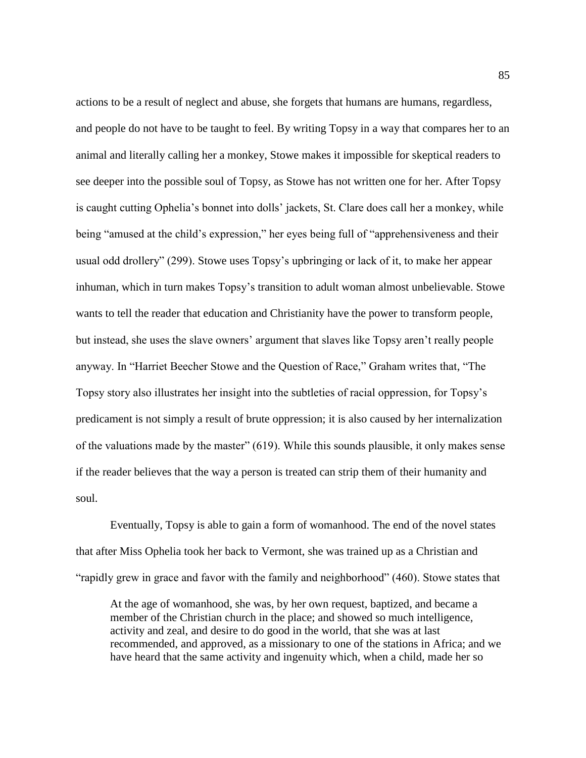actions to be a result of neglect and abuse, she forgets that humans are humans, regardless, and people do not have to be taught to feel. By writing Topsy in a way that compares her to an animal and literally calling her a monkey, Stowe makes it impossible for skeptical readers to see deeper into the possible soul of Topsy, as Stowe has not written one for her. After Topsy is caught cutting Ophelia's bonnet into dolls' jackets, St. Clare does call her a monkey, while being "amused at the child's expression," her eyes being full of "apprehensiveness and their usual odd drollery" (299). Stowe uses Topsy's upbringing or lack of it, to make her appear inhuman, which in turn makes Topsy's transition to adult woman almost unbelievable. Stowe wants to tell the reader that education and Christianity have the power to transform people, but instead, she uses the slave owners' argument that slaves like Topsy aren't really people anyway. In "Harriet Beecher Stowe and the Question of Race," Graham writes that, "The Topsy story also illustrates her insight into the subtleties of racial oppression, for Topsy's predicament is not simply a result of brute oppression; it is also caused by her internalization of the valuations made by the master" (619). While this sounds plausible, it only makes sense if the reader believes that the way a person is treated can strip them of their humanity and soul.

Eventually, Topsy is able to gain a form of womanhood. The end of the novel states that after Miss Ophelia took her back to Vermont, she was trained up as a Christian and "rapidly grew in grace and favor with the family and neighborhood" (460). Stowe states that

At the age of womanhood, she was, by her own request, baptized, and became a member of the Christian church in the place; and showed so much intelligence, activity and zeal, and desire to do good in the world, that she was at last recommended, and approved, as a missionary to one of the stations in Africa; and we have heard that the same activity and ingenuity which, when a child, made her so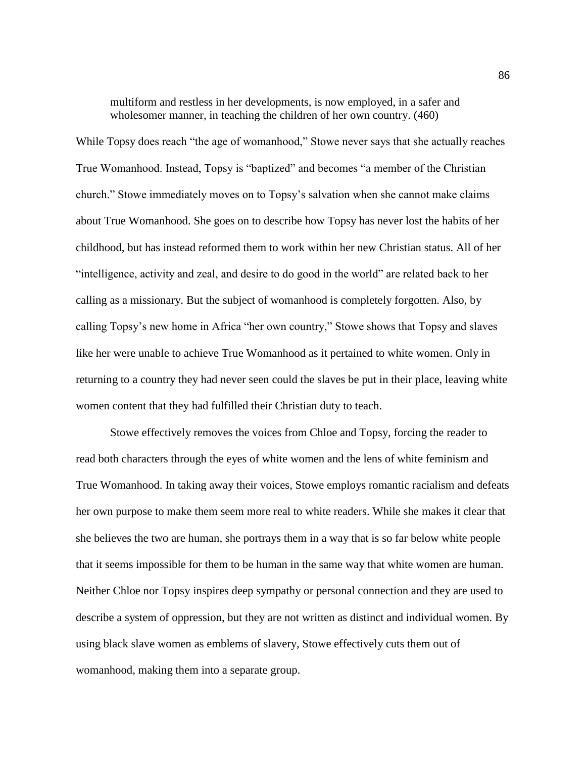multiform and restless in her developments, is now employed, in a safer and wholesomer manner, in teaching the children of her own country. (460)

While Topsy does reach "the age of womanhood," Stowe never says that she actually reaches True Womanhood. Instead, Topsy is "baptized" and becomes "a member of the Christian church." Stowe immediately moves on to Topsy's salvation when she cannot make claims about True Womanhood. She goes on to describe how Topsy has never lost the habits of her childhood, but has instead reformed them to work within her new Christian status. All of her "intelligence, activity and zeal, and desire to do good in the world" are related back to her calling as a missionary. But the subject of womanhood is completely forgotten. Also, by calling Topsy's new home in Africa "her own country," Stowe shows that Topsy and slaves like her were unable to achieve True Womanhood as it pertained to white women. Only in returning to a country they had never seen could the slaves be put in their place, leaving white women content that they had fulfilled their Christian duty to teach.

Stowe effectively removes the voices from Chloe and Topsy, forcing the reader to read both characters through the eyes of white women and the lens of white feminism and True Womanhood. In taking away their voices, Stowe employs romantic racialism and defeats her own purpose to make them seem more real to white readers. While she makes it clear that she believes the two are human, she portrays them in a way that is so far below white people that it seems impossible for them to be human in the same way that white women are human. Neither Chloe nor Topsy inspires deep sympathy or personal connection and they are used to describe a system of oppression, but they are not written as distinct and individual women. By using black slave women as emblems of slavery, Stowe effectively cuts them out of womanhood, making them into a separate group.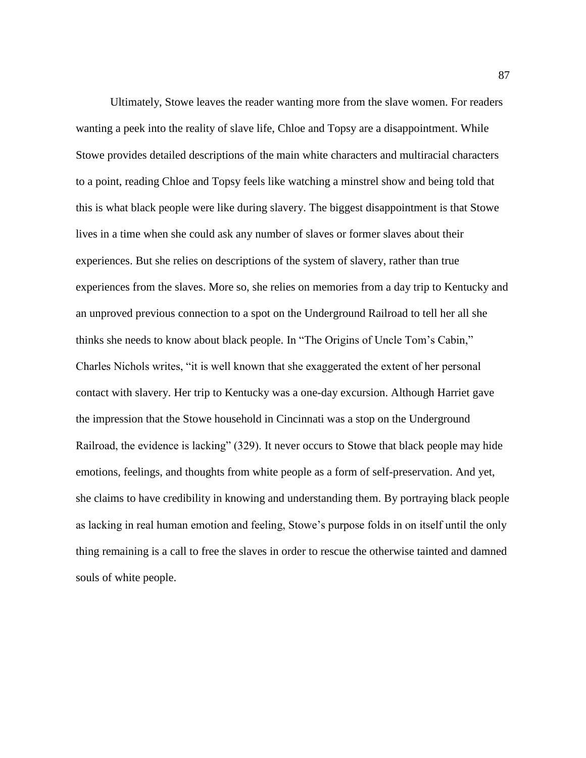Ultimately, Stowe leaves the reader wanting more from the slave women. For readers wanting a peek into the reality of slave life, Chloe and Topsy are a disappointment. While Stowe provides detailed descriptions of the main white characters and multiracial characters to a point, reading Chloe and Topsy feels like watching a minstrel show and being told that this is what black people were like during slavery. The biggest disappointment is that Stowe lives in a time when she could ask any number of slaves or former slaves about their experiences. But she relies on descriptions of the system of slavery, rather than true experiences from the slaves. More so, she relies on memories from a day trip to Kentucky and an unproved previous connection to a spot on the Underground Railroad to tell her all she thinks she needs to know about black people. In "The Origins of Uncle Tom's Cabin," Charles Nichols writes, "it is well known that she exaggerated the extent of her personal contact with slavery. Her trip to Kentucky was a one-day excursion. Although Harriet gave the impression that the Stowe household in Cincinnati was a stop on the Underground Railroad, the evidence is lacking" (329). It never occurs to Stowe that black people may hide emotions, feelings, and thoughts from white people as a form of self-preservation. And yet, she claims to have credibility in knowing and understanding them. By portraying black people as lacking in real human emotion and feeling, Stowe's purpose folds in on itself until the only thing remaining is a call to free the slaves in order to rescue the otherwise tainted and damned souls of white people.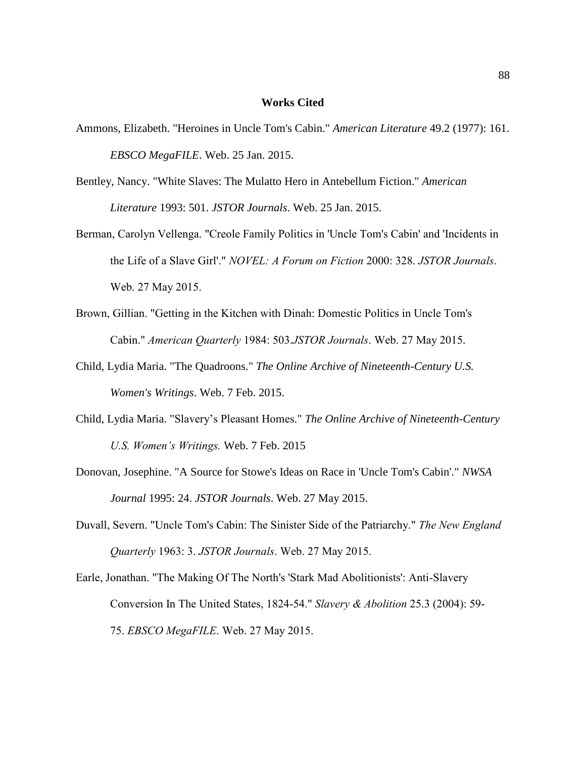## **Works Cited**

- Ammons, Elizabeth. "Heroines in Uncle Tom's Cabin." *American Literature* 49.2 (1977): 161. *EBSCO MegaFILE*. Web. 25 Jan. 2015.
- Bentley, Nancy. "White Slaves: The Mulatto Hero in Antebellum Fiction." *American Literature* 1993: 501. *JSTOR Journals*. Web. 25 Jan. 2015.
- Berman, Carolyn Vellenga. "Creole Family Politics in 'Uncle Tom's Cabin' and 'Incidents in the Life of a Slave Girl'." *NOVEL: A Forum on Fiction* 2000: 328. *JSTOR Journals*. Web. 27 May 2015.
- Brown, Gillian. "Getting in the Kitchen with Dinah: Domestic Politics in Uncle Tom's Cabin." *American Quarterly* 1984: 503.*JSTOR Journals*. Web. 27 May 2015.
- Child, Lydia Maria. "The Quadroons." *The Online Archive of Nineteenth-Century U.S. Women's Writings*. Web. 7 Feb. 2015.
- Child, Lydia Maria. "Slavery's Pleasant Homes." *The Online Archive of Nineteenth-Century U.S. Women's Writings.* Web. 7 Feb. 2015
- Donovan, Josephine. "A Source for Stowe's Ideas on Race in 'Uncle Tom's Cabin'." *NWSA Journal* 1995: 24. *JSTOR Journals*. Web. 27 May 2015.
- Duvall, Severn. "Uncle Tom's Cabin: The Sinister Side of the Patriarchy." *The New England Quarterly* 1963: 3. *JSTOR Journals*. Web. 27 May 2015.
- Earle, Jonathan. "The Making Of The North's 'Stark Mad Abolitionists': Anti-Slavery Conversion In The United States, 1824-54." *Slavery & Abolition* 25.3 (2004): 59- 75. *EBSCO MegaFILE*. Web. 27 May 2015.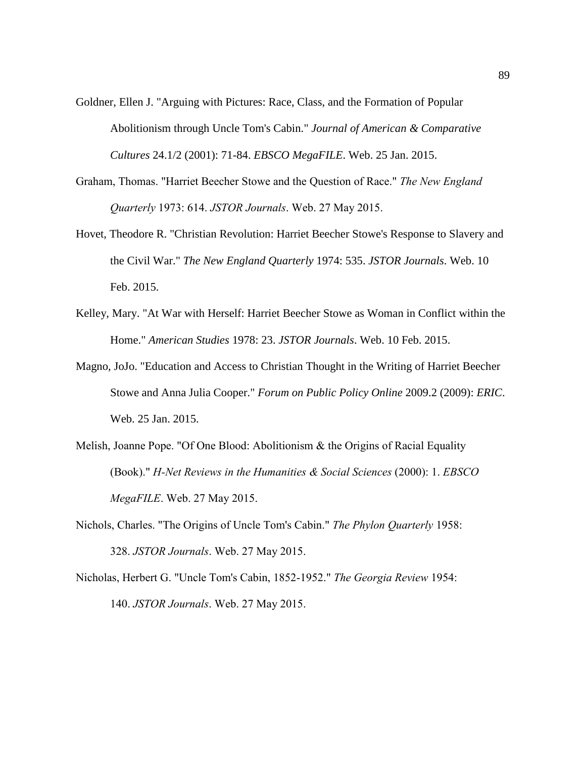Goldner, Ellen J. "Arguing with Pictures: Race, Class, and the Formation of Popular Abolitionism through Uncle Tom's Cabin." *Journal of American & Comparative Cultures* 24.1/2 (2001): 71-84. *EBSCO MegaFILE*. Web. 25 Jan. 2015.

- Graham, Thomas. "Harriet Beecher Stowe and the Question of Race." *The New England Quarterly* 1973: 614. *JSTOR Journals*. Web. 27 May 2015.
- Hovet, Theodore R. "Christian Revolution: Harriet Beecher Stowe's Response to Slavery and the Civil War." *The New England Quarterly* 1974: 535. *JSTOR Journals*. Web. 10 Feb. 2015.
- Kelley, Mary. "At War with Herself: Harriet Beecher Stowe as Woman in Conflict within the Home." *American Studies* 1978: 23. *JSTOR Journals*. Web. 10 Feb. 2015.
- Magno, JoJo. "Education and Access to Christian Thought in the Writing of Harriet Beecher Stowe and Anna Julia Cooper." *Forum on Public Policy Online* 2009.2 (2009): *ERIC*. Web. 25 Jan. 2015.
- Melish, Joanne Pope. "Of One Blood: Abolitionism & the Origins of Racial Equality (Book)." *H-Net Reviews in the Humanities & Social Sciences* (2000): 1. *EBSCO MegaFILE*. Web. 27 May 2015.
- Nichols, Charles. "The Origins of Uncle Tom's Cabin." *The Phylon Quarterly* 1958: 328. *JSTOR Journals*. Web. 27 May 2015.
- Nicholas, Herbert G. "Uncle Tom's Cabin, 1852-1952." *The Georgia Review* 1954: 140. *JSTOR Journals*. Web. 27 May 2015.